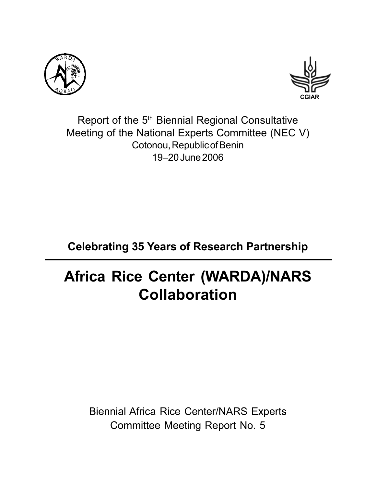



Report of the 5<sup>th</sup> Biennial Regional Consultative Meeting of the National Experts Committee (NEC V) Cotonou, Republic of Benin 19–20 June 2006

## **Celebrating 35 Years of Research Partnership**

# **Africa Rice Center (WARDA)/NARS Collaboration**

Biennial Africa Rice Center/NARS Experts Committee Meeting Report No. 5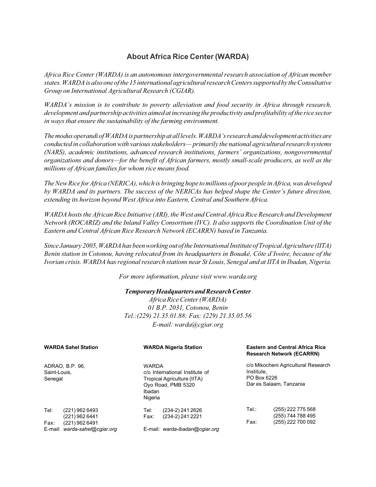#### **About Africa Rice Center (WARDA)**

*Africa Rice Center (WARDA) is an autonomous intergovernmental research association of African member states. WARDA is also one of the 15 international agricultural research Centers supported by the Consultative Group on International Agricultural Research (CGIAR).*

*WARDA's mission is to contribute to poverty alleviation and food security in Africa through research, development and partnership activities aimed at increasing the productivity and profitability of the rice sector in ways that ensure the sustainability of the farming environment.*

*The modus operandi of WARDA is partnership at all levels. WARDA's research and development activities are conducted in collaboration with various stakeholders— primarily the national agricultural research systems (NARS), academic institutions, advanced research institutions, farmers' organizations, nongovernmental organizations and donors—for the benefit of African farmers, mostly small-scale producers, as well as the millions of African families for whom rice means food.*

*The New Rice for Africa (NERICA), which is bringing hope to millions of poor people in Africa, was developed by WARDA and its partners. The success of the NERICAs has helped shape the Center's future direction, extending its horizon beyond West Africa into Eastern, Central and Southern Africa.*

*WARDA hosts the African Rice Initiative (ARI), the West and Central Africa Rice Research and Development Network (ROCARIZ) and the Inland Valley Consortium (IVC). It also supports the Coordination Unit of the Eastern and Central African Rice Research Network (ECARRN) based in Tanzania.*

*Since January 2005, WARDA has been working out of the International Institute of Tropical Agriculture (IITA) Benin station in Cotonou, having relocated from its headquarters in Bouaké, Côte d'Ivoire, because of the Ivorian crisis. WARDA has regional research stations near St Louis, Senegal and at IITA in Ibadan, Nigeria.*

*For more information, please visit www.warda.org*

#### *Temporary Headquarters and Research Center*

*Africa Rice Center (WARDA) 01 B.P. 2031, Cotonou, Benin Tel.:(229) 21.35.01.88; Fax: (229) 21.35.05.56 E-mail: warda@cgiar.org*

| <b>WARDA Sahel Station</b><br>ADRAO, B.P. 96,<br>Saint-Louis,<br>Senegal |                                                                                     |                                   | <b>WARDA Nigeria Station</b>                                                        |                                                                                             | <b>Eastern and Central Africa Rice</b><br><b>Research Network (ECARRN)</b> |  |  |
|--------------------------------------------------------------------------|-------------------------------------------------------------------------------------|-----------------------------------|-------------------------------------------------------------------------------------|---------------------------------------------------------------------------------------------|----------------------------------------------------------------------------|--|--|
|                                                                          |                                                                                     | <b>WARDA</b><br>Ibadan<br>Nigeria | c/o International Institute of<br>Tropical Agriculture (IITA)<br>Oyo Road, PMB 5320 | c/o Mikocheni Agricultural Research<br>Institute,<br>PO Box 6226<br>Dar es Salaam, Tanzania |                                                                            |  |  |
| Tel:<br>Fax:                                                             | (221) 962 6493<br>(221) 962 6441<br>(221) 962 6491<br>E-mail: warda-sahel@cgiar.org | Tel:<br>Fax:                      | (234-2) 241 2626<br>(234-2) 241 2221<br>E-mail: warda-ibadan@cgiar.org              | Tel.∶<br>Fax:                                                                               | (255) 222 775 568<br>(255) 744 788 495<br>(255) 222 700 092                |  |  |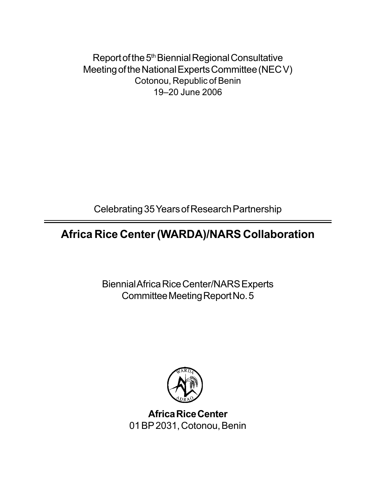Report of the 5<sup>th</sup> Biennial Regional Consultative Meeting of the National Experts Committee (NEC V) Cotonou, Republic of Benin 19–20 June 2006

Celebrating 35 Years of Research Partnership

### **Africa Rice Center (WARDA)/NARS Collaboration**

Biennial Africa Rice Center/NARS Experts Committee Meeting Report No. 5



**Africa Rice Center** 01 BP 2031, Cotonou, Benin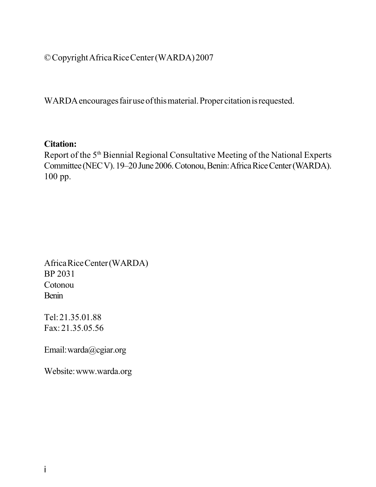© Copyright Africa Rice Center (WARDA) 2007

WARDA encourages fair use of this material. Proper citation is requested.

#### **Citation:**

Report of the 5<sup>th</sup> Biennial Regional Consultative Meeting of the National Experts Committee (NEC V). 19–20 June 2006. Cotonou, Benin: Africa Rice Center (WARDA). 100 pp.

Africa Rice Center (WARDA) BP 2031 Cotonou Benin

Tel: 21.35.01.88 Fax: 21.35.05.56

Email: warda@cgiar.org

Website: www.warda.org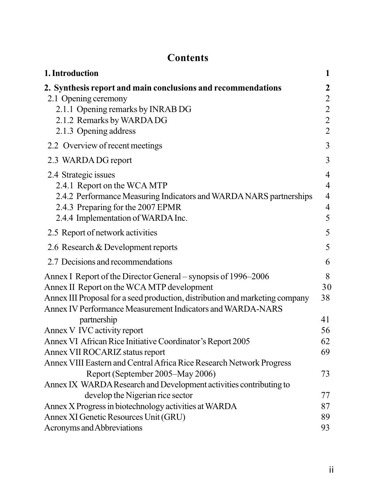### **Contents**

| 1. Introduction                                                                                                                            | 1                |
|--------------------------------------------------------------------------------------------------------------------------------------------|------------------|
| 2. Synthesis report and main conclusions and recommendations                                                                               | $\boldsymbol{2}$ |
| 2.1 Opening ceremony                                                                                                                       | $\overline{c}$   |
| 2.1.1 Opening remarks by INRAB DG                                                                                                          | $\overline{2}$   |
| 2.1.2 Remarks by WARDA DG                                                                                                                  | $\overline{2}$   |
| 2.1.3 Opening address                                                                                                                      | $\overline{2}$   |
| 2.2 Overview of recent meetings                                                                                                            | 3                |
| 2.3 WARDA DG report                                                                                                                        | 3                |
| 2.4 Strategic issues                                                                                                                       | 4                |
| 2.4.1 Report on the WCA MTP                                                                                                                | $\overline{4}$   |
| 2.4.2 Performance Measuring Indicators and WARDA NARS partnerships                                                                         | $\overline{4}$   |
| 2.4.3 Preparing for the 2007 EPMR                                                                                                          | $\overline{4}$   |
| 2.4.4 Implementation of WARDA Inc.                                                                                                         | 5                |
| 2.5 Report of network activities                                                                                                           | 5                |
| 2.6 Research & Development reports                                                                                                         | 5                |
| 2.7 Decisions and recommendations                                                                                                          | 6                |
| Annex I Report of the Director General – synopsis of 1996–2006                                                                             | 8                |
| Annex II Report on the WCA MTP development                                                                                                 | 30               |
| Annex III Proposal for a seed production, distribution and marketing company<br>Annex IV Performance Measurement Indicators and WARDA-NARS | 38               |
| partnership                                                                                                                                | 41               |
| Annex V IVC activity report                                                                                                                | 56               |
| Annex VI African Rice Initiative Coordinator's Report 2005                                                                                 | 62               |
| Annex VII ROCARIZ status report                                                                                                            | 69               |
| Annex VIII Eastern and Central Africa Rice Research Network Progress                                                                       |                  |
| Report (September 2005–May 2006)                                                                                                           | 73               |
| Annex IX WARDA Research and Development activities contributing to                                                                         |                  |
| develop the Nigerian rice sector                                                                                                           | 77               |
| Annex X Progress in biotechnology activities at WARDA                                                                                      | 87               |
| Annex XI Genetic Resources Unit (GRU)                                                                                                      | 89               |
| Acronyms and Abbreviations                                                                                                                 | 93               |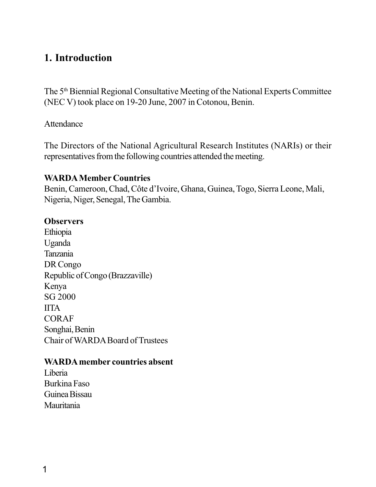#### **1. Introduction**

The 5<sup>th</sup> Biennial Regional Consultative Meeting of the National Experts Committee (NEC V) took place on 19-20 June, 2007 in Cotonou, Benin.

#### Attendance

The Directors of the National Agricultural Research Institutes (NARIs) or their representatives from the following countries attended the meeting.

#### **WARDA Member Countries**

Benin, Cameroon, Chad, Côte d'Ivoire, Ghana, Guinea, Togo, Sierra Leone, Mali, Nigeria, Niger, Senegal, The Gambia.

#### **Observers**

Ethiopia Uganda Tanzania DR Congo Republic of Congo (Brazzaville) Kenya SG 2000 IITA CORAF Songhai, Benin Chair of WARDA Board of Trustees

#### **WARDA member countries absent**

Liberia Burkina Faso Guinea Bissau Mauritania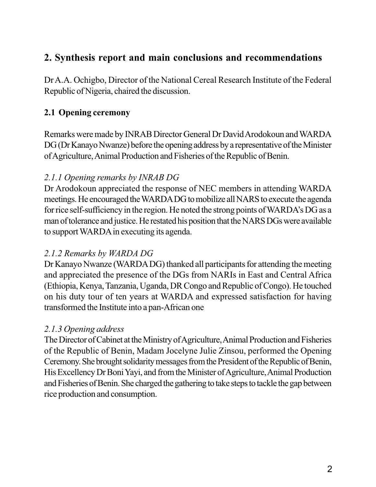### **2. Synthesis report and main conclusions and recommendations**

Dr A.A. Ochigbo, Director of the National Cereal Research Institute of the Federal Republic of Nigeria, chaired the discussion.

#### **2.1 Opening ceremony**

Remarks were made by INRAB Director General Dr David Arodokoun and WARDA DG (Dr Kanayo Nwanze) before the opening address by a representative of the Minister of Agriculture, Animal Production and Fisheries of the Republic of Benin.

#### *2.1.1 Opening remarks by INRAB DG*

Dr Arodokoun appreciated the response of NEC members in attending WARDA meetings. He encouraged the WARDA DG to mobilize all NARS to execute the agenda for rice self-sufficiency in the region. He noted the strong points of WARDA's DG as a man of tolerance and justice. He restated his position that the NARS DGs were available to support WARDA in executing its agenda.

#### *2.1.2 Remarks by WARDA DG*

Dr Kanayo Nwanze (WARDA DG) thanked all participants for attending the meeting and appreciated the presence of the DGs from NARIs in East and Central Africa (Ethiopia, Kenya, Tanzania, Uganda, DR Congo and Republic of Congo). He touched on his duty tour of ten years at WARDA and expressed satisfaction for having transformed the Institute into a pan-African one

#### *2.1.3 Opening address*

The Director of Cabinet at the Ministry of Agriculture, Animal Production and Fisheries of the Republic of Benin, Madam Jocelyne Julie Zinsou, performed the Opening Ceremony. She brought solidarity messages from the President of the Republic of Benin, His Excellency Dr Boni Yayi, and from the Minister of Agriculture, Animal Production and Fisheries of Benin. She charged the gathering to take steps to tackle the gap between rice production and consumption.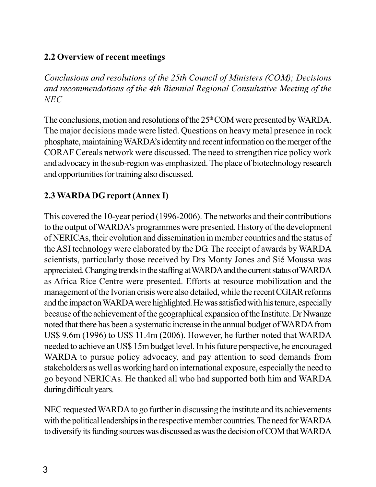#### **2.2 Overview of recent meetings**

*Conclusions and resolutions of the 25th Council of Ministers (COM); Decisions and recommendations of the 4th Biennial Regional Consultative Meeting of the NEC*

The conclusions, motion and resolutions of the 25<sup>th</sup> COM were presented by WARDA. The major decisions made were listed. Questions on heavy metal presence in rock phosphate, maintaining WARDA's identity and recent information on the merger of the CORAF Cereals network were discussed. The need to strengthen rice policy work and advocacy in the sub-region was emphasized. The place of biotechnology research and opportunities for training also discussed.

#### **2.3 WARDA DG report (Annex I)**

This covered the 10-year period (1996-2006). The networks and their contributions to the output of WARDA's programmes were presented. History of the development of NERICAs, their evolution and dissemination in member countries and the status of the ASI technology were elaborated by the DG. The receipt of awards by WARDA scientists, particularly those received by Drs Monty Jones and Sié Moussa was appreciated. Changing trends in the staffing at WARDA and the current status of WARDA as Africa Rice Centre were presented. Efforts at resource mobilization and the management of the Ivorian crisis were also detailed, while the recent CGIAR reforms and the impact on WARDA were highlighted. He was satisfied with his tenure, especially because of the achievement of the geographical expansion of the Institute. Dr Nwanze noted that there has been a systematic increase in the annual budget of WARDA from US\$ 9.6m (1996) to US\$ 11.4m (2006). However, he further noted that WARDA needed to achieve an US\$ 15m budget level. In his future perspective, he encouraged WARDA to pursue policy advocacy, and pay attention to seed demands from stakeholders as well as working hard on international exposure, especially the need to go beyond NERICAs. He thanked all who had supported both him and WARDA during difficult years.

NEC requested WARDA to go further in discussing the institute and its achievements with the political leaderships in the respective member countries. The need for WARDA to diversify its funding sources was discussed as was the decision of COM that WARDA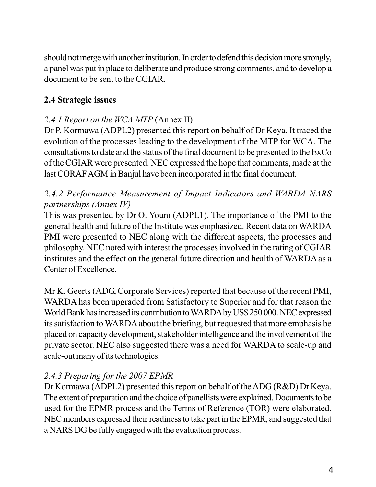should not merge with another institution. In order to defend this decision more strongly, a panel was put in place to deliberate and produce strong comments, and to develop a document to be sent to the CGIAR.

#### **2.4 Strategic issues**

#### *2.4.1 Report on the WCA MTP* (Annex II)

Dr P. Kormawa (ADPL2) presented this report on behalf of Dr Keya. It traced the evolution of the processes leading to the development of the MTP for WCA. The consultations to date and the status of the final document to be presented to the ExCo of the CGIAR were presented. NEC expressed the hope that comments, made at the last CORAF AGM in Banjul have been incorporated in the final document.

#### *2.4.2 Performance Measurement of Impact Indicators and WARDA NARS partnerships (Annex IV)*

This was presented by Dr O. Youm (ADPL1). The importance of the PMI to the general health and future of the Institute was emphasized. Recent data on WARDA PMI were presented to NEC along with the different aspects, the processes and philosophy. NEC noted with interest the processes involved in the rating of CGIAR institutes and the effect on the general future direction and health of WARDA as a Center of Excellence.

Mr K. Geerts (ADG, Corporate Services) reported that because of the recent PMI, WARDA has been upgraded from Satisfactory to Superior and for that reason the World Bank has increased its contribution to WARDA by US\$ 250 000. NEC expressed its satisfaction to WARDA about the briefing, but requested that more emphasis be placed on capacity development, stakeholder intelligence and the involvement of the private sector. NEC also suggested there was a need for WARDA to scale-up and scale-out many of its technologies.

#### *2.4.3 Preparing for the 2007 EPMR*

Dr Kormawa (ADPL2) presented this report on behalf of the ADG (R&D) Dr Keya. The extent of preparation and the choice of panellists were explained. Documents to be used for the EPMR process and the Terms of Reference (TOR) were elaborated. NEC members expressed their readiness to take part in the EPMR, and suggested that a NARS DG be fully engaged with the evaluation process.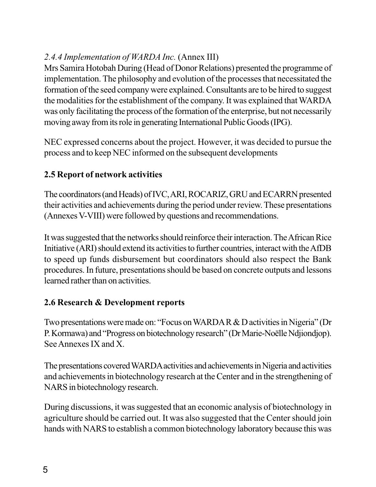### *2.4.4 Implementation of WARDA Inc.* (Annex III)

Mrs Samira Hotobah During (Head of Donor Relations) presented the programme of implementation. The philosophy and evolution of the processes that necessitated the formation of the seed company were explained. Consultants are to be hired to suggest the modalities for the establishment of the company. It was explained that WARDA was only facilitating the process of the formation of the enterprise, but not necessarily moving away from its role in generating International Public Goods (IPG).

NEC expressed concerns about the project. However, it was decided to pursue the process and to keep NEC informed on the subsequent developments

#### **2.5 Report of network activities**

The coordinators (and Heads) of IVC, ARI, ROCARIZ, GRU and ECARRN presented their activities and achievements during the period under review. These presentations (Annexes V-VIII) were followed by questions and recommendations.

It was suggested that the networks should reinforce their interaction. The African Rice Initiative (ARI) should extend its activities to further countries, interact with the AfDB to speed up funds disbursement but coordinators should also respect the Bank procedures. In future, presentations should be based on concrete outputs and lessons learned rather than on activities.

#### **2.6 Research & Development reports**

Two presentations were made on: "Focus on WARDA R & D activities in Nigeria" (Dr P. Kormawa) and "Progress on biotechnology research" (Dr Marie-Noëlle Ndjiondjop). See Annexes IX and X.

The presentations covered WARDA activities and achievements in Nigeria and activities and achievements in biotechnology research at the Center and in the strengthening of NARS in biotechnology research.

During discussions, it was suggested that an economic analysis of biotechnology in agriculture should be carried out. It was also suggested that the Center should join hands with NARS to establish a common biotechnology laboratory because this was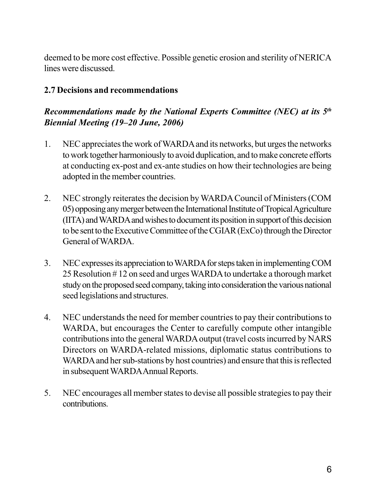deemed to be more cost effective. Possible genetic erosion and sterility of NERICA lines were discussed.

#### **2.7 Decisions and recommendations**

#### *Recommendations made by the National Experts Committee (NEC) at its 5th Biennial Meeting (19***–***20 June, 2006)*

- 1. NEC appreciates the work of WARDA and its networks, but urges the networks to work together harmoniously to avoid duplication, and to make concrete efforts at conducting ex-post and ex-ante studies on how their technologies are being adopted in the member countries.
- 2. NEC strongly reiterates the decision by WARDA Council of Ministers (COM 05) opposing any merger between the International Institute of Tropical Agriculture (IITA) and WARDA and wishes to document its position in support of this decision to be sent to the Executive Committee of the CGIAR (ExCo) through the Director General of WARDA.
- 3. NEC expresses its appreciation to WARDA for steps taken in implementing COM 25 Resolution # 12 on seed and urges WARDA to undertake a thorough market study on the proposed seed company, taking into consideration the various national seed legislations and structures.
- 4. NEC understands the need for member countries to pay their contributions to WARDA, but encourages the Center to carefully compute other intangible contributions into the general WARDA output (travel costs incurred by NARS Directors on WARDA-related missions, diplomatic status contributions to WARDA and her sub-stations by host countries) and ensure that this is reflected in subsequent WARDA Annual Reports.
- 5. NEC encourages all member states to devise all possible strategies to pay their contributions.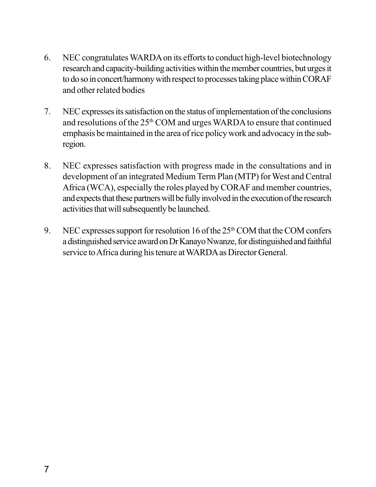- 6. NEC congratulates WARDA on its efforts to conduct high-level biotechnology research and capacity-building activities within the member countries, but urges it to do so in concert/harmony with respect to processes taking place within CORAF and other related bodies
- 7. NEC expresses its satisfaction on the status of implementation of the conclusions and resolutions of the 25<sup>th</sup> COM and urges WARDA to ensure that continued emphasis be maintained in the area of rice policy work and advocacy in the subregion.
- 8. NEC expresses satisfaction with progress made in the consultations and in development of an integrated Medium Term Plan (MTP) for West and Central Africa (WCA), especially the roles played by CORAF and member countries, and expects that these partners will be fully involved in the execution of the research activities that will subsequently be launched.
- 9. NEC expresses support for resolution 16 of the  $25<sup>th</sup>$  COM that the COM confers a distinguished service award on Dr Kanayo Nwanze, for distinguished and faithful service to Africa during his tenure at WARDA as Director General.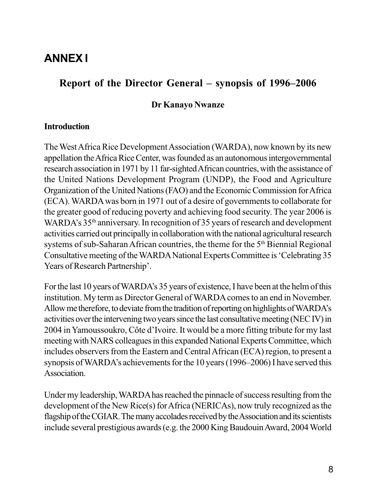### **ANNEX I**

#### **Report of the Director General – synopsis of 1996–2006**

#### **Dr Kanayo Nwanze**

#### **Introduction**

The West Africa Rice Development Association (WARDA), now known by its new appellation the Africa Rice Center, was founded as an autonomous intergovernmental research association in 1971 by 11 far-sighted African countries, with the assistance of the United Nations Development Program (UNDP), the Food and Agriculture Organization of the United Nations (FAO) and the Economic Commission for Africa (ECA). WARDA was born in 1971 out of a desire of governments to collaborate for the greater good of reducing poverty and achieving food security. The year 2006 is WARDA's 35<sup>th</sup> anniversary. In recognition of 35 years of research and development activities carried out principally in collaboration with the national agricultural research systems of sub-Saharan African countries, the theme for the 5<sup>th</sup> Biennial Regional Consultative meeting of the WARDA National Experts Committee is 'Celebrating 35 Years of Research Partnership'.

For the last 10 years of WARDA's 35 years of existence, I have been at the helm of this institution. My term as Director General of WARDA comes to an end in November. Allow me therefore, to deviate from the tradition of reporting on highlights of WARDA's activities over the intervening two years since the last consultative meeting (NEC IV) in 2004 in Yamoussoukro, Côte d'Ivoire. It would be a more fitting tribute for my last meeting with NARS colleagues in this expanded National Experts Committee, which includes observers from the Eastern and Central African (ECA) region, to present a synopsis of WARDA's achievements for the 10 years (1996–2006) I have served this Association.

Under my leadership, WARDA has reached the pinnacle of success resulting from the development of the New Rice(s) for Africa (NERICAs), now truly recognized as the flagship of the CGIAR. The many accolades received by the Association and its scientists include several prestigious awards (e.g. the 2000 King Baudouin Award, 2004 World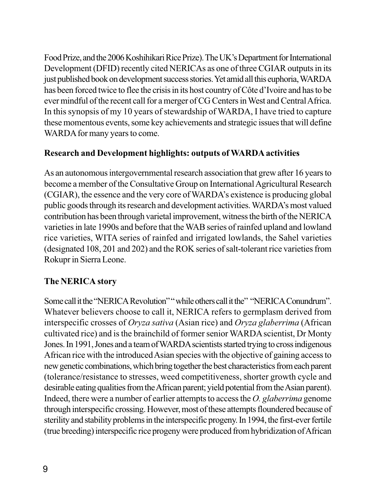Food Prize, and the 2006 Koshihikari Rice Prize). The UK's Department for International Development (DFID) recently cited NERICAs as one of three CGIAR outputs in its just published book on development success stories. Yet amid all this euphoria, WARDA has been forced twice to flee the crisis in its host country of Côte d'Ivoire and has to be ever mindful of the recent call for a merger of CG Centers in West and Central Africa. In this synopsis of my 10 years of stewardship of WARDA, I have tried to capture these momentous events, some key achievements and strategic issues that will define WARDA for many years to come.

#### **Research and Development highlights: outputs of WARDA activities**

As an autonomous intergovernmental research association that grew after 16 years to become a member of the Consultative Group on International Agricultural Research (CGIAR), the essence and the very core of WARDA's existence is producing global public goods through its research and development activities. WARDA's most valued contribution has been through varietal improvement, witness the birth of the NERICA varieties in late 1990s and before that the WAB series of rainfed upland and lowland rice varieties, WITA series of rainfed and irrigated lowlands, the Sahel varieties (designated 108, 201 and 202) and the ROK series of salt-tolerant rice varieties from Rokupr in Sierra Leone.

#### **The NERICA story**

Some call it the "NERICA Revolution" " while others call it the " "NERICA Conundrum". Whatever believers choose to call it, NERICA refers to germplasm derived from interspecific crosses of *Oryza sativa* (Asian rice) and *Oryza glaberrima* (African cultivated rice) and is the brainchild of former senior WARDA scientist, Dr Monty Jones. In 1991, Jones and a team of WARDA scientists started trying to cross indigenous African rice with the introduced Asian species with the objective of gaining access to new genetic combinations, which bring together the best characteristics from each parent (tolerance/resistance to stresses, weed competitiveness, shorter growth cycle and desirable eating qualities from the African parent; yield potential from the Asian parent). Indeed, there were a number of earlier attempts to access the *O. glaberrima* genome through interspecific crossing. However, most of these attempts floundered because of sterility and stability problems in the interspecific progeny. In 1994, the first-ever fertile (true breeding) interspecific rice progeny were produced from hybridization of African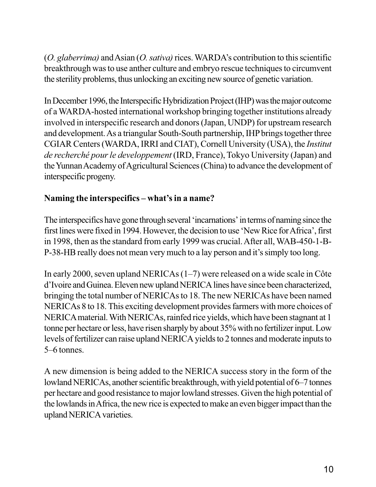(*O. glaberrima)* and Asian (*O. sativa)* rices. WARDA's contribution to this scientific breakthrough was to use anther culture and embryo rescue techniques to circumvent the sterility problems, thus unlocking an exciting new source of genetic variation.

In December 1996, the Interspecific Hybridization Project (IHP) was the major outcome of a WARDA-hosted international workshop bringing together institutions already involved in interspecific research and donors (Japan, UNDP) for upstream research and development. As a triangular South-South partnership, IHP brings together three CGIAR Centers (WARDA, IRRI and CIAT), Cornell University (USA), the *Institut de recherché pour le developpement* (IRD, France), Tokyo University (Japan) and the Yunnan Academy of Agricultural Sciences (China) to advance the development of interspecific progeny.

#### **Naming the interspecifics – what's in a name?**

The interspecifics have gone through several 'incarnations' in terms of naming since the first lines were fixed in 1994. However, the decision to use 'New Rice for Africa', first in 1998, then as the standard from early 1999 was crucial. After all, WAB-450-1-B-P-38-HB really does not mean very much to a lay person and it's simply too long.

In early 2000, seven upland NERICAs (1–7) were released on a wide scale in Côte d'Ivoire and Guinea. Eleven new upland NERICA lines have since been characterized, bringing the total number of NERICAs to 18. The new NERICAs have been named NERICAs 8 to 18. This exciting development provides farmers with more choices of NERICA material. With NERICAs, rainfed rice yields, which have been stagnant at 1 tonne per hectare or less, have risen sharply by about 35% with no fertilizer input. Low levels of fertilizer can raise upland NERICA yields to 2 tonnes and moderate inputs to 5–6 tonnes.

A new dimension is being added to the NERICA success story in the form of the lowland NERICAs, another scientific breakthrough, with yield potential of 6–7 tonnes per hectare and good resistance to major lowland stresses. Given the high potential of the lowlands in Africa, the new rice is expected to make an even bigger impact than the upland NERICA varieties.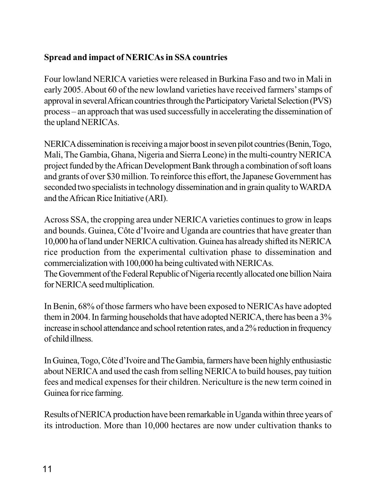#### **Spread and impact of NERICAs in SSA countries**

Four lowland NERICA varieties were released in Burkina Faso and two in Mali in early 2005. About 60 of the new lowland varieties have received farmers' stamps of approval in several African countries through the Participatory Varietal Selection (PVS) process – an approach that was used successfully in accelerating the dissemination of the upland NERICAs.

NERICA dissemination is receiving a major boost in seven pilot countries (Benin, Togo, Mali, The Gambia, Ghana, Nigeria and Sierra Leone) in the multi-country NERICA project funded by the African Development Bank through a combination of soft loans and grants of over \$30 million. To reinforce this effort, the Japanese Government has seconded two specialists in technology dissemination and in grain quality to WARDA and the African Rice Initiative (ARI).

Across SSA, the cropping area under NERICA varieties continues to grow in leaps and bounds. Guinea, Côte d'Ivoire and Uganda are countries that have greater than 10,000 ha of land under NERICA cultivation. Guinea has already shifted its NERICA rice production from the experimental cultivation phase to dissemination and commercialization with 100,000 ha being cultivated with NERICAs. The Government of the Federal Republic of Nigeria recently allocated one billion Naira

for NERICA seed multiplication.

In Benin, 68% of those farmers who have been exposed to NERICAs have adopted them in 2004. In farming households that have adopted NERICA, there has been a 3% increase in school attendance and school retention rates, and a 2% reduction in frequency of child illness.

In Guinea, Togo, Côte d'Ivoire and The Gambia, farmers have been highly enthusiastic about NERICA and used the cash from selling NERICA to build houses, pay tuition fees and medical expenses for their children. Nericulture is the new term coined in Guinea for rice farming.

Results of NERICA production have been remarkable in Uganda within three years of its introduction. More than 10,000 hectares are now under cultivation thanks to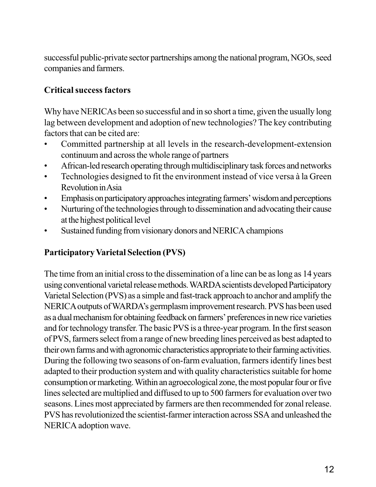successful public-private sector partnerships among the national program, NGOs, seed companies and farmers.

#### **Critical success factors**

Why have NERICAs been so successful and in so short a time, given the usually long lag between development and adoption of new technologies? The key contributing factors that can be cited are:

- Committed partnership at all levels in the research-development-extension continuum and across the whole range of partners
- African-led research operating through multidisciplinary task forces and networks
- Technologies designed to fit the environment instead of vice versa à la Green Revolution in Asia
- Emphasis on participatory approaches integrating farmers' wisdom and perceptions
- Nurturing of the technologies through to dissemination and advocating their cause at the highest political level
- Sustained funding from visionary donors and NERICA champions

#### **Participatory Varietal Selection (PVS)**

The time from an initial cross to the dissemination of a line can be as long as 14 years using conventional varietal release methods. WARDA scientists developed Participatory Varietal Selection (PVS) as a simple and fast-track approach to anchor and amplify the NERICA outputs of WARDA's germplasm improvement research. PVS has been used as a dual mechanism for obtaining feedback on farmers' preferences in new rice varieties and for technology transfer. The basic PVS is a three-year program. In the first season of PVS, farmers select from a range of new breeding lines perceived as best adapted to their own farms and with agronomic characteristics appropriate to their farming activities. During the following two seasons of on-farm evaluation, farmers identify lines best adapted to their production system and with quality characteristics suitable for home consumption or marketing. Within an agroecological zone, the most popular four or five lines selected are multiplied and diffused to up to 500 farmers for evaluation over two seasons. Lines most appreciated by farmers are then recommended for zonal release. PVS has revolutionized the scientist-farmer interaction across SSA and unleashed the NERICA adoption wave.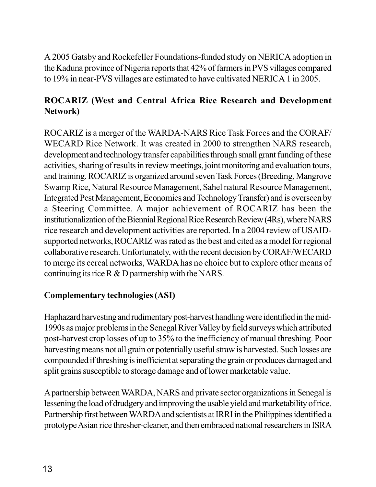A 2005 Gatsby and Rockefeller Foundations-funded study on NERICA adoption in the Kaduna province of Nigeria reports that 42% of farmers in PVS villages compared to 19% in near-PVS villages are estimated to have cultivated NERICA 1 in 2005.

#### **ROCARIZ (West and Central Africa Rice Research and Development Network)**

ROCARIZ is a merger of the WARDA-NARS Rice Task Forces and the CORAF/ WECARD Rice Network. It was created in 2000 to strengthen NARS research, development and technology transfer capabilities through small grant funding of these activities, sharing of results in review meetings, joint monitoring and evaluation tours, and training. ROCARIZ is organized around seven Task Forces (Breeding, Mangrove Swamp Rice, Natural Resource Management, Sahel natural Resource Management, Integrated Pest Management, Economics and Technology Transfer) and is overseen by a Steering Committee. A major achievement of ROCARIZ has been the institutionalization of the Biennial Regional Rice Research Review (4Rs), where NARS rice research and development activities are reported. In a 2004 review of USAIDsupported networks, ROCARIZ was rated as the best and cited as a model for regional collaborative research. Unfortunately, with the recent decision by CORAF/WECARD to merge its cereal networks, WARDA has no choice but to explore other means of continuing its rice  $R \& D$  partnership with the NARS.

#### **Complementary technologies (ASI)**

Haphazard harvesting and rudimentary post-harvest handling were identified in the mid-1990s as major problems in the Senegal River Valley by field surveys which attributed post-harvest crop losses of up to 35% to the inefficiency of manual threshing. Poor harvesting means not all grain or potentially useful straw is harvested. Such losses are compounded if threshing is inefficient at separating the grain or produces damaged and split grains susceptible to storage damage and of lower marketable value.

A partnership between WARDA, NARS and private sector organizations in Senegal is lessening the load of drudgery and improving the usable yield and marketability of rice. Partnership first between WARDA and scientists at IRRI in the Philippines identified a prototype Asian rice thresher-cleaner, and then embraced national researchers in ISRA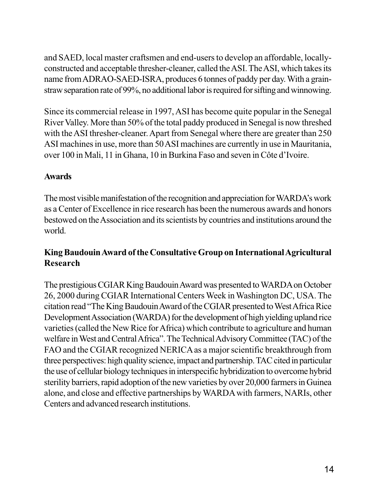and SAED, local master craftsmen and end-users to develop an affordable, locallyconstructed and acceptable thresher-cleaner, called the ASI. The ASI, which takes its name from ADRAO-SAED-ISRA, produces 6 tonnes of paddy per day. With a grainstraw separation rate of 99%, no additional labor is required for sifting and winnowing.

Since its commercial release in 1997, ASI has become quite popular in the Senegal River Valley. More than 50% of the total paddy produced in Senegal is now threshed with the ASI thresher-cleaner. Apart from Senegal where there are greater than 250 ASI machines in use, more than 50 ASI machines are currently in use in Mauritania, over 100 in Mali, 11 in Ghana, 10 in Burkina Faso and seven in Côte d'Ivoire.

#### **Awards**

The most visible manifestation of the recognition and appreciation for WARDA's work as a Center of Excellence in rice research has been the numerous awards and honors bestowed on the Association and its scientists by countries and institutions around the world.

#### **King Baudouin Award of the Consultative Group on International Agricultural Research**

The prestigious CGIAR King Baudouin Award was presented to WARDA on October 26, 2000 during CGIAR International Centers Week in Washington DC, USA. The citation read "The King Baudouin Award of the CGIAR presented to West Africa Rice Development Association (WARDA) for the development of high yielding upland rice varieties (called the New Rice for Africa) which contribute to agriculture and human welfare in West and Central Africa". The Technical Advisory Committee (TAC) of the FAO and the CGIAR recognized NERICA as a major scientific breakthrough from three perspectives: high quality science, impact and partnership. TAC cited in particular the use of cellular biology techniques in interspecific hybridization to overcome hybrid sterility barriers, rapid adoption of the new varieties by over 20,000 farmers in Guinea alone, and close and effective partnerships by WARDA with farmers, NARIs, other Centers and advanced research institutions.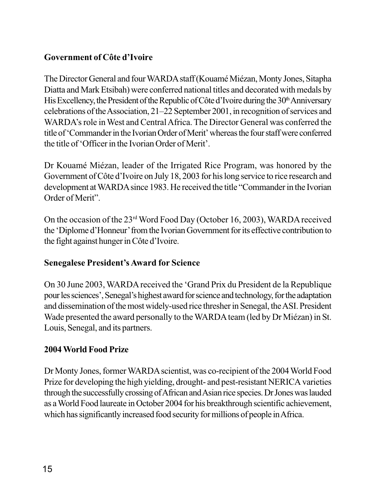#### **Government of Côte d'Ivoire**

The Director General and four WARDA staff (Kouamé Miézan, Monty Jones, Sitapha Diatta and Mark Etsibah) were conferred national titles and decorated with medals by His Excellency, the President of the Republic of Côte d'Ivoire during the  $30<sup>th</sup>$  Anniversary celebrations of the Association, 21–22 September 2001, in recognition of services and WARDA's role in West and Central Africa. The Director General was conferred the title of 'Commander in the Ivorian Order of Merit' whereas the four staff were conferred the title of 'Officer in the Ivorian Order of Merit'.

Dr Kouamé Miézan, leader of the Irrigated Rice Program, was honored by the Government of Côte d'Ivoire on July 18, 2003 for his long service to rice research and development at WARDA since 1983. He received the title "Commander in the Ivorian Order of Merit".

On the occasion of the 23rd Word Food Day (October 16, 2003), WARDA received the 'Diplome d'Honneur' from the Ivorian Government for its effective contribution to the fight against hunger in Côte d'Ivoire.

#### **Senegalese President's Award for Science**

On 30 June 2003, WARDA received the 'Grand Prix du President de la Republique pour les sciences', Senegal's highest award for science and technology, for the adaptation and dissemination of the most widely-used rice thresher in Senegal, the ASI. President Wade presented the award personally to the WARDA team (led by Dr Miézan) in St. Louis, Senegal, and its partners.

#### **2004 World Food Prize**

Dr Monty Jones, former WARDA scientist, was co-recipient of the 2004 World Food Prize for developing the high yielding, drought- and pest-resistant NERICA varieties through the successfully crossing of African and Asian rice species. Dr Jones was lauded as a World Food laureate in October 2004 for his breakthrough scientific achievement, which has significantly increased food security for millions of people in Africa.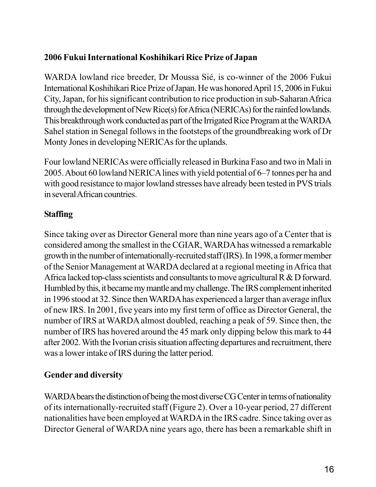#### **2006 Fukui International Koshihikari Rice Prize of Japan**

WARDA lowland rice breeder, Dr Moussa Sié, is co-winner of the 2006 Fukui International Koshihikari Rice Prize of Japan. He was honored April 15, 2006 in Fukui City, Japan, for his significant contribution to rice production in sub-Saharan Africa through the development of New Rice(s) for Africa (NERICAs) for the rainfed lowlands. This breakthrough work conducted as part of the Irrigated Rice Program at the WARDA Sahel station in Senegal follows in the footsteps of the groundbreaking work of Dr Monty Jones in developing NERICAs for the uplands.

Four lowland NERICAs were officially released in Burkina Faso and two in Mali in 2005. About 60 lowland NERICA lines with yield potential of 6–7 tonnes per ha and with good resistance to major lowland stresses have already been tested in PVS trials in several African countries.

#### **Staffing**

Since taking over as Director General more than nine years ago of a Center that is considered among the smallest in the CGIAR, WARDA has witnessed a remarkable growth in the number of internationally-recruited staff (IRS). In 1998, a former member of the Senior Management at WARDA declared at a regional meeting in Africa that Africa lacked top-class scientists and consultants to move agricultural R & D forward. Humbled by this, it became my mantle and my challenge. The IRS complement inherited in 1996 stood at 32. Since then WARDA has experienced a larger than average influx of new IRS. In 2001, five years into my first term of office as Director General, the number of IRS at WARDA almost doubled, reaching a peak of 59. Since then, the number of IRS has hovered around the 45 mark only dipping below this mark to 44 after 2002. With the Ivorian crisis situation affecting departures and recruitment, there was a lower intake of IRS during the latter period.

#### **Gender and diversity**

WARDA bears the distinction of being the most diverse CG Center in terms of nationality of its internationally-recruited staff (Figure 2). Over a 10-year period, 27 different nationalities have been employed at WARDA in the IRS cadre. Since taking over as Director General of WARDA nine years ago, there has been a remarkable shift in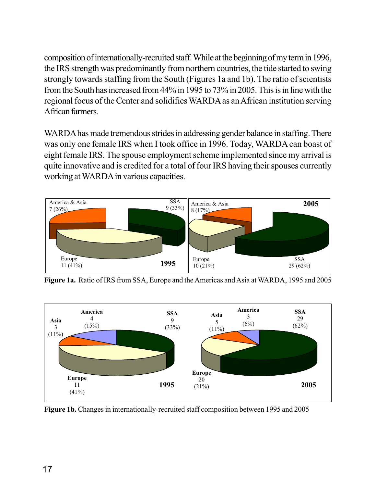composition of internationally-recruited staff. While at the beginning of my term in 1996, the IRS strength was predominantly from northern countries, the tide started to swing strongly towards staffing from the South (Figures 1a and 1b). The ratio of scientists from the South has increased from 44% in 1995 to 73% in 2005. This is in line with the regional focus of the Center and solidifies WARDA as an African institution serving African farmers.

WARDA has made tremendous strides in addressing gender balance in staffing. There was only one female IRS when I took office in 1996. Today, WARDA can boast of eight female IRS. The spouse employment scheme implemented since my arrival is quite innovative and is credited for a total of four IRS having their spouses currently working at WARDA in various capacities.



**Figure 1a.** Ratio of IRS from SSA, Europe and the Americas and Asia at WARDA, 1995 and 2005



**Figure 1b.** Changes in internationally-recruited staff composition between 1995 and 2005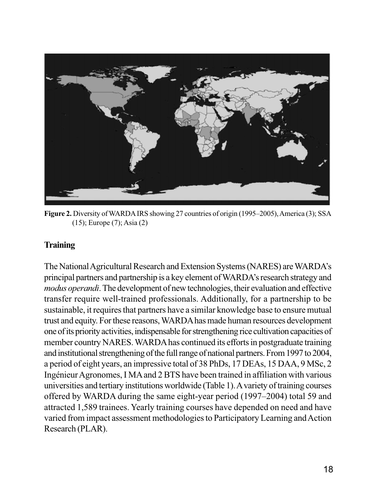

**Figure 2.** Diversity of WARDA IRS showing 27 countries of origin (1995–2005), America (3); SSA (15); Europe (7); Asia (2)

#### **Training**

The National Agricultural Research and Extension Systems (NARES) are WARDA's principal partners and partnership is a key element of WARDA's research strategy and *modus operandi*. The development of new technologies, their evaluation and effective transfer require well-trained professionals. Additionally, for a partnership to be sustainable, it requires that partners have a similar knowledge base to ensure mutual trust and equity. For these reasons, WARDA has made human resources development one of its priority activities, indispensable for strengthening rice cultivation capacities of member country NARES. WARDA has continued its efforts in postgraduate training and institutional strengthening of the full range of national partners. From 1997 to 2004, a period of eight years, an impressive total of 38 PhDs, 17 DEAs, 15 DAA, 9 MSc, 2 Ingénieur Agronomes, I MA and 2 BTS have been trained in affiliation with various universities and tertiary institutions worldwide (Table 1). A variety of training courses offered by WARDA during the same eight-year period (1997–2004) total 59 and attracted 1,589 trainees. Yearly training courses have depended on need and have varied from impact assessment methodologies to Participatory Learning and Action Research (PLAR).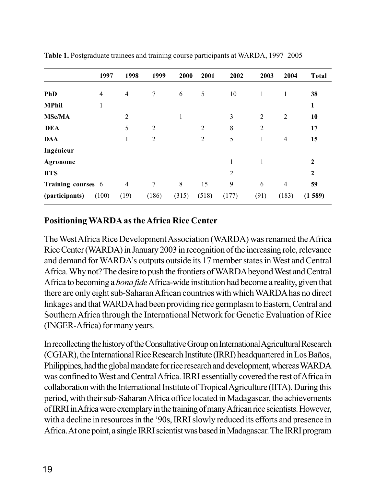|                    | 1997           | 1998           | 1999           | 2000         | 2001           | 2002           | 2003           | 2004           | <b>Total</b>   |
|--------------------|----------------|----------------|----------------|--------------|----------------|----------------|----------------|----------------|----------------|
| <b>PhD</b>         | $\overline{4}$ | $\overline{4}$ | 7              | 6            | 5              | 10             | 1              | 1              | 38             |
| <b>MPhil</b>       | $\mathbf{1}$   |                |                |              |                |                |                |                | $\mathbf{1}$   |
| <b>MSc/MA</b>      |                | $\overline{2}$ |                | $\mathbf{1}$ |                | 3              | $\overline{2}$ | $\overline{2}$ | 10             |
| <b>DEA</b>         |                | 5              | $\overline{2}$ |              | $\overline{2}$ | 8              | $\overline{2}$ |                | 17             |
| <b>DAA</b>         |                | $\mathbf{1}$   | $\overline{2}$ |              | $\overline{2}$ | 5              | 1              | $\overline{4}$ | 15             |
| Ingénieur          |                |                |                |              |                |                |                |                |                |
| Agronome           |                |                |                |              |                | 1              | $\mathbf{1}$   |                | $\mathbf{2}$   |
| <b>BTS</b>         |                |                |                |              |                | $\overline{2}$ |                |                | $\overline{2}$ |
| Training courses 6 |                | $\overline{4}$ | 7              | 8            | 15             | 9              | 6              | $\overline{4}$ | 59             |
| (participants)     | (100)          | (19)           | (186)          | (315)        | (518)          | (177)          | (91)           | (183)          | (1589)         |

**Table 1.** Postgraduate trainees and training course participants at WARDA, 1997–2005

#### **Positioning WARDA as the Africa Rice Center**

The West Africa Rice Development Association (WARDA) was renamed the Africa Rice Center (WARDA) in January 2003 in recognition of the increasing role, relevance and demand for WARDA's outputs outside its 17 member states in West and Central Africa. Why not? The desire to push the frontiers of WARDA beyond West and Central Africa to becoming a *bona fide* Africa-wide institution had become a reality, given that there are only eight sub-Saharan African countries with which WARDA has no direct linkages and that WARDA had been providing rice germplasm to Eastern, Central and Southern Africa through the International Network for Genetic Evaluation of Rice (INGER-Africa) for many years.

In recollecting the history of the Consultative Group on International Agricultural Research (CGIAR), the International Rice Research Institute (IRRI) headquartered in Los Baños, Philippines, had the global mandate for rice research and development, whereas WARDA was confined to West and Central Africa. IRRI essentially covered the rest of Africa in collaboration with the International Institute of Tropical Agriculture (IITA). During this period, with their sub-Saharan Africa office located in Madagascar, the achievements of IRRI in Africa were exemplary in the training of many African rice scientists. However, with a decline in resources in the '90s, IRRI slowly reduced its efforts and presence in Africa. At one point, a single IRRI scientist was based in Madagascar. The IRRI program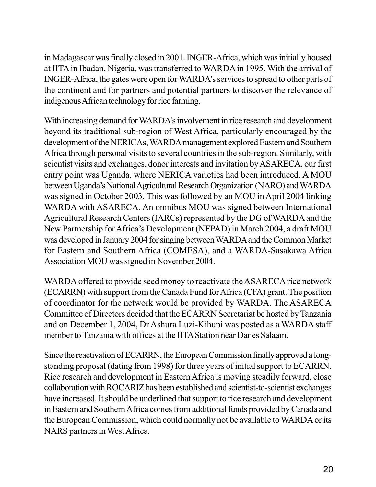in Madagascar was finally closed in 2001. INGER-Africa, which was initially housed at IITA in Ibadan, Nigeria, was transferred to WARDA in 1995. With the arrival of INGER-Africa, the gates were open for WARDA's services to spread to other parts of the continent and for partners and potential partners to discover the relevance of indigenous African technology for rice farming.

With increasing demand for WARDA's involvement in rice research and development beyond its traditional sub-region of West Africa, particularly encouraged by the development of the NERICAs, WARDA management explored Eastern and Southern Africa through personal visits to several countries in the sub-region. Similarly, with scientist visits and exchanges, donor interests and invitation by ASARECA, our first entry point was Uganda, where NERICA varieties had been introduced. A MOU between Uganda's National Agricultural Research Organization (NARO) and WARDA was signed in October 2003. This was followed by an MOU in April 2004 linking WARDA with ASARECA. An omnibus MOU was signed between International Agricultural Research Centers (IARCs) represented by the DG of WARDA and the New Partnership for Africa's Development (NEPAD) in March 2004, a draft MOU was developed in January 2004 for singing between WARDA and the Common Market for Eastern and Southern Africa (COMESA), and a WARDA-Sasakawa Africa Association MOU was signed in November 2004.

WARDA offered to provide seed money to reactivate the ASARECA rice network (ECARRN) with support from the Canada Fund for Africa (CFA) grant. The position of coordinator for the network would be provided by WARDA. The ASARECA Committee of Directors decided that the ECARRN Secretariat be hosted by Tanzania and on December 1, 2004, Dr Ashura Luzi-Kihupi was posted as a WARDA staff member to Tanzania with offices at the IITA Station near Dar es Salaam.

Since the reactivation of ECARRN, the European Commission finally approved a longstanding proposal (dating from 1998) for three years of initial support to ECARRN. Rice research and development in Eastern Africa is moving steadily forward, close collaboration with ROCARIZ has been established and scientist-to-scientist exchanges have increased. It should be underlined that support to rice research and development in Eastern and Southern Africa comes from additional funds provided by Canada and the European Commission, which could normally not be available to WARDA or its NARS partners in West Africa.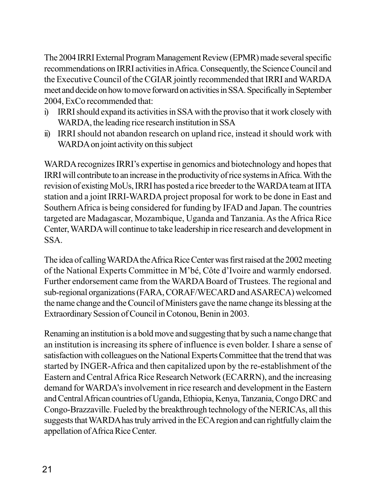The 2004 IRRI External Program Management Review (EPMR) made several specific recommendations on IRRI activities in Africa. Consequently, the Science Council and the Executive Council of the CGIAR jointly recommended that IRRI and WARDA meet and decide on how to move forward on activities in SSA. Specifically in September 2004, ExCo recommended that:

- i) IRRI should expand its activities in SSA with the proviso that it work closely with WARDA, the leading rice research institution in SSA
- ii) IRRI should not abandon research on upland rice, instead it should work with WARDA on joint activity on this subject

WARDA recognizes IRRI's expertise in genomics and biotechnology and hopes that IRRI will contribute to an increase in the productivity of rice systems in Africa. With the revision of existing MoUs, IRRI has posted a rice breeder to the WARDA team at IITA station and a joint IRRI-WARDA project proposal for work to be done in East and Southern Africa is being considered for funding by IFAD and Japan. The countries targeted are Madagascar, Mozambique, Uganda and Tanzania. As the Africa Rice Center, WARDA will continue to take leadership in rice research and development in SSA.

The idea of calling WARDA the Africa Rice Center was first raised at the 2002 meeting of the National Experts Committee in M'bé, Côte d'Ivoire and warmly endorsed. Further endorsement came from the WARDA Board of Trustees. The regional and sub-regional organizations (FARA, CORAF/WECARD and ASARECA) welcomed the name change and the Council of Ministers gave the name change its blessing at the Extraordinary Session of Council in Cotonou, Benin in 2003.

Renaming an institution is a bold move and suggesting that by such a name change that an institution is increasing its sphere of influence is even bolder. I share a sense of satisfaction with colleagues on the National Experts Committee that the trend that was started by INGER-Africa and then capitalized upon by the re-establishment of the Eastern and Central Africa Rice Research Network (ECARRN), and the increasing demand for WARDA's involvement in rice research and development in the Eastern and Central African countries of Uganda, Ethiopia, Kenya, Tanzania, Congo DRC and Congo-Brazzaville. Fueled by the breakthrough technology of the NERICAs, all this suggests that WARDA has truly arrived in the ECA region and can rightfully claim the appellation of Africa Rice Center.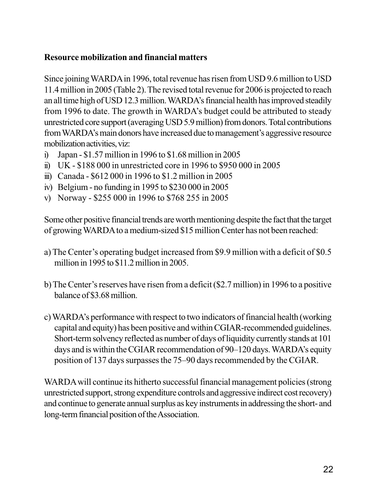#### **Resource mobilization and financial matters**

Since joining WARDA in 1996, total revenue has risen from USD 9.6 million to USD 11.4 million in 2005 (Table 2). The revised total revenue for 2006 is projected to reach an all time high of USD 12.3 million. WARDA's financial health has improved steadily from 1996 to date. The growth in WARDA's budget could be attributed to steady unrestricted core support (averaging USD 5.9 million) from donors. Total contributions from WARDA's main donors have increased due to management's aggressive resource mobilization activities, viz:

- i) Japan \$1.57 million in 1996 to \$1.68 million in 2005
- ii) UK \$188 000 in unrestricted core in 1996 to \$950 000 in 2005
- iii) Canada \$612 000 in 1996 to \$1.2 million in 2005
- iv) Belgium no funding in 1995 to \$230 000 in 2005
- v) Norway \$255 000 in 1996 to \$768 255 in 2005

Some other positive financial trends are worth mentioning despite the fact that the target of growing WARDA to a medium-sized \$15 million Center has not been reached:

- a) The Center's operating budget increased from \$9.9 million with a deficit of \$0.5 million in 1995 to \$11.2 million in 2005.
- b) The Center's reserves have risen from a deficit (\$2.7 million) in 1996 to a positive balance of \$3.68 million.
- c) WARDA's performance with respect to two indicators of financial health (working capital and equity) has been positive and within CGIAR-recommended guidelines. Short-term solvency reflected as number of days of liquidity currently stands at 101 days and is within the CGIAR recommendation of 90–120 days. WARDA's equity position of 137 days surpasses the 75–90 days recommended by the CGIAR.

WARDA will continue its hitherto successful financial management policies (strong unrestricted support, strong expenditure controls and aggressive indirect cost recovery) and continue to generate annual surplus as key instruments in addressing the short- and long-term financial position of the Association.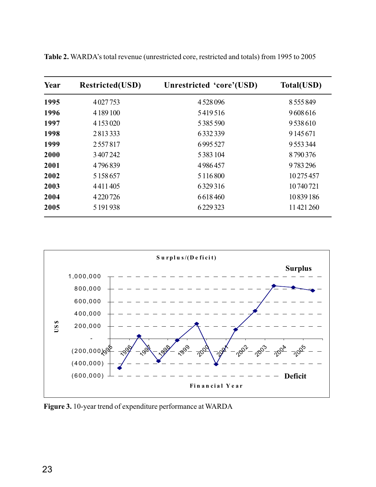| Year | <b>Restricted(USD)</b> | Unrestricted 'core'(USD) | Total(USD)    |
|------|------------------------|--------------------------|---------------|
| 1995 | 4027753                | 4528096                  | 8 5 5 5 8 4 9 |
| 1996 | 4 1 8 9 1 0 0          | 5419516                  | 9608616       |
| 1997 | 4 1 5 3 0 2 0          | 5385590                  | 9538610       |
| 1998 | 2813333                | 6332339                  | 9 145 671     |
| 1999 | 2557817                | 6995527                  | 9 5 5 3 3 4 4 |
| 2000 | 3 407 242              | 5383104                  | 8790376       |
| 2001 | 4796839                | 4986457                  | 9783296       |
| 2002 | 5 1 5 8 6 5 7          | 5 1 1 6 8 0 0            | 10275457      |
| 2003 | 4411405                | 6329316                  | 10 740 721    |
| 2004 | 4220726                | 6618460                  | 10839186      |
| 2005 | 5 191 938              | 6229323                  | 11 421 260    |

**Table 2.** WARDA's total revenue (unrestricted core, restricted and totals) from 1995 to 2005



**Figure 3.** 10-year trend of expenditure performance at WARDA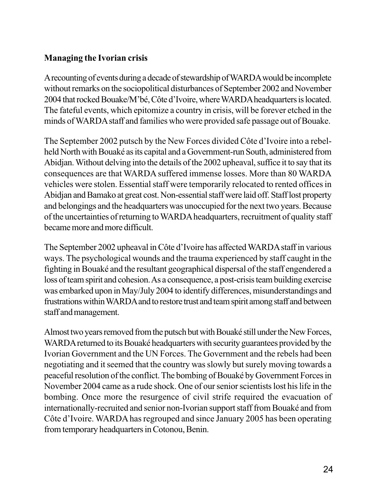#### **Managing the Ivorian crisis**

A recounting of events during a decade of stewardship of WARDA would be incomplete without remarks on the sociopolitical disturbances of September 2002 and November 2004 that rocked Bouake/M'bé, Côte d'Ivoire, where WARDA headquarters is located. The fateful events, which epitomize a country in crisis, will be forever etched in the minds of WARDA staff and families who were provided safe passage out of Bouake.

The September 2002 putsch by the New Forces divided Côte d'Ivoire into a rebelheld North with Bouaké as its capital and a Government-run South, administered from Abidjan. Without delving into the details of the 2002 upheaval, suffice it to say that its consequences are that WARDA suffered immense losses. More than 80 WARDA vehicles were stolen. Essential staff were temporarily relocated to rented offices in Abidjan and Bamako at great cost. Non-essential staff were laid off. Staff lost property and belongings and the headquarters was unoccupied for the next two years. Because of the uncertainties of returning to WARDA headquarters, recruitment of quality staff became more and more difficult.

The September 2002 upheaval in Côte d'Ivoire has affected WARDA staff in various ways. The psychological wounds and the trauma experienced by staff caught in the fighting in Bouaké and the resultant geographical dispersal of the staff engendered a loss of team spirit and cohesion. As a consequence, a post-crisis team building exercise was embarked upon in May/July 2004 to identify differences, misunderstandings and frustrations within WARDA and to restore trust and team spirit among staff and between staff and management.

Almost two years removed from the putsch but with Bouaké still under the New Forces, WARDA returned to its Bouaké headquarters with security guarantees provided by the Ivorian Government and the UN Forces. The Government and the rebels had been negotiating and it seemed that the country was slowly but surely moving towards a peaceful resolution of the conflict. The bombing of Bouaké by Government Forces in November 2004 came as a rude shock. One of our senior scientists lost his life in the bombing. Once more the resurgence of civil strife required the evacuation of internationally-recruited and senior non-Ivorian support staff from Bouaké and from Côte d'Ivoire. WARDA has regrouped and since January 2005 has been operating from temporary headquarters in Cotonou, Benin.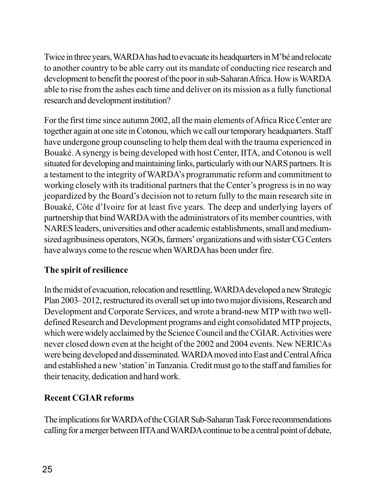Twice in three years, WARDA has had to evacuate its headquarters in M'bé and relocate to another country to be able carry out its mandate of conducting rice research and development to benefit the poorest of the poor in sub-Saharan Africa. How is WARDA able to rise from the ashes each time and deliver on its mission as a fully functional research and development institution?

For the first time since autumn 2002, all the main elements of Africa Rice Center are together again at one site in Cotonou, which we call our temporary headquarters. Staff have undergone group counseling to help them deal with the trauma experienced in Bouaké. A synergy is being developed with host Center, IITA, and Cotonou is well situated for developing and maintaining links, particularly with our NARS partners. It is a testament to the integrity of WARDA's programmatic reform and commitment to working closely with its traditional partners that the Center's progress is in no way jeopardized by the Board's decision not to return fully to the main research site in Bouaké, Côte d'Ivoire for at least five years. The deep and underlying layers of partnership that bind WARDA with the administrators of its member countries, with NARES leaders, universities and other academic establishments, small and mediumsized agribusiness operators, NGOs, farmers' organizations and with sister CG Centers have always come to the rescue when WARDA has been under fire.

#### **The spirit of resilience**

In the midst of evacuation, relocation and resettling, WARDA developed a new Strategic Plan 2003–2012, restructured its overall set up into two major divisions, Research and Development and Corporate Services, and wrote a brand-new MTP with two welldefined Research and Development programs and eight consolidated MTP projects, which were widely acclaimed by the Science Council and the CGIAR. Activities were never closed down even at the height of the 2002 and 2004 events. New NERICAs were being developed and disseminated. WARDA moved into East and Central Africa and established a new 'station' in Tanzania. Credit must go to the staff and families for their tenacity, dedication and hard work.

#### **Recent CGIAR reforms**

The implications for WARDA of the CGIAR Sub-Saharan Task Force recommendations calling for a merger between IITA and WARDA continue to be a central point of debate,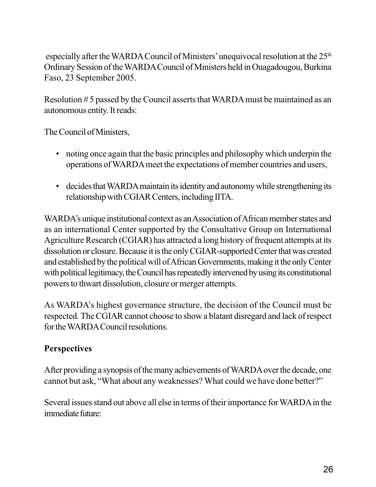especially after the WARDA Council of Ministers' unequivocal resolution at the  $25<sup>th</sup>$ Ordinary Session of the WARDA Council of Ministers held in Ouagadougou, Burkina Faso, 23 September 2005.

Resolution # 5 passed by the Council asserts that WARDA must be maintained as an autonomous entity. It reads:

The Council of Ministers,

- noting once again that the basic principles and philosophy which underpin the operations of WARDA meet the expectations of member countries and users,
- decides that WARDA maintain its identity and autonomy while strengthening its relationship with CGIAR Centers, including IITA.

WARDA's unique institutional context as an Association of African member states and as an international Center supported by the Consultative Group on International Agriculture Research (CGIAR) has attracted a long history of frequent attempts at its dissolution or closure. Because it is the only CGIAR-supported Center that was created and established by the political will of African Governments, making it the only Center with political legitimacy, the Council has repeatedly intervened by using its constitutional powers to thwart dissolution, closure or merger attempts.

As WARDA's highest governance structure, the decision of the Council must be respected. The CGIAR cannot choose to show a blatant disregard and lack of respect for the WARDA Council resolutions.

#### **Perspectives**

After providing a synopsis of the many achievements of WARDA over the decade, one cannot but ask, "What about any weaknesses? What could we have done better?"

Several issues stand out above all else in terms of their importance for WARDA in the immediate future: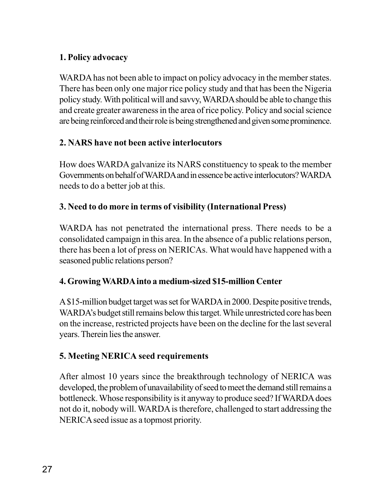#### **1. Policy advocacy**

WARDA has not been able to impact on policy advocacy in the member states. There has been only one major rice policy study and that has been the Nigeria policy study. With political will and savvy, WARDA should be able to change this and create greater awareness in the area of rice policy. Policy and social science are being reinforced and their role is being strengthened and given some prominence.

#### **2. NARS have not been active interlocutors**

How does WARDA galvanize its NARS constituency to speak to the member Governments on behalf of WARDA and in essence be active interlocutors? WARDA needs to do a better job at this.

#### **3. Need to do more in terms of visibility (International Press)**

WARDA has not penetrated the international press. There needs to be a consolidated campaign in this area. In the absence of a public relations person, there has been a lot of press on NERICAs. What would have happened with a seasoned public relations person?

#### **4. Growing WARDA into a medium-sized \$15-million Center**

A \$15-million budget target was set for WARDA in 2000. Despite positive trends, WARDA's budget still remains below this target. While unrestricted core has been on the increase, restricted projects have been on the decline for the last several years. Therein lies the answer.

#### **5. Meeting NERICA seed requirements**

After almost 10 years since the breakthrough technology of NERICA was developed, the problem of unavailability of seed to meet the demand still remains a bottleneck. Whose responsibility is it anyway to produce seed? If WARDA does not do it, nobody will. WARDA is therefore, challenged to start addressing the NERICA seed issue as a topmost priority.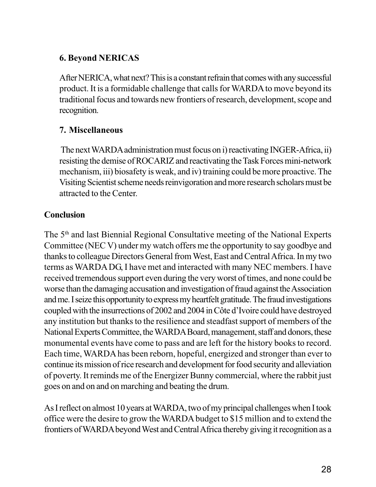#### **6. Beyond NERICAS**

After NERICA, what next? This is a constant refrain that comes with any successful product. It is a formidable challenge that calls for WARDA to move beyond its traditional focus and towards new frontiers of research, development, scope and recognition.

#### **7. Miscellaneous**

 The next WARDA administration must focus on i) reactivating INGER-Africa, ii) resisting the demise of ROCARIZ and reactivating the Task Forces mini-network mechanism, iii) biosafety is weak, and iv) training could be more proactive. The Visiting Scientist scheme needs reinvigoration and more research scholars must be attracted to the Center.

#### **Conclusion**

The 5<sup>th</sup> and last Biennial Regional Consultative meeting of the National Experts Committee (NEC V) under my watch offers me the opportunity to say goodbye and thanks to colleague Directors General from West, East and Central Africa. In my two terms as WARDA DG, I have met and interacted with many NEC members. I have received tremendous support even during the very worst of times, and none could be worse than the damaging accusation and investigation of fraud against the Association and me. I seize this opportunity to express my heartfelt gratitude. The fraud investigations coupled with the insurrections of 2002 and 2004 in Côte d'Ivoire could have destroyed any institution but thanks to the resilience and steadfast support of members of the National Experts Committee, the WARDA Board, management, staff and donors, these monumental events have come to pass and are left for the history books to record. Each time, WARDA has been reborn, hopeful, energized and stronger than ever to continue its mission of rice research and development for food security and alleviation of poverty. It reminds me of the Energizer Bunny commercial, where the rabbit just goes on and on and on marching and beating the drum.

As I reflect on almost 10 years at WARDA, two of my principal challenges when I took office were the desire to grow the WARDA budget to \$15 million and to extend the frontiers of WARDA beyond West and Central Africa thereby giving it recognition as a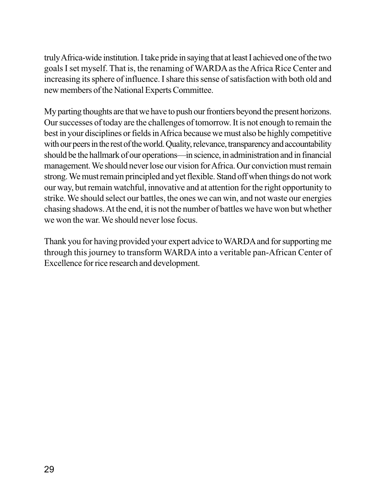truly Africa-wide institution. I take pride in saying that at least I achieved one of the two goals I set myself. That is, the renaming of WARDA as the Africa Rice Center and increasing its sphere of influence. I share this sense of satisfaction with both old and new members of the National Experts Committee.

My parting thoughts are that we have to push our frontiers beyond the present horizons. Our successes of today are the challenges of tomorrow. It is not enough to remain the best in your disciplines or fields in Africa because we must also be highly competitive with our peers in the rest of the world. Quality, relevance, transparency and accountability should be the hallmark of our operations—in science, in administration and in financial management. We should never lose our vision for Africa. Our conviction must remain strong. We must remain principled and yet flexible. Stand off when things do not work our way, but remain watchful, innovative and at attention for the right opportunity to strike. We should select our battles, the ones we can win, and not waste our energies chasing shadows. At the end, it is not the number of battles we have won but whether we won the war. We should never lose focus.

Thank you for having provided your expert advice to WARDA and for supporting me through this journey to transform WARDA into a veritable pan-African Center of Excellence for rice research and development.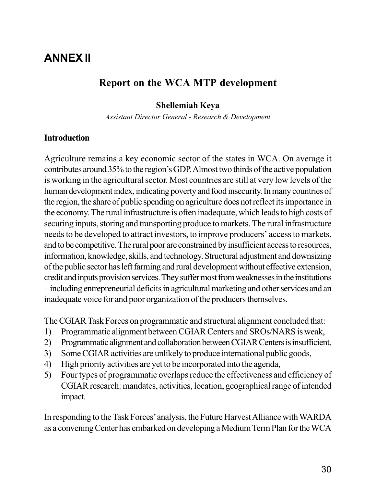### **ANNEX II**

#### **Report on the WCA MTP development**

#### **Shellemiah Keya**

*Assistant Director General - Research & Development*

#### **Introduction**

Agriculture remains a key economic sector of the states in WCA. On average it contributes around 35% to the region's GDP. Almost two thirds of the active population is working in the agricultural sector. Most countries are still at very low levels of the human development index, indicating poverty and food insecurity. In many countries of the region, the share of public spending on agriculture does not reflect its importance in the economy. The rural infrastructure is often inadequate, which leads to high costs of securing inputs, storing and transporting produce to markets. The rural infrastructure needs to be developed to attract investors, to improve producers' access to markets, and to be competitive. The rural poor are constrained by insufficient access to resources, information, knowledge, skills, and technology. Structural adjustment and downsizing of the public sector has left farming and rural development without effective extension, credit and inputs provision services. They suffer most from weaknesses in the institutions – including entrepreneurial deficits in agricultural marketing and other services and an inadequate voice for and poor organization of the producers themselves.

The CGIAR Task Forces on programmatic and structural alignment concluded that:

- 1) Programmatic alignment between CGIAR Centers and SROs/NARS is weak,
- 2) Programmatic alignment and collaboration between CGIAR Centers is insufficient,
- 3) Some CGIAR activities are unlikely to produce international public goods,
- 4) High priority activities are yet to be incorporated into the agenda,
- 5) Four types of programmatic overlaps reduce the effectiveness and efficiency of CGIAR research: mandates, activities, location, geographical range of intended impact.

In responding to the Task Forces' analysis, the Future Harvest Alliance with WARDA as a convening Center has embarked on developing a Medium Term Plan for the WCA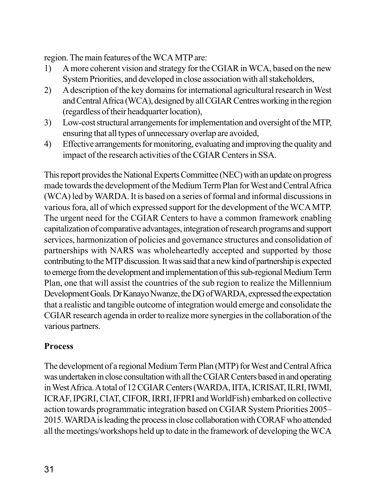region. The main features of the WCA MTP are:

- 1) A more coherent vision and strategy for the CGIAR in WCA, based on the new System Priorities, and developed in close association with all stakeholders,
- 2) A description of the key domains for international agricultural research in West and Central Africa (WCA), designed by all CGIAR Centres working in the region (regardless of their headquarter location),
- 3) Low-cost structural arrangements for implementation and oversight of the MTP, ensuring that all types of unnecessary overlap are avoided,
- 4) Effective arrangements for monitoring, evaluating and improving the quality and impact of the research activities of the CGIAR Centers in SSA.

This report provides the National Experts Committee (NEC) with an update on progress made towards the development of the Medium Term Plan for West and Central Africa (WCA) led by WARDA. It is based on a series of formal and informal discussions in various fora, all of which expressed support for the development of the WCA MTP. The urgent need for the CGIAR Centers to have a common framework enabling capitalization of comparative advantages, integration of research programs and support services, harmonization of policies and governance structures and consolidation of partnerships with NARS was wholeheartedly accepted and supported by those contributing to the MTP discussion. It was said that a new kind of partnership is expected to emerge from the development and implementation of this sub-regional Medium Term Plan, one that will assist the countries of the sub region to realize the Millennium Development Goals. Dr Kanayo Nwanze, the DG of WARDA, expressed the expectation that a realistic and tangible outcome of integration would emerge and consolidate the CGIAR research agenda in order to realize more synergies in the collaboration of the various partners.

#### **Process**

The development of a regional Medium Term Plan (MTP) for West and Central Africa was undertaken in close consultation with all the CGIAR Centers based in and operating in West Africa. A total of 12 CGIAR Centers (WARDA, IITA, ICRISAT, ILRI, IWMI, ICRAF, IPGRI, CIAT, CIFOR, IRRI, IFPRI and WorldFish) embarked on collective action towards programmatic integration based on CGIAR System Priorities 2005– 2015. WARDA is leading the process in close collaboration with CORAF who attended all the meetings/workshops held up to date in the framework of developing the WCA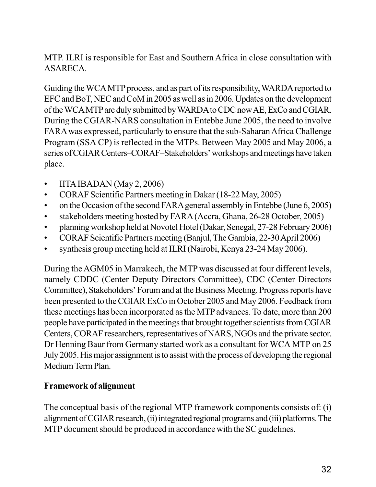MTP. ILRI is responsible for East and Southern Africa in close consultation with ASARECA.

Guiding the WCA MTP process, and as part of its responsibility, WARDA reported to EFC and BoT, NEC and CoM in 2005 as well as in 2006. Updates on the development of the WCA MTP are duly submitted by WARDA to CDC now AE, ExCo and CGIAR. During the CGIAR-NARS consultation in Entebbe June 2005, the need to involve FARA was expressed, particularly to ensure that the sub-Saharan Africa Challenge Program (SSA CP) is reflected in the MTPs. Between May 2005 and May 2006, a series of CGIAR Centers–CORAF–Stakeholders' workshops and meetings have taken place.

- IITA IBADAN (May 2, 2006)
- CORAF Scientific Partners meeting in Dakar (18-22 May, 2005)
- on the Occasion of the second FARA general assembly in Entebbe (June 6, 2005)
- stakeholders meeting hosted by FARA (Accra, Ghana, 26-28 October, 2005)
- planning workshop held at Novotel Hotel (Dakar, Senegal, 27-28 February 2006)
- CORAF Scientific Partners meeting (Banjul, The Gambia, 22-30 April 2006)
- synthesis group meeting held at ILRI (Nairobi, Kenya 23-24 May 2006).

During the AGM05 in Marrakech, the MTP was discussed at four different levels, namely CDDC (Center Deputy Directors Committee), CDC (Center Directors Committee), Stakeholders' Forum and at the Business Meeting. Progress reports have been presented to the CGIAR ExCo in October 2005 and May 2006. Feedback from these meetings has been incorporated as the MTP advances. To date, more than 200 people have participated in the meetings that brought together scientists from CGIAR Centers, CORAF researchers, representatives of NARS, NGOs and the private sector. Dr Henning Baur from Germany started work as a consultant for WCA MTP on 25 July 2005. His major assignment is to assist with the process of developing the regional Medium Term Plan.

### **Framework of alignment**

The conceptual basis of the regional MTP framework components consists of: (i) alignment of CGIAR research, (ii) integrated regional programs and (iii) platforms. The MTP document should be produced in accordance with the SC guidelines.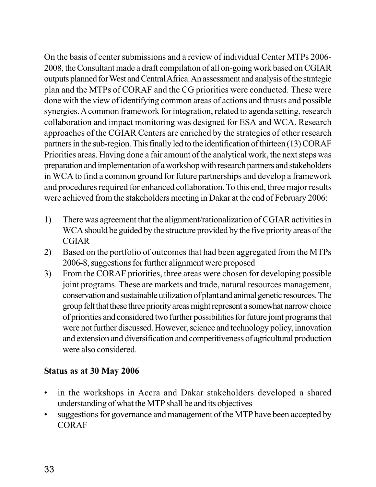On the basis of center submissions and a review of individual Center MTPs 2006- 2008, the Consultant made a draft compilation of all on-going work based on CGIAR outputs planned for West and Central Africa. An assessment and analysis of the strategic plan and the MTPs of CORAF and the CG priorities were conducted. These were done with the view of identifying common areas of actions and thrusts and possible synergies. A common framework for integration, related to agenda setting, research collaboration and impact monitoring was designed for ESA and WCA. Research approaches of the CGIAR Centers are enriched by the strategies of other research partners in the sub-region. This finally led to the identification of thirteen (13) CORAF Priorities areas. Having done a fair amount of the analytical work, the next steps was preparation and implementation of a workshop with research partners and stakeholders in WCA to find a common ground for future partnerships and develop a framework and procedures required for enhanced collaboration. To this end, three major results were achieved from the stakeholders meeting in Dakar at the end of February 2006:

- 1) There was agreement that the alignment/rationalization of CGIAR activities in WCA should be guided by the structure provided by the five priority areas of the CGIAR
- 2) Based on the portfolio of outcomes that had been aggregated from the MTPs 2006-8, suggestions for further alignment were proposed
- 3) From the CORAF priorities, three areas were chosen for developing possible joint programs. These are markets and trade, natural resources management, conservation and sustainable utilization of plant and animal genetic resources. The group felt that these three priority areas might represent a somewhat narrow choice of priorities and considered two further possibilities for future joint programs that were not further discussed. However, science and technology policy, innovation and extension and diversification and competitiveness of agricultural production were also considered.

### **Status as at 30 May 2006**

- in the workshops in Accra and Dakar stakeholders developed a shared understanding of what the MTP shall be and its objectives
- suggestions for governance and management of the MTP have been accepted by CORAF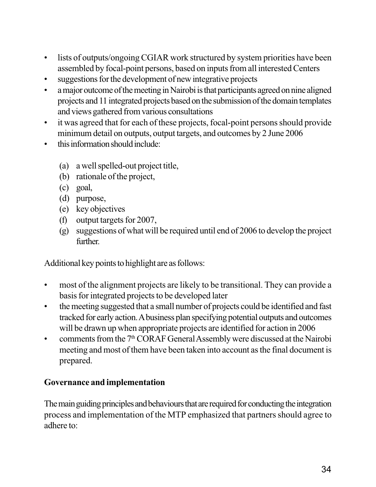- lists of outputs/ongoing CGIAR work structured by system priorities have been assembled by focal-point persons, based on inputs from all interested Centers
- suggestions for the development of new integrative projects
- a major outcome of the meeting in Nairobi is that participants agreed on nine aligned projects and 11 integrated projects based on the submission of the domain templates and views gathered from various consultations
- it was agreed that for each of these projects, focal-point persons should provide minimum detail on outputs, output targets, and outcomes by 2 June 2006
- this information should include:
	- (a) a well spelled-out project title,
	- (b) rationale of the project,
	- (c) goal,
	- (d) purpose,
	- (e) key objectives
	- (f) output targets for 2007,
	- (g) suggestions of what will be required until end of 2006 to develop the project further.

Additional key points to highlight are as follows:

- most of the alignment projects are likely to be transitional. They can provide a basis for integrated projects to be developed later
- the meeting suggested that a small number of projects could be identified and fast tracked for early action. A business plan specifying potential outputs and outcomes will be drawn up when appropriate projects are identified for action in 2006
- comments from the  $7<sup>th</sup> CORAF General Assembly$  were discussed at the Nairobi meeting and most of them have been taken into account as the final document is prepared.

### **Governance and implementation**

The main guiding principles and behaviours that are required for conducting the integration process and implementation of the MTP emphasized that partners should agree to adhere to: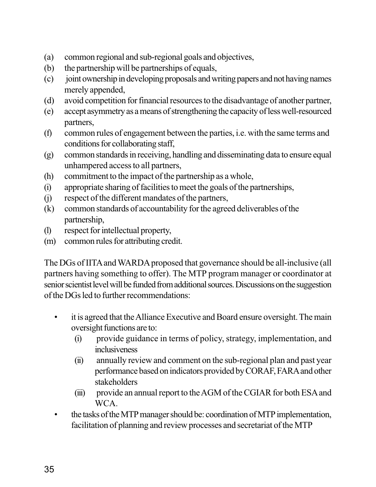- (a) common regional and sub-regional goals and objectives,
- (b) the partnership will be partnerships of equals,
- (c) joint ownership in developing proposals and writing papers and not having names merely appended,
- (d) avoid competition for financial resources to the disadvantage of another partner,
- (e) accept asymmetry as a means of strengthening the capacity of less well-resourced partners,
- (f) common rules of engagement between the parties, i.e. with the same terms and conditions for collaborating staff,
- (g) common standards in receiving, handling and disseminating data to ensure equal unhampered access to all partners,
- (h) commitment to the impact of the partnership as a whole,
- (i) appropriate sharing of facilities to meet the goals of the partnerships,
- (j) respect of the different mandates of the partners,
- (k) common standards of accountability for the agreed deliverables of the partnership,
- (l) respect for intellectual property,
- (m) common rules for attributing credit.

The DGs of IITA and WARDA proposed that governance should be all-inclusive (all partners having something to offer). The MTP program manager or coordinator at senior scientist level will be funded from additional sources. Discussions on the suggestion of the DGs led to further recommendations:

- it is agreed that the Alliance Executive and Board ensure oversight. The main oversight functions are to:
	- (i) provide guidance in terms of policy, strategy, implementation, and inclusiveness
	- (ii) annually review and comment on the sub-regional plan and past year performance based on indicators provided by CORAF, FARA and other stakeholders
	- (iii) provide an annual report to the AGM of the CGIAR for both ESA and WCA.
- the tasks of the MTP manager should be: coordination of MTP implementation, facilitation of planning and review processes and secretariat of the MTP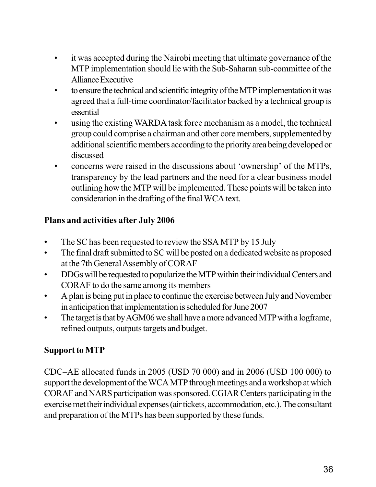- it was accepted during the Nairobi meeting that ultimate governance of the MTP implementation should lie with the Sub-Saharan sub-committee of the Alliance Executive
- to ensure the technical and scientific integrity of the MTP implementation it was agreed that a full-time coordinator/facilitator backed by a technical group is essential
- using the existing WARDA task force mechanism as a model, the technical group could comprise a chairman and other core members, supplemented by additional scientific members according to the priority area being developed or discussed
- concerns were raised in the discussions about 'ownership' of the MTPs, transparency by the lead partners and the need for a clear business model outlining how the MTP will be implemented. These points will be taken into consideration in the drafting of the final WCA text.

# **Plans and activities after July 2006**

- The SC has been requested to review the SSA MTP by 15 July
- The final draft submitted to SC will be posted on a dedicated website as proposed at the 7th General Assembly of CORAF
- DDGs will be requested to popularize the MTP within their individual Centers and CORAF to do the same among its members
- A plan is being put in place to continue the exercise between July and November in anticipation that implementation is scheduled for June 2007
- The target is that by AGM06 we shall have a more advanced MTP with a logframe, refined outputs, outputs targets and budget.

# **Support to MTP**

CDC–AE allocated funds in 2005 (USD 70 000) and in 2006 (USD 100 000) to support the development of the WCA MTP through meetings and a workshop at which CORAF and NARS participation was sponsored. CGIAR Centers participating in the exercise met their individual expenses (air tickets, accommodation, etc.). The consultant and preparation of the MTPs has been supported by these funds.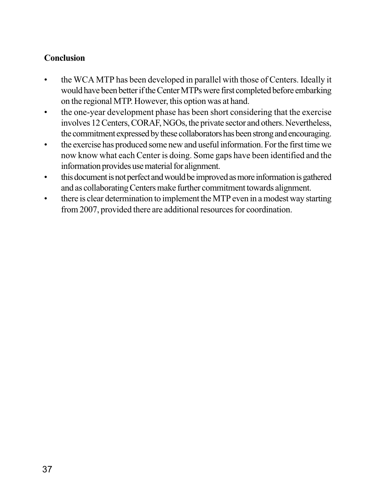# **Conclusion**

- the WCA MTP has been developed in parallel with those of Centers. Ideally it would have been better if the Center MTPs were first completed before embarking on the regional MTP. However, this option was at hand.
- the one-year development phase has been short considering that the exercise involves 12 Centers, CORAF, NGOs, the private sector and others. Nevertheless, the commitment expressed by these collaborators has been strong and encouraging.
- the exercise has produced some new and useful information. For the first time we now know what each Center is doing. Some gaps have been identified and the information provides use material for alignment.
- this document is not perfect and would be improved as more information is gathered and as collaborating Centers make further commitment towards alignment.
- there is clear determination to implement the MTP even in a modest way starting from 2007, provided there are additional resources for coordination.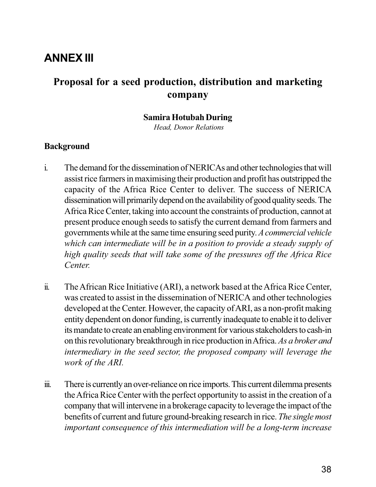# **ANNEX III**

# **Proposal for a seed production, distribution and marketing company**

#### **Samira Hotubah During**

 *Head, Donor Relations*

#### **Background**

- i. The demand for the dissemination of NERICAs and other technologies that will assist rice farmers in maximising their production and profit has outstripped the capacity of the Africa Rice Center to deliver. The success of NERICA dissemination will primarily depend on the availability of good quality seeds. The Africa Rice Center, taking into account the constraints of production, cannot at present produce enough seeds to satisfy the current demand from farmers and governments while at the same time ensuring seed purity. *A commercial vehicle which can intermediate will be in a position to provide a steady supply of high quality seeds that will take some of the pressures off the Africa Rice Center.*
- ii. The African Rice Initiative (ARI), a network based at the Africa Rice Center, was created to assist in the dissemination of NERICA and other technologies developed at the Center. However, the capacity of ARI, as a non-profit making entity dependent on donor funding, is currently inadequate to enable it to deliver its mandate to create an enabling environment for various stakeholders to cash-in on this revolutionary breakthrough in rice production in Africa. *As a broker and intermediary in the seed sector, the proposed company will leverage the work of the ARI.*
- iii. There is currently an over-reliance on rice imports. This current dilemma presents the Africa Rice Center with the perfect opportunity to assist in the creation of a company that will intervene in a brokerage capacity to leverage the impact of the benefits of current and future ground-breaking research in rice. *The single most important consequence of this intermediation will be a long-term increase*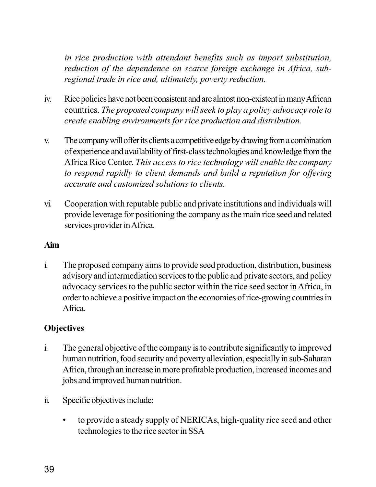*in rice production with attendant benefits such as import substitution, reduction of the dependence on scarce foreign exchange in Africa, subregional trade in rice and, ultimately, poverty reduction.*

- iv. Rice policies have not been consistent and are almost non-existent in many African countries. *The proposed company will seek to play a policy advocacy role to create enabling environments for rice production and distribution.*
- v. The company will offer its clients a competitive edge by drawing from a combination of experience and availability of first-class technologies and knowledge from the Africa Rice Center. *This access to rice technology will enable the company to respond rapidly to client demands and build a reputation for offering accurate and customized solutions to clients.*
- vi. Cooperation with reputable public and private institutions and individuals will provide leverage for positioning the company as the main rice seed and related services provider in Africa.

### **Aim**

i. The proposed company aims to provide seed production, distribution, business advisory and intermediation services to the public and private sectors, and policy advocacy services to the public sector within the rice seed sector in Africa, in order to achieve a positive impact on the economies of rice-growing countries in Africa.

### **Objectives**

- i. The general objective of the company is to contribute significantly to improved human nutrition, food security and poverty alleviation, especially in sub-Saharan Africa, through an increase in more profitable production, increased incomes and jobs and improved human nutrition.
- ii. Specific objectives include:
	- to provide a steady supply of NERICAs, high-quality rice seed and other technologies to the rice sector in SSA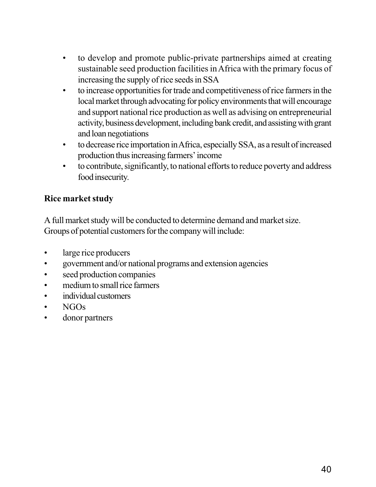- to develop and promote public-private partnerships aimed at creating sustainable seed production facilities in Africa with the primary focus of increasing the supply of rice seeds in SSA
- to increase opportunities for trade and competitiveness of rice farmers in the local market through advocating for policy environments that will encourage and support national rice production as well as advising on entrepreneurial activity, business development, including bank credit, and assisting with grant and loan negotiations
- to decrease rice importation in Africa, especially SSA, as a result of increased production thus increasing farmers' income
- to contribute, significantly, to national efforts to reduce poverty and address food insecurity.

# **Rice market study**

A full market study will be conducted to determine demand and market size. Groups of potential customers for the company will include:

- large rice producers
- government and/or national programs and extension agencies
- seed production companies
- medium to small rice farmers
- individual customers
- NGOs
- donor partners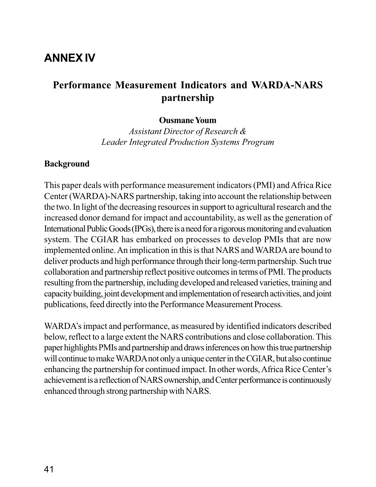# **ANNEX IV**

# **Performance Measurement Indicators and WARDA-NARS partnership**

#### **Ousmane Youm**

*Assistant Director of Research & Leader Integrated Production Systems Program*

#### **Background**

This paper deals with performance measurement indicators (PMI) and Africa Rice Center (WARDA)-NARS partnership, taking into account the relationship between the two. In light of the decreasing resources in support to agricultural research and the increased donor demand for impact and accountability, as well as the generation of International Public Goods (IPGs), there is a need for a rigorous monitoring and evaluation system. The CGIAR has embarked on processes to develop PMIs that are now implemented online. An implication in this is that NARS and WARDA are bound to deliver products and high performance through their long-term partnership. Such true collaboration and partnership reflect positive outcomes in terms of PMI. The products resulting from the partnership, including developed and released varieties, training and capacity building, joint development and implementation of research activities, and joint publications, feed directly into the Performance Measurement Process.

WARDA's impact and performance, as measured by identified indicators described below, reflect to a large extent the NARS contributions and close collaboration. This paper highlights PMIs and partnership and draws inferences on how this true partnership will continue to make WARDA not only a unique center in the CGIAR, but also continue enhancing the partnership for continued impact. In other words, Africa Rice Center's achievement is a reflection of NARS ownership, and Center performance is continuously enhanced through strong partnership with NARS.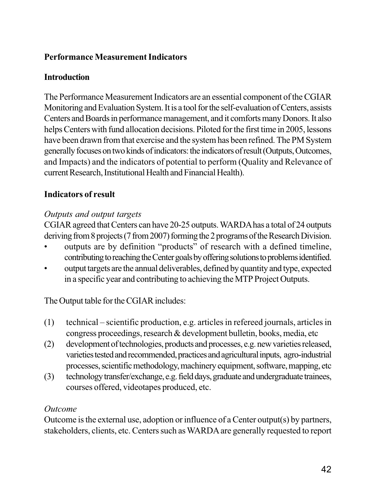# **Performance Measurement Indicators**

### **Introduction**

The Performance Measurement Indicators are an essential component of the CGIAR Monitoring and Evaluation System. It is a tool for the self-evaluation of Centers, assists Centers and Boards in performance management, and it comforts many Donors. It also helps Centers with fund allocation decisions. Piloted for the first time in 2005, lessons have been drawn from that exercise and the system has been refined. The PM System generally focuses on two kinds of indicators: the indicators of result (Outputs, Outcomes, and Impacts) and the indicators of potential to perform (Quality and Relevance of current Research, Institutional Health and Financial Health).

## **Indicators of result**

### *Outputs and output targets*

CGIAR agreed that Centers can have 20-25 outputs. WARDA has a total of 24 outputs deriving from 8 projects (7 from 2007) forming the 2 programs of the Research Division.

- outputs are by definition "products" of research with a defined timeline, contributing to reaching the Center goals by offering solutions to problems identified.
- output targets are the annual deliverables, defined by quantity and type, expected in a specific year and contributing to achieving the MTP Project Outputs.

The Output table for the CGIAR includes:

- (1) technical scientific production, e.g. articles in refereed journals, articles in congress proceedings, research & development bulletin, books, media, etc
- (2) development of technologies, products and processes, e.g. new varieties released, varieties tested and recommended, practices and agricultural inputs, agro-industrial processes, scientific methodology, machinery equipment, software, mapping, etc
- (3) technology transfer/exchange, e.g. field days, graduate and undergraduate trainees, courses offered, videotapes produced, etc.

### *Outcome*

Outcome is the external use, adoption or influence of a Center output(s) by partners, stakeholders, clients, etc. Centers such as WARDA are generally requested to report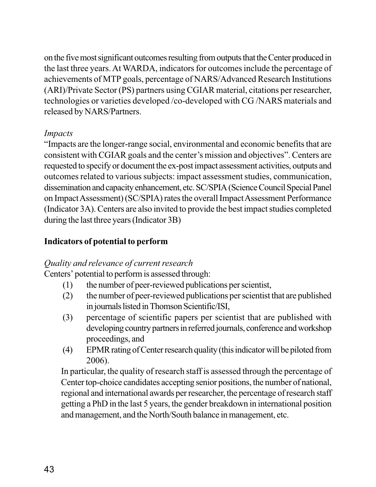on the five most significant outcomes resulting from outputs that the Center produced in the last three years. At WARDA, indicators for outcomes include the percentage of achievements of MTP goals, percentage of NARS/Advanced Research Institutions (ARI)/Private Sector (PS) partners using CGIAR material, citations per researcher, technologies or varieties developed /co-developed with CG /NARS materials and released by NARS/Partners.

### *Impacts*

"Impacts are the longer-range social, environmental and economic benefits that are consistent with CGIAR goals and the center's mission and objectives". Centers are requested to specify or document the ex-post impact assessment activities, outputs and outcomes related to various subjects: impact assessment studies, communication, dissemination and capacity enhancement, etc. SC/SPIA (Science Council Special Panel on Impact Assessment) (SC/SPIA) rates the overall Impact Assessment Performance (Indicator 3A). Centers are also invited to provide the best impact studies completed during the last three years (Indicator 3B)

## **Indicators of potential to perform**

### *Quality and relevance of current research*

Centers' potential to perform is assessed through:

- (1) the number of peer-reviewed publications per scientist,
- (2) the number of peer-reviewed publications per scientist that are published in journals listed in Thomson Scientific/ISI,
- (3) percentage of scientific papers per scientist that are published with developing country partners in referred journals, conference and workshop proceedings, and
- (4) EPMR rating of Center research quality (this indicator will be piloted from 2006).

In particular, the quality of research staff is assessed through the percentage of Center top-choice candidates accepting senior positions, the number of national, regional and international awards per researcher, the percentage of research staff getting a PhD in the last 5 years, the gender breakdown in international position and management, and the North/South balance in management, etc.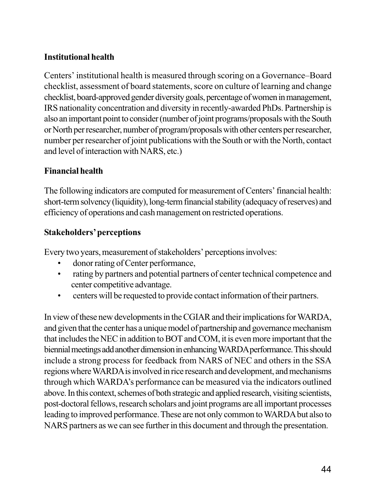## **Institutional health**

Centers' institutional health is measured through scoring on a Governance–Board checklist, assessment of board statements, score on culture of learning and change checklist, board-approved gender diversity goals, percentage of women in management, IRS nationality concentration and diversity in recently-awarded PhDs. Partnership is also an important point to consider (number of joint programs/proposals with the South or North per researcher, number of program/proposals with other centers per researcher, number per researcher of joint publications with the South or with the North, contact and level of interaction with NARS, etc.)

### **Financial health**

The following indicators are computed for measurement of Centers' financial health: short-term solvency (liquidity), long-term financial stability (adequacy of reserves) and efficiency of operations and cash management on restricted operations.

### **Stakeholders' perceptions**

Every two years, measurement of stakeholders' perceptions involves:

- donor rating of Center performance,
- rating by partners and potential partners of center technical competence and center competitive advantage.
- centers will be requested to provide contact information of their partners.

In view of these new developments in the CGIAR and their implications for WARDA, and given that the center has a unique model of partnership and governance mechanism that includes the NEC in addition to BOT and COM, it is even more important that the biennial meetings add another dimension in enhancing WARDA performance. This should include a strong process for feedback from NARS of NEC and others in the SSA regions where WARDA is involved in rice research and development, and mechanisms through which WARDA's performance can be measured via the indicators outlined above. In this context, schemes of both strategic and applied research, visiting scientists, post-doctoral fellows, research scholars and joint programs are all important processes leading to improved performance. These are not only common to WARDA but also to NARS partners as we can see further in this document and through the presentation.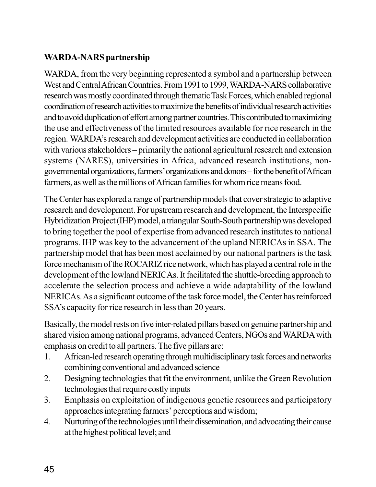# **WARDA-NARS partnership**

WARDA, from the very beginning represented a symbol and a partnership between West and Central African Countries. From 1991 to 1999, WARDA-NARS collaborative research was mostly coordinated through thematic Task Forces, which enabled regional coordination of research activities to maximize the benefits of individual research activities and to avoid duplication of effort among partner countries. This contributed to maximizing the use and effectiveness of the limited resources available for rice research in the region. WARDA's research and development activities are conducted in collaboration with various stakeholders – primarily the national agricultural research and extension systems (NARES), universities in Africa, advanced research institutions, nongovernmental organizations, farmers' organizations and donors – for the benefit of African farmers, as well as the millions of African families for whom rice means food.

The Center has explored a range of partnership models that cover strategic to adaptive research and development. For upstream research and development, the Interspecific Hybridization Project (IHP) model, a triangular South-South partnership was developed to bring together the pool of expertise from advanced research institutes to national programs. IHP was key to the advancement of the upland NERICAs in SSA. The partnership model that has been most acclaimed by our national partners is the task force mechanism of the ROCARIZ rice network, which has played a central role in the development of the lowland NERICAs. It facilitated the shuttle-breeding approach to accelerate the selection process and achieve a wide adaptability of the lowland NERICAs. As a significant outcome of the task force model, the Center has reinforced SSA's capacity for rice research in less than 20 years.

Basically, the model rests on five inter-related pillars based on genuine partnership and shared vision among national programs, advanced Centers, NGOs and WARDA with emphasis on credit to all partners. The five pillars are:

- 1. African-led research operating through multidisciplinary task forces and networks combining conventional and advanced science
- 2. Designing technologies that fit the environment, unlike the Green Revolution technologies that require costly inputs
- 3. Emphasis on exploitation of indigenous genetic resources and participatory approaches integrating farmers' perceptions and wisdom;
- 4. Nurturing of the technologies until their dissemination, and advocating their cause at the highest political level; and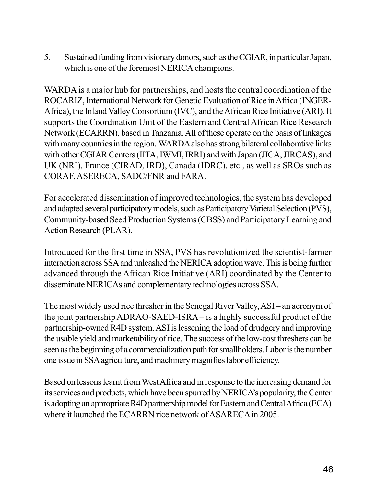5. Sustained funding from visionary donors, such as the CGIAR, in particular Japan, which is one of the foremost NERICA champions.

WARDA is a major hub for partnerships, and hosts the central coordination of the ROCARIZ, International Network for Genetic Evaluation of Rice in Africa (INGER-Africa), the Inland Valley Consortium (IVC), and the African Rice Initiative (ARI). It supports the Coordination Unit of the Eastern and Central African Rice Research Network (ECARRN), based in Tanzania. All of these operate on the basis of linkages with many countries in the region. WARDA also has strong bilateral collaborative links with other CGIAR Centers (IITA, IWMI, IRRI) and with Japan (JICA, JIRCAS), and UK (NRI), France (CIRAD, IRD), Canada (IDRC), etc., as well as SROs such as CORAF, ASERECA, SADC/FNR and FARA.

For accelerated dissemination of improved technologies, the system has developed and adapted several participatory models, such as Participatory Varietal Selection (PVS), Community-based Seed Production Systems (CBSS) and Participatory Learning and Action Research (PLAR).

Introduced for the first time in SSA, PVS has revolutionized the scientist-farmer interaction across SSA and unleashed the NERICA adoption wave. This is being further advanced through the African Rice Initiative (ARI) coordinated by the Center to disseminate NERICAs and complementary technologies across SSA.

The most widely used rice thresher in the Senegal River Valley, ASI – an acronym of the joint partnership ADRAO-SAED-ISRA – is a highly successful product of the partnership-owned R4D system. ASI is lessening the load of drudgery and improving the usable yield and marketability of rice. The success of the low-cost threshers can be seen as the beginning of a commercialization path for smallholders. Labor is the number one issue in SSA agriculture, and machinery magnifies labor efficiency.

Based on lessons learnt from West Africa and in response to the increasing demand for its services and products, which have been spurred by NERICA's popularity, the Center is adopting an appropriate R4D partnership model for Eastern and Central Africa (ECA) where it launched the ECARRN rice network of ASARECA in 2005.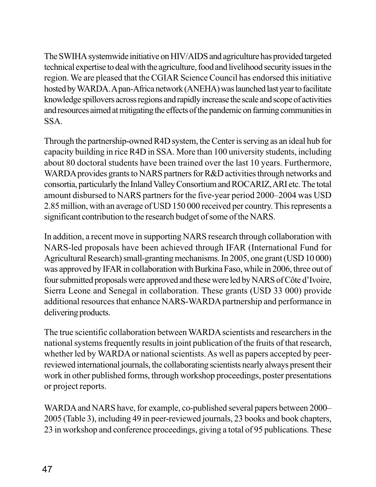The SWIHA systemwide initiative on HIV/AIDS and agriculture has provided targeted technical expertise to deal with the agriculture, food and livelihood security issues in the region. We are pleased that the CGIAR Science Council has endorsed this initiative hosted by WARDA. A pan-Africa network (ANEHA) was launched last year to facilitate knowledge spillovers across regions and rapidly increase the scale and scope of activities and resources aimed at mitigating the effects of the pandemic on farming communities in SSA.

Through the partnership-owned R4D system, the Center is serving as an ideal hub for capacity building in rice R4D in SSA. More than 100 university students, including about 80 doctoral students have been trained over the last 10 years. Furthermore, WARDA provides grants to NARS partners for R&D activities through networks and consortia, particularly the Inland Valley Consortium and ROCARIZ, ARI etc. The total amount disbursed to NARS partners for the five-year period 2000–2004 was USD 2.85 million, with an average of USD 150 000 received per country. This represents a significant contribution to the research budget of some of the NARS.

In addition, a recent move in supporting NARS research through collaboration with NARS-led proposals have been achieved through IFAR (International Fund for Agricultural Research) small-granting mechanisms. In 2005, one grant (USD 10 000) was approved by IFAR in collaboration with Burkina Faso, while in 2006, three out of four submitted proposals were approved and these were led by NARS of Côte d'Ivoire, Sierra Leone and Senegal in collaboration. These grants (USD 33 000) provide additional resources that enhance NARS-WARDA partnership and performance in delivering products.

The true scientific collaboration between WARDA scientists and researchers in the national systems frequently results in joint publication of the fruits of that research, whether led by WARDA or national scientists. As well as papers accepted by peerreviewed international journals, the collaborating scientists nearly always present their work in other published forms, through workshop proceedings, poster presentations or project reports.

WARDA and NARS have, for example, co-published several papers between 2000– 2005 (Table 3), including 49 in peer-reviewed journals, 23 books and book chapters, 23 in workshop and conference proceedings, giving a total of 95 publications. These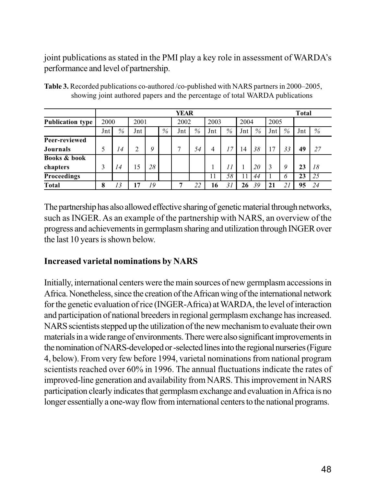joint publications as stated in the PMI play a key role in assessment of WARDA's performance and level of partnership.

|                         |      | <b>YEAR</b>     |      |    |      |      |    |     |      |     |      |     |      |     | <b>Total</b> |  |
|-------------------------|------|-----------------|------|----|------|------|----|-----|------|-----|------|-----|------|-----|--------------|--|
| <b>Publication type</b> | 2000 |                 | 2001 |    | 2002 | 2003 |    |     | 2004 |     | 2005 |     |      |     |              |  |
|                         | Jnt  | %               | Jnt  |    | %    | Jnt  | %  | Jnt | %    | Jnt | $\%$ | Jnt | $\%$ | Jnt | $\%$         |  |
| Peer-reviewed           |      |                 |      |    |      |      |    |     |      |     |      |     |      |     |              |  |
| Journals                |      | 4               | 2    | 9  |      | 7    | 54 | 4   | 17   | 14  | 38   | 17  | 33   | 49  | 27           |  |
| <b>Books &amp; book</b> |      |                 |      |    |      |      |    |     |      |     |      |     |      |     |              |  |
| chapters                | 3    | $\overline{14}$ | 15   | 28 |      |      |    |     | 11   |     | 20   |     | 9    | 23  | 18           |  |
| <b>Proceedings</b>      |      |                 |      |    |      |      |    | 11  | 58   | 11  | 44   |     | O    | 23  | 25           |  |
| <b>Total</b>            | 8    | 13              | 17   | 19 |      |      | 22 | 16  | 31   | 26  | 39   |     |      | 95  | 24           |  |

**Table 3.** Recorded publications co-authored /co-published with NARS partners in 2000–2005, showing joint authored papers and the percentage of total WARDA publications

The partnership has also allowed effective sharing of genetic material through networks, such as INGER. As an example of the partnership with NARS, an overview of the progress and achievements in germplasm sharing and utilization through INGER over the last 10 years is shown below.

### **Increased varietal nominations by NARS**

Initially, international centers were the main sources of new germplasm accessions in Africa. Nonetheless, since the creation of the African wing of the international network for the genetic evaluation of rice (INGER-Africa) at WARDA, the level of interaction and participation of national breeders in regional germplasm exchange has increased. NARS scientists stepped up the utilization of the new mechanism to evaluate their own materials in a wide range of environments. There were also significant improvements in the nomination of NARS-developed or -selected lines into the regional nurseries (Figure 4, below). From very few before 1994, varietal nominations from national program scientists reached over 60% in 1996. The annual fluctuations indicate the rates of improved-line generation and availability from NARS. This improvement in NARS participation clearly indicates that germplasm exchange and evaluation in Africa is no longer essentially a one-way flow from international centers to the national programs.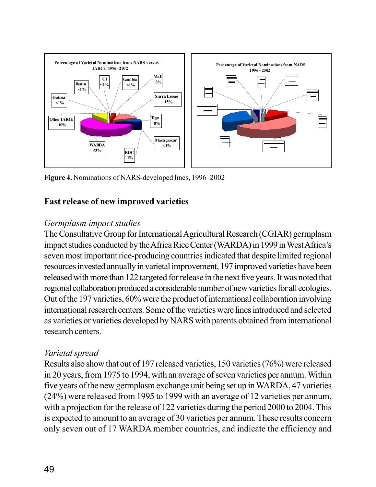

**Figure 4.** Nominations of NARS-developed lines, 1996–2002

### **Fast release of new improved varieties**

### *Germplasm impact studies*

The Consultative Group for International Agricultural Research (CGIAR) germplasm impact studies conducted by the Africa Rice Center (WARDA) in 1999 in West Africa's seven most important rice-producing countries indicated that despite limited regional resources invested annually in varietal improvement, 197 improved varieties have been released with more than 122 targeted for release in the next five years. It was noted that regional collaboration produced a considerable number of new varieties for all ecologies. Out of the 197 varieties, 60% were the product of international collaboration involving international research centers. Some of the varieties were lines introduced and selected as varieties or varieties developed by NARS with parents obtained from international research centers.

### *Varietal spread*

Results also show that out of 197 released varieties, 150 varieties (76%) were released in 20 years, from 1975 to 1994, with an average of seven varieties per annum. Within five years of the new germplasm exchange unit being set up in WARDA, 47 varieties (24%) were released from 1995 to 1999 with an average of 12 varieties per annum, with a projection for the release of 122 varieties during the period 2000 to 2004. This is expected to amount to an average of 30 varieties per annum. These results concern only seven out of 17 WARDA member countries, and indicate the efficiency and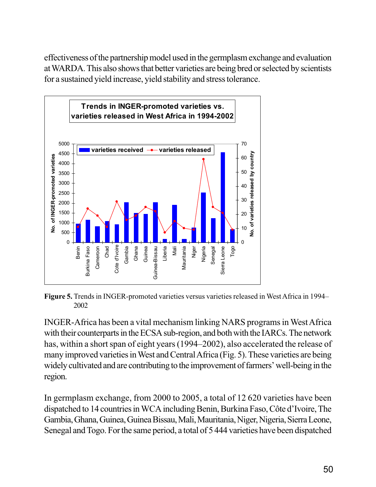effectiveness of the partnership model used in the germplasm exchange and evaluation at WARDA. This also shows that better varieties are being bred or selected by scientists for a sustained yield increase, yield stability and stress tolerance.



**Figure 5.** Trends in INGER-promoted varieties versus varieties released in West Africa in 1994– 2002

INGER-Africa has been a vital mechanism linking NARS programs in West Africa with their counterparts in the ECSA sub-region, and both with the IARCs. The network has, within a short span of eight years (1994–2002), also accelerated the release of many improved varieties in West and Central Africa (Fig. 5). These varieties are being widely cultivated and are contributing to the improvement of farmers' well-being in the region.

In germplasm exchange, from 2000 to 2005, a total of 12 620 varieties have been dispatched to 14 countries in WCA including Benin, Burkina Faso, Côte d'Ivoire, The Gambia, Ghana, Guinea, Guinea Bissau, Mali, Mauritania, Niger, Nigeria, Sierra Leone, Senegal and Togo. For the same period, a total of 5 444 varieties have been dispatched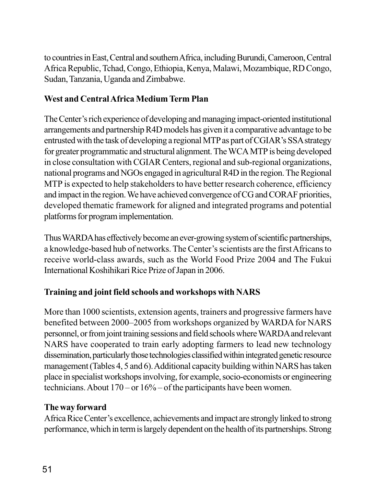to countries in East, Central and southern Africa, including Burundi, Cameroon, Central Africa Republic, Tchad, Congo, Ethiopia, Kenya, Malawi, Mozambique, RD Congo, Sudan, Tanzania, Uganda and Zimbabwe.

# **West and Central Africa Medium Term Plan**

The Center's rich experience of developing and managing impact-oriented institutional arrangements and partnership R4D models has given it a comparative advantage to be entrusted with the task of developing a regional MTP as part of CGIAR's SSA strategy for greater programmatic and structural alignment. The WCA MTP is being developed in close consultation with CGIAR Centers, regional and sub-regional organizations, national programs and NGOs engaged in agricultural R4D in the region. The Regional MTP is expected to help stakeholders to have better research coherence, efficiency and impact in the region. We have achieved convergence of CG and CORAF priorities, developed thematic framework for aligned and integrated programs and potential platforms for program implementation.

Thus WARDA has effectively become an ever-growing system of scientific partnerships, a knowledge-based hub of networks. The Center's scientists are the first Africans to receive world-class awards, such as the World Food Prize 2004 and The Fukui International Koshihikari Rice Prize of Japan in 2006.

# **Training and joint field schools and workshops with NARS**

More than 1000 scientists, extension agents, trainers and progressive farmers have benefited between 2000–2005 from workshops organized by WARDA for NARS personnel, or from joint training sessions and field schools where WARDA and relevant NARS have cooperated to train early adopting farmers to lead new technology dissemination, particularly those technologies classified within integrated genetic resource management (Tables 4, 5 and 6). Additional capacity building within NARS has taken place in specialist workshops involving, for example, socio-economists or engineering technicians. About  $170 - or 16% - of the participants have been women.$ 

### **The way forward**

Africa Rice Center's excellence, achievements and impact are strongly linked to strong performance, which in term is largely dependent on the health of its partnerships. Strong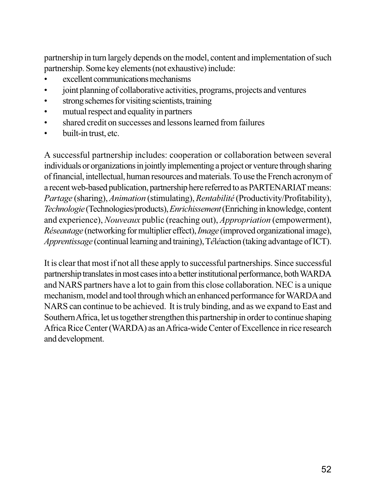partnership in turn largely depends on the model, content and implementation of such partnership. Some key elements (not exhaustive) include:

- excellent communications mechanisms
- joint planning of collaborative activities, programs, projects and ventures
- strong schemes for visiting scientists, training
- mutual respect and equality in partners
- shared credit on successes and lessons learned from failures
- built-in trust, etc.

A successful partnership includes: cooperation or collaboration between several individuals or organizations in jointly implementing a project or venture through sharing of financial, intellectual, human resources and materials. To use the French acronym of a recent web-based publication, partnership here referred to as PARTENARIAT means: *Partage* (sharing), *Animation* (stimulating), *Rentabilité* (Productivity/Profitability), *Technologie* (Technologies/products), *Enrichissement* (Enriching in knowledge, content and experience), *Nouveaux* public (reaching out), *Appropriation* (empowerment), *Réseautage* (networking for multiplier effect), *Image* (improved organizational image), *Apprentissage* (continual learning and training), T*é*l*é*action (taking advantage of ICT).

It is clear that most if not all these apply to successful partnerships. Since successful partnership translates in most cases into a better institutional performance, both WARDA and NARS partners have a lot to gain from this close collaboration. NEC is a unique mechanism, model and tool through which an enhanced performance for WARDA and NARS can continue to be achieved. It is truly binding, and as we expand to East and Southern Africa, let us together strengthen this partnership in order to continue shaping Africa Rice Center (WARDA) as an Africa-wide Center of Excellence in rice research and development.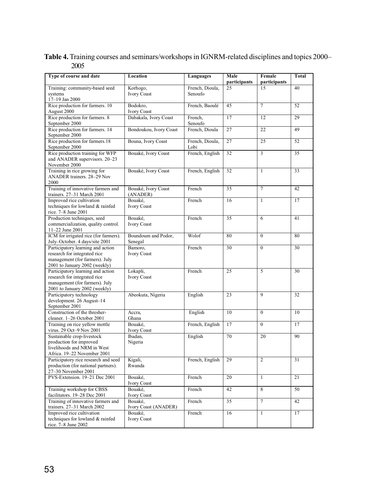**Table 4.** Training courses and seminars/workshops in IGNRM-related disciplines and topics 2000– 2005

| Type of course and date                                                                                                              | Location                        | Languages               | Male<br>participants | Female<br>participants | <b>Total</b> |
|--------------------------------------------------------------------------------------------------------------------------------------|---------------------------------|-------------------------|----------------------|------------------------|--------------|
| Training: community-based seed                                                                                                       | Korhogo,                        | French, Dioula,         | 25                   | 15                     | 40           |
| systems<br>17-19 Jan 2000                                                                                                            | <b>Ivory Coast</b>              | Senoufo                 |                      |                        |              |
| Rice production for farmers. 10<br>August 2000                                                                                       | Bodokro,<br><b>Ivory Coast</b>  | French, Baoulé          | 45                   | $\overline{7}$         | 52           |
| Rice production for farmers. 8<br>September 2000                                                                                     | Dabakala, Ivory Coast           | French,<br>Senoufo      | 17                   | 12                     | 29           |
| Rice production for farmers. 14<br>September 2000                                                                                    | Bondoukou, Ivory Coast          | French, Dioula          | 27                   | 22                     | 49           |
| Rice production for farmers.18<br>September 2000                                                                                     | Bouna, Ivory Coast              | French, Dioula,<br>Lobi | 27                   | 25                     | 52           |
| Rice production training for WFP<br>and ANADER supervisors. 20-23<br>November 2000                                                   | Bouaké, Ivory Coast             | French, English         | 32                   | 3                      | 35           |
| Training in rice growing for<br>ANADER trainers. 28-29 Nov<br>2000                                                                   | Bouaké, Ivory Coast             | French, English         | 32                   | $\mathbf{1}$           | 33           |
| Training of innovative farmers and<br>trainers. 27-31 March 2001                                                                     | Bouaké, Ivory Coast<br>(ANADER) | French                  | 35                   | $\overline{7}$         | 42           |
| Improved rice cultivation<br>techniques for lowland & rainfed<br>rice. 7-8 June 2001                                                 | Bouaké,<br>Ivory Coast          | French                  | 16                   | $\mathbf{1}$           | 17           |
| Production techniques, seed<br>commercialization, quality control.<br>11-22 June 2001                                                | Bouaké,<br>Ivory Coast          | French                  | 35                   | 6                      | 41           |
| ICM for irrigated rice (for farmers).<br>July-October. 4 days/site 2001                                                              | Boundoum and Podor,<br>Senegal  | Wolof                   | 80                   | $\theta$               | 80           |
| Participatory learning and action<br>research for integrated rice<br>management (for farmers). July<br>2001 to January 2002 (weekly) | Bamoro,<br>Ivory Coast          | French                  | 30                   | $\mathbf{0}$           | 30           |
| Participatory learning and action<br>research for integrated rice<br>management (for farmers). July<br>2001 to January 2002 (weekly) | Lokapli,<br>Ivory Coast         | French                  | 25                   | 5                      | 30           |
| Participatory technology<br>development. 26 August-14<br>September 2001                                                              | Abeokuta, Nigeria               | English                 | 23                   | 9                      | 32           |
| Construction of the thresher-<br>cleaner. 1-26 October 2001                                                                          | Accra,<br>Ghana                 | English                 | 10                   | $\theta$               | 10           |
| Training on rice yellow mottle<br>virus. 29 Oct-9 Nov 2001                                                                           | Bouaké,<br>Ivory Coast          | French, English         | 17                   | $\mathbf{0}$           | 17           |
| Sustainable crop-livestock<br>production for improved<br>livelihoods and NRM in West<br>Africa. 19-22 November 2001                  | Ibadan,<br>Nigeria              | English                 | 70                   | 20                     | 90           |
| Participatory rice research and seed<br>production (for national partners).<br>27-30 November 2001                                   | Kigali,<br>Rwanda               | French, English         | 29                   | 2                      | 31           |
| PVS-Extension. 19-21 Dec 2001                                                                                                        | Bouaké,<br>Ivory Coast          | French                  | 20                   | $\mathbf{1}$           | 21           |
| Training workshop for CBSS<br>facilitators. 19–28 Dec 2001                                                                           | Bouaké,<br><b>Ivory Coast</b>   | French                  | 42                   | 8                      | 50           |
| Training of innovative farmers and<br>trainers. 27–31 March 2002                                                                     | Bouaké,<br>Ivory Coast (ANADER) | French                  | 35                   | $\tau$                 | 42           |
| Improved rice cultivation<br>techniques for lowland & rainfed<br>rice. 7-8 June 2002                                                 | Bouaké,<br>Ivory Coast          | French                  | 16                   | $\mathbf{1}$           | 17           |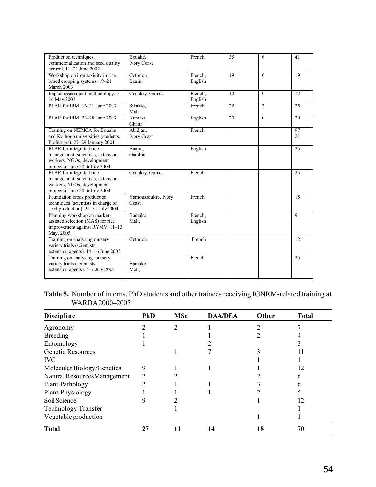| Production techniques,<br>commercialization and seed quality<br>control. 11-22 June 2002                                      | Bouaké,<br><b>Ivory Coast</b>  | French             | 35 | 6                        | 41       |
|-------------------------------------------------------------------------------------------------------------------------------|--------------------------------|--------------------|----|--------------------------|----------|
| Workshop on iron toxicity in rice-<br>based cropping systems. 19-21<br>March 2003                                             | Cotonou,<br>Benin              | French,<br>English | 19 | $\Omega$                 | 19       |
| Impact assessment methodology. 5-<br>16 May 2003                                                                              | Conakry, Guinea                | French,<br>English | 12 | $\Omega$                 | 12       |
| PLAR for IRM, 16-21 June 2003                                                                                                 | Sikasso,<br>Mali               | French             | 22 | $\overline{\mathcal{E}}$ | 25       |
| PLAR for IRM, 23-28 June 2003                                                                                                 | Kumasi,<br>Ghana               | English            | 20 | $\Omega$                 | 20       |
| Training on NERICA for Bouake<br>and Korhogo universities (students,<br>Professors). 27-29 January 2004                       | Abidjan,<br><b>Ivory Coast</b> | French             |    |                          | 97<br>21 |
| PLAR for integrated rice<br>management (scientists, extension<br>workers, NGOs, development<br>projects). June 28-6 July 2004 | Banjul,<br>Gambia              | English            |    |                          | 25       |
| PLAR for integrated rice<br>management (scientists, extension<br>workers, NGOs, development<br>projects). June 28-6 July 2004 | Conakry, Guinea                | French             |    |                          | 25       |
| Foundation seeds production<br>techniques (scientists in charge of<br>seed production). 26-31 July 2004                       | Yamoussoukro, Ivory<br>Coast   | French             |    |                          | 15       |
| Planning workshop on marker-<br>assisted selection (MAS) for rice<br>improvement against RYMV. 11-13<br>May, 2005             | Bamako,<br>Mali,               | French,<br>English |    |                          | 9        |
| Training on analysing nursery<br>variety trials (scientists,<br>extension agents). 14–16 June 2005                            | Cotonou                        | French             |    |                          | 12       |
| Training on analysing nursery<br>variety trials (scientists<br>extension agents). 5-7 July 2005                               | Bamako,<br>Mali,               | French             |    |                          | 25       |

**Table 5.** Number of interns, PhD students and other trainees receiving IGNRM-related training at WARDA 2000–2005

| <b>Discipline</b>           | <b>PhD</b> | <b>MSc</b> | <b>DAA/DEA</b> | Other | <b>Total</b> |
|-----------------------------|------------|------------|----------------|-------|--------------|
| Agronomy                    |            |            |                |       |              |
| <b>Breeding</b>             |            |            |                |       |              |
| Entomology                  |            |            |                |       |              |
| Genetic Resources           |            |            |                |       |              |
| <b>IVC</b>                  |            |            |                |       |              |
| Molecular Biology/Genetics  | 9          |            |                |       | 12           |
| Natural ResourcesManagement |            |            |                |       | n            |
| Plant Pathology             |            |            |                |       |              |
| Plant Physiology            |            |            |                |       |              |
| Soil Science                |            |            |                |       | 12           |
| <b>Technology Transfer</b>  |            |            |                |       |              |
| Vegetable production        |            |            |                |       |              |
| <b>Total</b>                | 27         |            | 14             | 18    | 70           |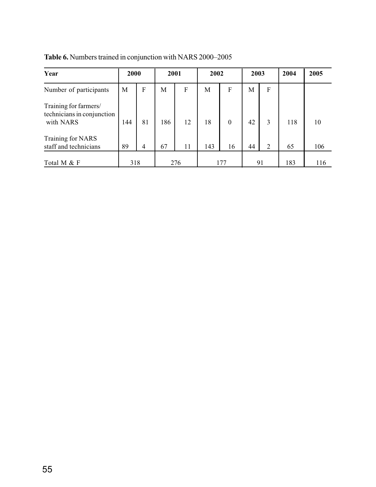**Table 6.** Numbers trained in conjunction with NARS 2000–2005

| Year                                                             | 2000 |    | 2001 |     | 2002 |          | 2003 |                | 2004 | 2005 |
|------------------------------------------------------------------|------|----|------|-----|------|----------|------|----------------|------|------|
| Number of participants                                           | М    | F  | M    | F   | М    | F        | M    | $\mathbf F$    |      |      |
| Training for farmers/<br>technicians in conjunction<br>with NARS | 144  | 81 | 186  | 12  | 18   | $\theta$ | 42   | 3              | 118  | 10   |
| Training for NARS<br>staff and technicians                       | 89   | 4  | 67   | 11  | 143  | 16       | 44   | $\overline{2}$ | 65   | 106  |
| Total M & F                                                      | 318  |    |      | 276 |      | 177      |      | 91             | 183  | 116  |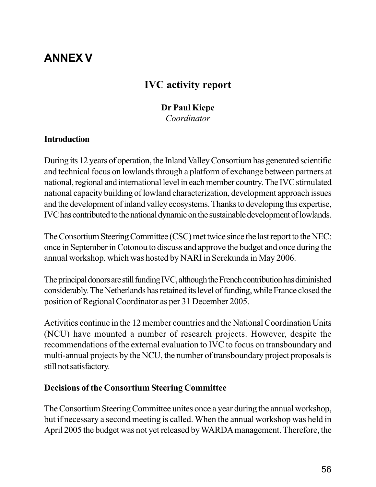# **ANNEX V**

# **IVC activity report**

### **Dr Paul Kiepe**

*Coordinator*

### **Introduction**

During its 12 years of operation, the Inland Valley Consortium has generated scientific and technical focus on lowlands through a platform of exchange between partners at national, regional and international level in each member country. The IVC stimulated national capacity building of lowland characterization, development approach issues and the development of inland valley ecosystems. Thanks to developing this expertise, IVC has contributed to the national dynamic on the sustainable development of lowlands.

The Consortium Steering Committee (CSC) met twice since the last report to the NEC: once in September in Cotonou to discuss and approve the budget and once during the annual workshop, which was hosted by NARI in Serekunda in May 2006.

The principal donors are still funding IVC, although the French contribution has diminished considerably. The Netherlands has retained its level of funding, while France closed the position of Regional Coordinator as per 31 December 2005.

Activities continue in the 12 member countries and the National Coordination Units (NCU) have mounted a number of research projects. However, despite the recommendations of the external evaluation to IVC to focus on transboundary and multi-annual projects by the NCU, the number of transboundary project proposals is still not satisfactory.

### **Decisions of the Consortium Steering Committee**

The Consortium Steering Committee unites once a year during the annual workshop, but if necessary a second meeting is called. When the annual workshop was held in April 2005 the budget was not yet released by WARDA management. Therefore, the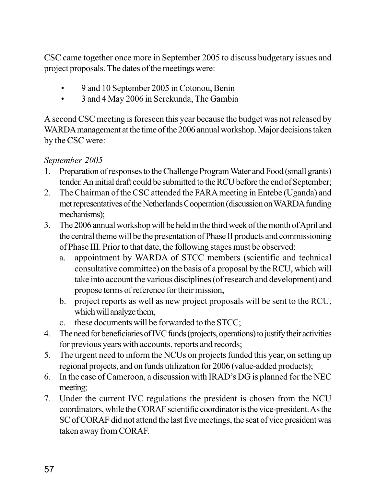CSC came together once more in September 2005 to discuss budgetary issues and project proposals. The dates of the meetings were:

- 9 and 10 September 2005 in Cotonou, Benin
- 3 and 4 May 2006 in Serekunda, The Gambia

A second CSC meeting is foreseen this year because the budget was not released by WARDA management at the time of the 2006 annual workshop. Major decisions taken by the CSC were:

## *September 2005*

- 1. Preparation of responses to the Challenge Program Water and Food (small grants) tender. An initial draft could be submitted to the RCU before the end of September;
- 2. The Chairman of the CSC attended the FARA meeting in Entebe (Uganda) and met representatives of the Netherlands Cooperation (discussion on WARDA funding mechanisms);
- 3. The 2006 annual workshop will be held in the third week of the month of April and the central theme will be the presentation of Phase II products and commissioning of Phase III. Prior to that date, the following stages must be observed:
	- a. appointment by WARDA of STCC members (scientific and technical consultative committee) on the basis of a proposal by the RCU, which will take into account the various disciplines (of research and development) and propose terms of reference for their mission,
	- b. project reports as well as new project proposals will be sent to the RCU, which will analyze them,
	- c. these documents will be forwarded to the STCC;
- 4. The need for beneficiaries of IVC funds (projects, operations) to justify their activities for previous years with accounts, reports and records;
- 5. The urgent need to inform the NCUs on projects funded this year, on setting up regional projects, and on funds utilization for 2006 (value-added products);
- 6. In the case of Cameroon, a discussion with IRAD's DG is planned for the NEC meeting;
- 7. Under the current IVC regulations the president is chosen from the NCU coordinators, while the CORAF scientific coordinator is the vice-president. As the SC of CORAF did not attend the last five meetings, the seat of vice president was taken away from CORAF.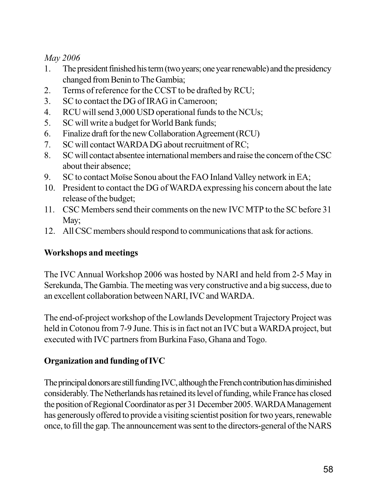*May 2006*

- 1. The president finished his term (two years; one year renewable) and the presidency changed from Benin to The Gambia;
- 2. Terms of reference for the CCST to be drafted by RCU;
- 3. SC to contact the DG of IRAG in Cameroon;
- 4. RCU will send 3,000 USD operational funds to the NCUs;
- 5. SC will write a budget for World Bank funds;
- 6. Finalize draft for the new Collaboration Agreement (RCU)
- 7. SC will contact WARDA DG about recruitment of RC;
- 8. SC will contact absentee international members and raise the concern of the CSC about their absence;
- 9. SC to contact Moïse Sonou about the FAO Inland Valley network in EA;
- 10. President to contact the DG of WARDA expressing his concern about the late release of the budget;
- 11. CSC Members send their comments on the new IVC MTP to the SC before 31 May;
- 12. All CSC members should respond to communications that ask for actions.

# **Workshops and meetings**

The IVC Annual Workshop 2006 was hosted by NARI and held from 2-5 May in Serekunda, The Gambia. The meeting was very constructive and a big success, due to an excellent collaboration between NARI, IVC and WARDA.

The end-of-project workshop of the Lowlands Development Trajectory Project was held in Cotonou from 7-9 June. This is in fact not an IVC but a WARDA project, but executed with IVC partners from Burkina Faso, Ghana and Togo.

# **Organization and funding of IVC**

The principal donors are still funding IVC, although the French contribution has diminished considerably. The Netherlands has retained its level of funding, while France has closed the position of Regional Coordinator as per 31 December 2005. WARDA Management has generously offered to provide a visiting scientist position for two years, renewable once, to fill the gap. The announcement was sent to the directors-general of the NARS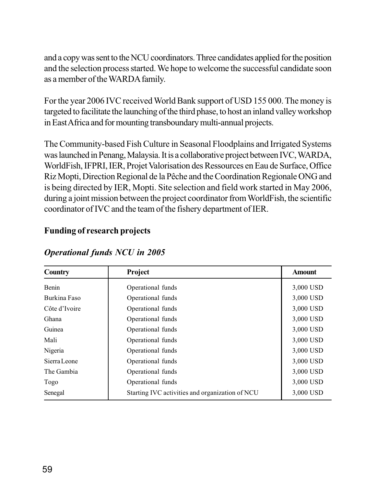and a copy was sent to the NCU coordinators. Three candidates applied for the position and the selection process started. We hope to welcome the successful candidate soon as a member of the WARDA family.

For the year 2006 IVC received World Bank support of USD 155 000. The money is targeted to facilitate the launching of the third phase, to host an inland valley workshop in East Africa and for mounting transboundary multi-annual projects.

The Community-based Fish Culture in Seasonal Floodplains and Irrigated Systems was launched in Penang, Malaysia. It is a collaborative project between IVC, WARDA, WorldFish, IFPRI, IER, Projet Valorisation des Ressources en Eau de Surface, Office Riz Mopti, Direction Regional de la Pêche and the Coordination Regionale ONG and is being directed by IER, Mopti. Site selection and field work started in May 2006, during a joint mission between the project coordinator from WorldFish, the scientific coordinator of IVC and the team of the fishery department of IER.

### **Funding of research projects**

| <b>Country</b> | Project                                         | <b>Amount</b> |
|----------------|-------------------------------------------------|---------------|
| Benin          | Operational funds                               | 3,000 USD     |
| Burkina Faso   | Operational funds                               | 3,000 USD     |
| Côte d'Ivoire  | Operational funds                               | 3,000 USD     |
| Ghana          | Operational funds                               | 3,000 USD     |
| Guinea         | Operational funds                               | 3,000 USD     |
| Mali           | Operational funds                               | 3,000 USD     |
| Nigeria        | Operational funds                               | 3,000 USD     |
| Sierra Leone   | Operational funds                               | 3,000 USD     |
| The Gambia     | Operational funds                               | 3,000 USD     |
| Togo           | Operational funds                               | 3,000 USD     |
| Senegal        | Starting IVC activities and organization of NCU | 3,000 USD     |

### *Operational funds NCU in 2005*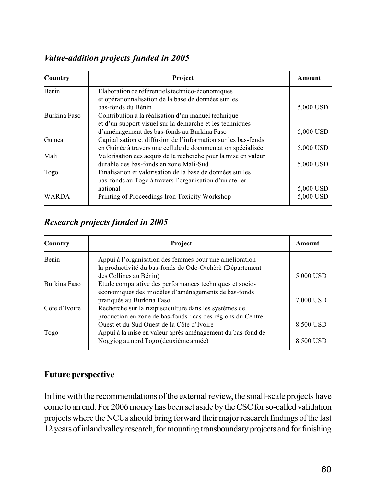## *Value-addition projects funded in 2005*

| Country      | Project                                                        | Amount    |
|--------------|----------------------------------------------------------------|-----------|
| Benin        | Elaboration de référentiels technico-économiques               |           |
|              | et opérationnalisation de la base de données sur les           |           |
|              | bas-fonds du Bénin                                             | 5,000 USD |
| Burkina Faso | Contribution à la réalisation d'un manuel technique            |           |
|              | et d'un support visuel sur la démarche et les techniques       |           |
|              | d'aménagement des bas-fonds au Burkina Faso                    | 5,000 USD |
| Guinea       | Capitalisation et diffusion de l'information sur les bas-fonds |           |
|              | en Guinée à travers une cellule de documentation spécialisée   | 5,000 USD |
| Mali         | Valorisation des acquis de la recherche pour la mise en valeur |           |
|              | durable des bas-fonds en zone Mali-Sud                         | 5,000 USD |
| Togo         | Finalisation et valorisation de la base de données sur les     |           |
|              | bas-fonds au Togo à travers l'organisation d'un atelier        |           |
|              | national                                                       | 5,000 USD |
| WARDA        | Printing of Proceedings Iron Toxicity Workshop                 | 5,000 USD |

### *Research projects funded in 2005*

| Country       | Project                                                                                                                                          | Amount                 |
|---------------|--------------------------------------------------------------------------------------------------------------------------------------------------|------------------------|
| Benin         | Appui à l'organisation des femmes pour une amélioration<br>la productivité du bas-fonds de Odo-Otchèrè (Département<br>des Collines au Bénin)    | 5,000 USD              |
| Burkina Faso  | Etude comparative des performances techniques et socio-<br>économiques des modèles d'aménagements de bas-fonds<br>pratiqués au Burkina Faso      | 7,000 USD              |
| Côte d'Ivoire | Recherche sur la rizipisciculture dans les systèmes de<br>production en zone de bas-fonds : cas des régions du Centre                            |                        |
| Togo          | Quest et du Sud Quest de la Côte d'Ivoire<br>Appui à la mise en valeur après aménagement du bas-fond de<br>Nogyiog au nord Togo (deuxième année) | 8,500 USD<br>8,500 USD |

### **Future perspective**

In line with the recommendations of the external review, the small-scale projects have come to an end. For 2006 money has been set aside by the CSC for so-called validation projects where the NCUs should bring forward their major research findings of the last 12 years of inland valley research, for mounting transboundary projects and for finishing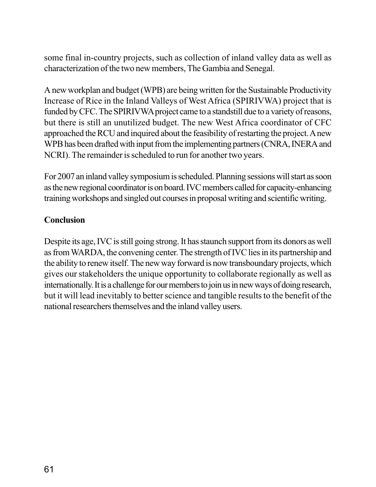some final in-country projects, such as collection of inland valley data as well as characterization of the two new members, The Gambia and Senegal.

A new workplan and budget (WPB) are being written for the Sustainable Productivity Increase of Rice in the Inland Valleys of West Africa (SPIRIVWA) project that is funded by CFC. The SPIRIVWA project came to a standstill due to a variety of reasons, but there is still an unutilized budget. The new West Africa coordinator of CFC approached the RCU and inquired about the feasibility of restarting the project. A new WPB has been drafted with input from the implementing partners (CNRA, INERA and NCRI). The remainder is scheduled to run for another two years.

For 2007 an inland valley symposium is scheduled. Planning sessions will start as soon as the new regional coordinator is on board. IVC members called for capacity-enhancing training workshops and singled out courses in proposal writing and scientific writing.

### **Conclusion**

Despite its age, IVC is still going strong. It has staunch support from its donors as well as from WARDA, the convening center. The strength of IVC lies in its partnership and the ability to renew itself. The new way forward is now transboundary projects, which gives our stakeholders the unique opportunity to collaborate regionally as well as internationally. It is a challenge for our members to join us in new ways of doing research, but it will lead inevitably to better science and tangible results to the benefit of the national researchers themselves and the inland valley users.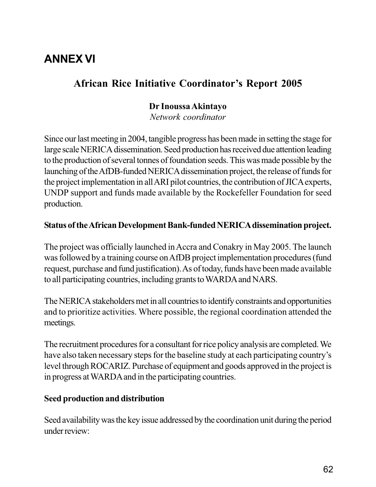# **ANNEX VI**

# **African Rice Initiative Coordinator's Report 2005**

### **Dr Inoussa Akintayo**

*Network coordinator*

Since our last meeting in 2004, tangible progress has been made in setting the stage for large scale NERICA dissemination. Seed production has received due attention leading to the production of several tonnes of foundation seeds. This was made possible by the launching of the AfDB-funded NERICA dissemination project, the release of funds for the project implementation in all ARI pilot countries, the contribution of JICA experts, UNDP support and funds made available by the Rockefeller Foundation for seed production.

### **Status of the African Development Bank-funded NERICA dissemination project.**

The project was officially launched in Accra and Conakry in May 2005. The launch was followed by a training course on AfDB project implementation procedures (fund request, purchase and fund justification). As of today, funds have been made available to all participating countries, including grants to WARDA and NARS.

The NERICA stakeholders met in all countries to identify constraints and opportunities and to prioritize activities. Where possible, the regional coordination attended the meetings.

The recruitment procedures for a consultant for rice policy analysis are completed. We have also taken necessary steps for the baseline study at each participating country's level through ROCARIZ. Purchase of equipment and goods approved in the project is in progress at WARDA and in the participating countries.

### **Seed production and distribution**

Seed availability was the key issue addressed by the coordination unit during the period under review: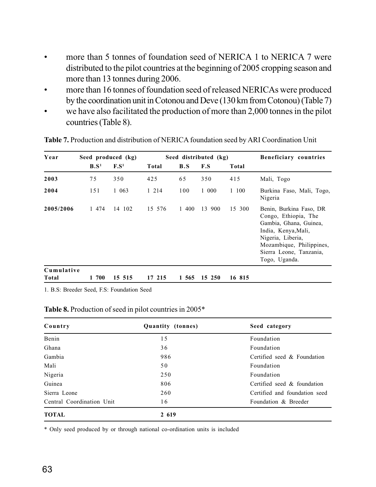- more than 5 tonnes of foundation seed of NERICA 1 to NERICA 7 were distributed to the pilot countries at the beginning of 2005 cropping season and more than 13 tonnes during 2006.
- more than 16 tonnes of foundation seed of released NERICAs were produced by the coordination unit in Cotonou and Deve (130 km from Cotonou) (Table 7)
- we have also facilitated the production of more than 2,000 tonnes in the pilot countries (Table 8).

| Year                | Seed produced (kg) |                  |         |       | Seed distributed (kg) |        | Beneficiary countries                                                                                                                                                                         |  |  |
|---------------------|--------------------|------------------|---------|-------|-----------------------|--------|-----------------------------------------------------------------------------------------------------------------------------------------------------------------------------------------------|--|--|
|                     | B.S <sup>1</sup>   | F.S <sup>1</sup> | Total   | B.S   | F.S                   | Total  |                                                                                                                                                                                               |  |  |
| 2003                | 75                 | 350              | 425     | 65    | 350                   | 415    | Mali, Togo                                                                                                                                                                                    |  |  |
| 2004                | 151                | 1 063            | 1 2 1 4 | 100   | 1 000                 | 1 100  | Burkina Faso, Mali, Togo,<br>Nigeria                                                                                                                                                          |  |  |
| 2005/2006           | 1 474              | 14 102           | 15 576  | 1 400 | 13 900                | 15 300 | Benin, Burkina Faso, DR<br>Congo, Ethiopia, The<br>Gambia, Ghana, Guinea,<br>India, Kenya, Mali,<br>Nigeria, Liberia,<br>Mozambique, Philippines,<br>Sierra Leone, Tanzania,<br>Togo, Uganda. |  |  |
| Cumulative<br>Total | 700<br>1           | 15 515           | 17 215  | 1 565 | 15 250                | 16 815 |                                                                                                                                                                                               |  |  |

**Table 7.** Production and distribution of NERICA foundation seed by ARI Coordination Unit

1. B.S: Breeder Seed, F.S: Foundation Seed

#### **Table 8.** Production of seed in pilot countries in 2005\*

| Country                   | Quantity (tonnes) | Seed category                 |  |  |  |  |
|---------------------------|-------------------|-------------------------------|--|--|--|--|
| Benin                     | 15                | Foundation                    |  |  |  |  |
| Ghana                     | 36                | Foundation                    |  |  |  |  |
| Gambia                    | 986               | Certified seed & Foundation   |  |  |  |  |
| Mali                      | 50                | Foundation                    |  |  |  |  |
| Nigeria                   | 250               | Foundation                    |  |  |  |  |
| Guinea                    | 806               | Certified seed & foundation   |  |  |  |  |
| Sierra Leone              | 260               | Certified and foundation seed |  |  |  |  |
| Central Coordination Unit | 16                | Foundation & Breeder          |  |  |  |  |
| <b>TOTAL</b>              | 2 619             |                               |  |  |  |  |

\* Only seed produced by or through national co-ordination units is included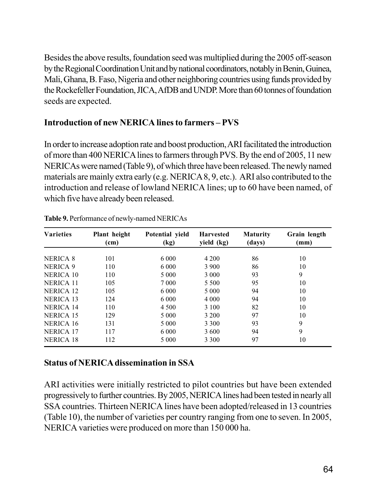Besides the above results, foundation seed was multiplied during the 2005 off-season by the Regional Coordination Unit and by national coordinators, notably in Benin, Guinea, Mali, Ghana, B. Faso, Nigeria and other neighboring countries using funds provided by the Rockefeller Foundation, JICA, AfDB and UNDP. More than 60 tonnes of foundation seeds are expected.

## **Introduction of new NERICA lines to farmers – PVS**

In order to increase adoption rate and boost production, ARI facilitated the introduction of more than 400 NERICA lines to farmers through PVS. By the end of 2005, 11 new NERICAs were named (Table 9), of which three have been released. The newly named materials are mainly extra early (e.g. NERICA 8, 9, etc.). ARI also contributed to the introduction and release of lowland NERICA lines; up to 60 have been named, of which five have already been released.

| <b>Varieties</b> | Plant height<br>(cm) | Potential yield<br>(kg) | <b>Harvested</b><br>yield (kg) | <b>Maturity</b><br>(days) | Grain length<br>(mm) |
|------------------|----------------------|-------------------------|--------------------------------|---------------------------|----------------------|
|                  |                      |                         |                                |                           |                      |
| NERICA 8         | 101                  | 6 0 0 0                 | 4 2 0 0                        | 86                        | 10                   |
| NERICA 9         | 110                  | 6 0 0 0                 | 3 9 0 0                        | 86                        | 10                   |
| NERICA 10        | 110                  | 5 0 0 0                 | 3 0 0 0                        | 93                        | 9                    |
| <b>NERICA 11</b> | 105                  | 7 0 0 0                 | 5 5 0 0                        | 95                        | 10                   |
| <b>NERICA 12</b> | 105                  | 6 0 0 0                 | 5 0 0 0                        | 94                        | 10                   |
| NERICA 13        | 124                  | 6 0 0 0                 | 4 0 0 0                        | 94                        | 10                   |
| <b>NERICA 14</b> | 110                  | 4 5 0 0                 | 3 100                          | 82                        | 10                   |
| NERICA 15        | 129                  | 5 0 0 0                 | 3 2 0 0                        | 97                        | 10                   |
| NERICA 16        | 131                  | 5 0 0 0                 | 3 3 0 0                        | 93                        | 9                    |
| <b>NERICA 17</b> | 117                  | 6 0 0 0                 | 3 600                          | 94                        | 9                    |
| <b>NERICA 18</b> | 112                  | 5 0 0 0                 | 3 3 0 0                        | 97                        | 10                   |

**Table 9.** Performance of newly-named NERICAs

### **Status of NERICA dissemination in SSA**

ARI activities were initially restricted to pilot countries but have been extended progressively to further countries. By 2005, NERICA lines had been tested in nearly all SSA countries. Thirteen NERICA lines have been adopted/released in 13 countries (Table 10), the number of varieties per country ranging from one to seven. In 2005, NERICA varieties were produced on more than 150 000 ha.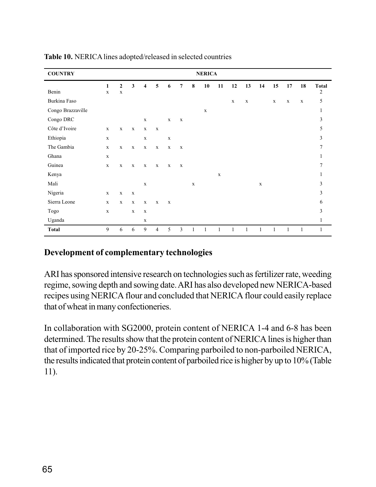| <b>COUNTRY</b>    |             |              |              |             |                |             |                |             | <b>NERICA</b> |             |              |              |              |              |              |              |              |
|-------------------|-------------|--------------|--------------|-------------|----------------|-------------|----------------|-------------|---------------|-------------|--------------|--------------|--------------|--------------|--------------|--------------|--------------|
|                   | 1           | $\mathbf{2}$ | $\mathbf{3}$ | 4           | 5              | 6           | $\overline{7}$ | 8           | ${\bf 10}$    | 11          | 12           | 13           | 14           | 15           | 17           | 18           | <b>Total</b> |
| Benin             | $\mathbf X$ | $\mathbf X$  |              |             |                |             |                |             |               |             |              |              |              |              |              |              | 2            |
| Burkina Faso      |             |              |              |             |                |             |                |             |               |             | $\mathbf X$  | $\mathbf X$  |              | $\mathbf X$  | $\mathbf X$  | $\mathbf X$  | 5            |
| Congo Brazzaville |             |              |              |             |                |             |                |             | $\mathbf X$   |             |              |              |              |              |              |              | 1            |
| Congo DRC         |             |              |              | $\mathbf X$ |                | $\mathbf x$ | $\mathbf X$    |             |               |             |              |              |              |              |              |              | 3            |
| Côte d'Ivoire     | $\mathbf X$ | $\mathbf X$  | $\mathbf X$  | $\mathbf X$ | $\mathbf X$    |             |                |             |               |             |              |              |              |              |              |              | 5            |
| Ethiopia          | $\mathbf X$ |              |              | $\mathbf X$ |                | $\mathbf X$ |                |             |               |             |              |              |              |              |              |              | 3            |
| The Gambia        | $\mathbf X$ | $\mathbf X$  | $\mathbf X$  | $\mathbf X$ | $\mathbf X$    | $\mathbf X$ | $\mathbf X$    |             |               |             |              |              |              |              |              |              | $\tau$       |
| Ghana             | $\mathbf X$ |              |              |             |                |             |                |             |               |             |              |              |              |              |              |              | 1            |
| Guinea            | $\mathbf X$ | $\mathbf X$  | $\mathbf x$  | $\mathbf x$ | $\mathbf x$    | $\mathbf X$ | $\mathbf x$    |             |               |             |              |              |              |              |              |              | $\tau$       |
| Kenya             |             |              |              |             |                |             |                |             |               | $\mathbf X$ |              |              |              |              |              |              | 1            |
| Mali              |             |              |              | $\mathbf X$ |                |             |                | $\mathbf X$ |               |             |              |              | $\mathbf X$  |              |              |              | 3            |
| Nigeria           | $\mathbf X$ | $\mathbf X$  | $\mathbf X$  |             |                |             |                |             |               |             |              |              |              |              |              |              | 3            |
| Sierra Leone      | $\mathbf X$ | $\mathbf X$  | $\mathbf X$  | $\mathbf X$ | $\mathbf X$    | $\mathbf X$ |                |             |               |             |              |              |              |              |              |              | 6            |
| Togo              | $\mathbf X$ |              | $\mathbf X$  | $\mathbf X$ |                |             |                |             |               |             |              |              |              |              |              |              | 3            |
| Uganda            |             |              |              | $\mathbf X$ |                |             |                |             |               |             |              |              |              |              |              |              | $\mathbf{1}$ |
| <b>Total</b>      | 9           | 6            | 6            | 9           | $\overline{4}$ | 5           | 3              |             | 1             | 1           | $\mathbf{1}$ | $\mathbf{1}$ | $\mathbf{1}$ | $\mathbf{1}$ | $\mathbf{1}$ | $\mathbf{1}$ | $\mathbf{1}$ |

**Table 10.** NERICA lines adopted/released in selected countries

### **Development of complementary technologies**

ARI has sponsored intensive research on technologies such as fertilizer rate, weeding regime, sowing depth and sowing date. ARI has also developed new NERICA-based recipes using NERICA flour and concluded that NERICA flour could easily replace that of wheat in many confectioneries.

In collaboration with SG2000, protein content of NERICA 1-4 and 6-8 has been determined. The results show that the protein content of NERICA lines is higher than that of imported rice by 20-25%. Comparing parboiled to non-parboiled NERICA, the results indicated that protein content of parboiled rice is higher by up to 10% (Table 11).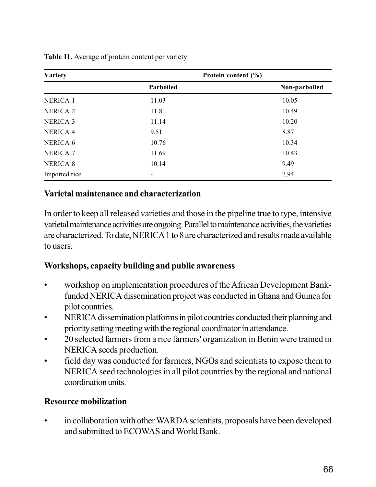| <b>Variety</b>  | Protein content (%) |               |
|-----------------|---------------------|---------------|
|                 | Parboiled           | Non-parboiled |
| NERICA 1        | 11.03               | 10.05         |
| <b>NERICA 2</b> | 11.81               | 10.49         |
| <b>NERICA 3</b> | 11.14               | 10.20         |
| <b>NERICA 4</b> | 9.51                | 8.87          |
| NERICA 6        | 10.76               | 10.34         |
| <b>NERICA 7</b> | 11.69               | 10.43         |
| <b>NERICA 8</b> | 10.14               | 9.49          |
| Imported rice   |                     | 7,94          |

**Table 11.** Average of protein content per variety

### **Varietal maintenance and characterization**

In order to keep all released varieties and those in the pipeline true to type, intensive varietal maintenance activities are ongoing. Parallel to maintenance activities, the varieties are characterized. To date, NERICA 1 to 8 are characterized and results made available to users.

### **Workshops, capacity building and public awareness**

- workshop on implementation procedures of the African Development Bankfunded NERICA dissemination project was conducted in Ghana and Guinea for pilot countries.
- NERICA dissemination platforms in pilot countries conducted their planning and priority setting meeting with the regional coordinator in attendance.
- 20 selected farmers from a rice farmers' organization in Benin were trained in NERICA seeds production.
- field day was conducted for farmers, NGOs and scientists to expose them to NERICA seed technologies in all pilot countries by the regional and national coordination units.

### **Resource mobilization**

• in collaboration with other WARDA scientists, proposals have been developed and submitted to ECOWAS and World Bank.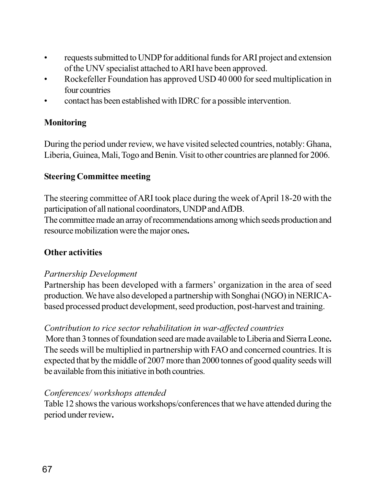- requests submitted to UNDP for additional funds for ARI project and extension of the UNV specialist attached to ARI have been approved.
- Rockefeller Foundation has approved USD 40 000 for seed multiplication in four countries
- contact has been established with IDRC for a possible intervention.

### **Monitoring**

During the period under review, we have visited selected countries, notably: Ghana, Liberia, Guinea, Mali, Togo and Benin. Visit to other countries are planned for 2006.

### **Steering Committee meeting**

The steering committee of ARI took place during the week of April 18-20 with the participation of all national coordinators, UNDP and AfDB.

The committee made an array of recommendations among which seeds production and resource mobilization were the major ones**.**

### **Other activities**

### *Partnership Development*

Partnership has been developed with a farmers' organization in the area of seed production. We have also developed a partnership with Songhai (NGO) in NERICAbased processed product development, seed production, post-harvest and training.

### *Contribution to rice sector rehabilitation in war-affected countries*

More than 3 tonnes of foundation seed are made available to Liberia and Sierra Leone**.** The seeds will be multiplied in partnership with FAO and concerned countries. It is expected that by the middle of 2007 more than 2000 tonnes of good quality seeds will be available from this initiative in both countries.

### *Conferences/ workshops attended*

Table 12 shows the various workshops/conferences that we have attended during the period under review**.**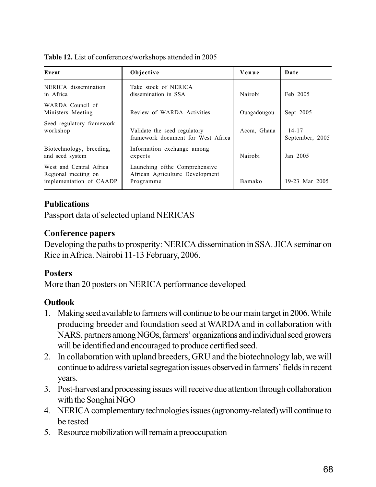**Table 12.** List of conferences/workshops attended in 2005

| Event                                                                             | Objective                                                                      | Venue        | Date                         |
|-----------------------------------------------------------------------------------|--------------------------------------------------------------------------------|--------------|------------------------------|
| NERICA dissemination<br>Take stock of NERICA<br>in Africa<br>dissemination in SSA |                                                                                | Nairobi      | Feb 2005                     |
| WARDA Council of<br>Ministers Meeting                                             | Review of WARDA Activities                                                     | Ouagadougou  | Sept 2005                    |
| Seed regulatory framework<br>workshop                                             | Validate the seed regulatory<br>framework document for West Africa             | Accra, Ghana | $14 - 17$<br>September, 2005 |
| Biotechnology, breeding,<br>and seed system                                       | Information exchange among<br>experts                                          | Nairobi      | Jan 2005                     |
| West and Central Africa<br>Regional meeting on<br>implementation of CAADP         | Launching of the Comprehensive<br>African Agriculture Development<br>Programme | Bamako       | 19-23 Mar 2005               |

## **Publications**

Passport data of selected upland NERICAS

## **Conference papers**

Developing the paths to prosperity: NERICA dissemination in SSA. JICA seminar on Rice in Africa. Nairobi 11-13 February, 2006.

## **Posters**

More than 20 posters on NERICA performance developed

## **Outlook**

- 1. Making seed available to farmers will continue to be our main target in 2006. While producing breeder and foundation seed at WARDA and in collaboration with NARS, partners among NGOs, farmers' organizations and individual seed growers will be identified and encouraged to produce certified seed.
- 2. In collaboration with upland breeders, GRU and the biotechnology lab, we will continue to address varietal segregation issues observed in farmers' fields in recent years.
- 3. Post-harvest and processing issues will receive due attention through collaboration with the Songhai NGO
- 4. NERICA complementary technologies issues (agronomy-related) will continue to be tested
- 5. Resource mobilization will remain a preoccupation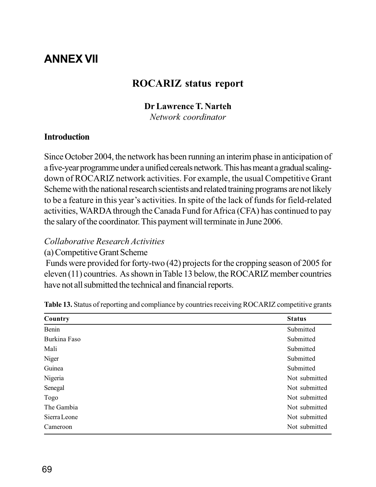# **ANNEX VII**

## **ROCARIZ status report**

#### **Dr Lawrence T. Narteh**

*Network coordinator*

#### **Introduction**

Since October 2004, the network has been running an interim phase in anticipation of a five-year programme under a unified cereals network. This has meant a gradual scalingdown of ROCARIZ network activities. For example, the usual Competitive Grant Scheme with the national research scientists and related training programs are not likely to be a feature in this year's activities. In spite of the lack of funds for field-related activities, WARDA through the Canada Fund for Africa (CFA) has continued to pay the salary of the coordinator. This payment will terminate in June 2006.

#### *Collaborative Research Activities*

(a) Competitive Grant Scheme

 Funds were provided for forty-two (42) projects for the cropping season of 2005 for eleven (11) countries. As shown in Table 13 below, the ROCARIZ member countries have not all submitted the technical and financial reports.

| Country      | <b>Status</b> |
|--------------|---------------|
| Benin        | Submitted     |
| Burkina Faso | Submitted     |
| Mali         | Submitted     |
| Niger        | Submitted     |
| Guinea       | Submitted     |
| Nigeria      | Not submitted |
| Senegal      | Not submitted |
| Togo         | Not submitted |
| The Gambia   | Not submitted |
| Sierra Leone | Not submitted |
| Cameroon     | Not submitted |

**Table 13.** Status of reporting and compliance by countries receiving ROCARIZ competitive grants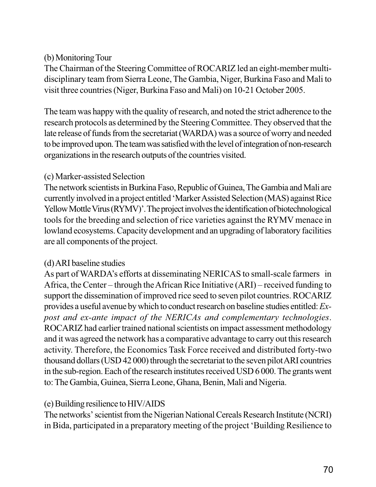## (b) Monitoring Tour

The Chairman of the Steering Committee of ROCARIZ led an eight-member multidisciplinary team from Sierra Leone, The Gambia, Niger, Burkina Faso and Mali to visit three countries (Niger, Burkina Faso and Mali) on 10-21 October 2005.

The team was happy with the quality of research, and noted the strict adherence to the research protocols as determined by the Steering Committee. They observed that the late release of funds from the secretariat (WARDA) was a source of worry and needed to be improved upon. The team was satisfied with the level of integration of non-research organizations in the research outputs of the countries visited.

## (c) Marker-assisted Selection

The network scientists in Burkina Faso, Republic of Guinea, The Gambia and Mali are currently involved in a project entitled 'Marker Assisted Selection (MAS) against Rice Yellow Mottle Virus (RYMV)'. The project involves the identification of biotechnological tools for the breeding and selection of rice varieties against the RYMV menace in lowland ecosystems. Capacity development and an upgrading of laboratory facilities are all components of the project.

## (d) ARI baseline studies

As part of WARDA's efforts at disseminating NERICAS to small-scale farmers in Africa, the Center – through the African Rice Initiative (ARI) – received funding to support the dissemination of improved rice seed to seven pilot countries. ROCARIZ provides a useful avenue by which to conduct research on baseline studies entitled: *Expost and ex-ante impact of the NERICAs and complementary technologies*. ROCARIZ had earlier trained national scientists on impact assessment methodology and it was agreed the network has a comparative advantage to carry out this research activity. Therefore, the Economics Task Force received and distributed forty-two thousand dollars (USD 42 000) through the secretariat to the seven pilot ARI countries in the sub-region. Each of the research institutes received USD 6 000. The grants went to: The Gambia, Guinea, Sierra Leone, Ghana, Benin, Mali and Nigeria.

## (e) Building resilience to HIV/AIDS

The networks' scientist from the Nigerian National Cereals Research Institute (NCRI) in Bida, participated in a preparatory meeting of the project 'Building Resilience to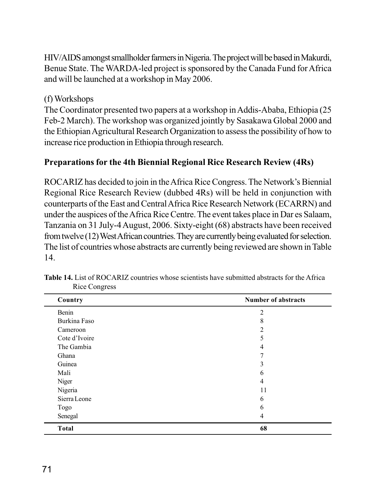HIV/AIDS amongst smallholder farmers in Nigeria. The project will be based in Makurdi, Benue State. The WARDA-led project is sponsored by the Canada Fund for Africa and will be launched at a workshop in May 2006.

## (f) Workshops

The Coordinator presented two papers at a workshop in Addis-Ababa, Ethiopia (25 Feb-2 March). The workshop was organized jointly by Sasakawa Global 2000 and the Ethiopian Agricultural Research Organization to assess the possibility of how to increase rice production in Ethiopia through research.

## **Preparations for the 4th Biennial Regional Rice Research Review (4Rs)**

ROCARIZ has decided to join in the Africa Rice Congress. The Network's Biennial Regional Rice Research Review (dubbed 4Rs) will be held in conjunction with counterparts of the East and Central Africa Rice Research Network (ECARRN) and under the auspices of the Africa Rice Centre. The event takes place in Dar es Salaam, Tanzania on 31 July-4 August, 2006. Sixty-eight (68) abstracts have been received from twelve (12) West African countries. They are currently being evaluated for selection. The list of countries whose abstracts are currently being reviewed are shown in Table 14.

| Country       | <b>Number of abstracts</b> |  |  |
|---------------|----------------------------|--|--|
| Benin         | $\overline{2}$             |  |  |
| Burkina Faso  | 8                          |  |  |
| Cameroon      | $\overline{2}$             |  |  |
| Cote d'Ivoire | 5                          |  |  |
| The Gambia    | 4                          |  |  |
| Ghana         | 7                          |  |  |
| Guinea        | 3                          |  |  |
| Mali          | 6                          |  |  |
| Niger         | 4                          |  |  |
| Nigeria       | 11                         |  |  |
| Sierra Leone  | 6                          |  |  |
| Togo          | 6                          |  |  |
| Senegal       | 4                          |  |  |
| <b>Total</b>  | 68                         |  |  |

**Table 14.** List of ROCARIZ countries whose scientists have submitted abstracts for the Africa Rice Congress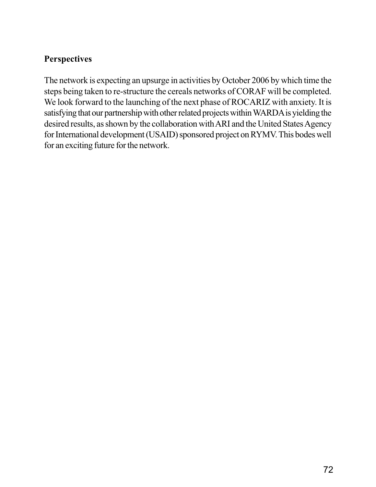## **Perspectives**

The network is expecting an upsurge in activities by October 2006 by which time the steps being taken to re-structure the cereals networks of CORAF will be completed. We look forward to the launching of the next phase of ROCARIZ with anxiety. It is satisfying that our partnership with other related projects within WARDA is yielding the desired results, as shown by the collaboration with ARI and the United States Agency for International development (USAID) sponsored project on RYMV. This bodes well for an exciting future for the network.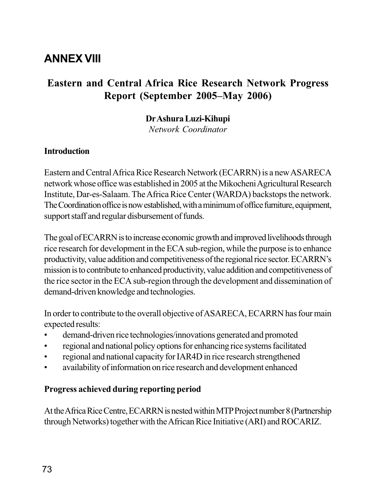# **ANNEX VIII**

## **Eastern and Central Africa Rice Research Network Progress Report (September 2005–May 2006)**

#### **Dr Ashura Luzi-Kihupi**

*Network Coordinator*

#### **Introduction**

Eastern and Central Africa Rice Research Network (ECARRN) is a new ASARECA network whose office was established in 2005 at the Mikocheni Agricultural Research Institute, Dar-es-Salaam. The Africa Rice Center (WARDA) backstops the network. The Coordination office is now established, with a minimum of office furniture, equipment, support staff and regular disbursement of funds.

The goal of ECARRN is to increase economic growth and improved livelihoods through rice research for development in the ECA sub-region, while the purpose is to enhance productivity, value addition and competitiveness of the regional rice sector. ECARRN's mission is to contribute to enhanced productivity, value addition and competitiveness of the rice sector in the ECA sub-region through the development and dissemination of demand-driven knowledge and technologies.

In order to contribute to the overall objective of ASARECA, ECARRN has four main expected results:

- demand-driven rice technologies/innovations generated and promoted
- regional and national policy options for enhancing rice systems facilitated
- regional and national capacity for IAR4D in rice research strengthened
- availability of information on rice research and development enhanced

#### **Progress achieved during reporting period**

At the Africa Rice Centre, ECARRN is nested within MTP Project number 8 (Partnership through Networks) together with the African Rice Initiative (ARI) and ROCARIZ.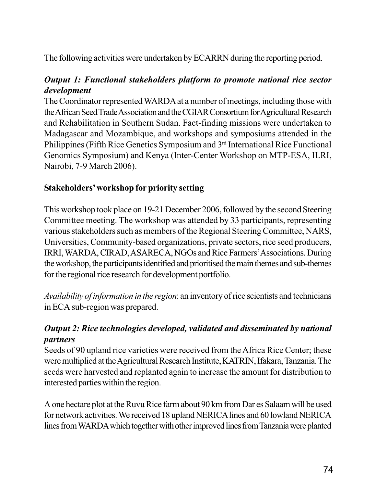The following activities were undertaken by ECARRN during the reporting period.

## *Output 1: Functional stakeholders platform to promote national rice sector development*

The Coordinator represented WARDA at a number of meetings, including those with the African Seed Trade Association and the CGIAR Consortium for Agricultural Research and Rehabilitation in Southern Sudan. Fact-finding missions were undertaken to Madagascar and Mozambique, and workshops and symposiums attended in the Philippines (Fifth Rice Genetics Symposium and 3<sup>rd</sup> International Rice Functional Genomics Symposium) and Kenya (Inter-Center Workshop on MTP-ESA, ILRI, Nairobi, 7-9 March 2006).

## **Stakeholders' workshop for priority setting**

This workshop took place on 19-21 December 2006, followed by the second Steering Committee meeting. The workshop was attended by 33 participants, representing various stakeholders such as members of the Regional Steering Committee, NARS, Universities, Community-based organizations, private sectors, rice seed producers, IRRI, WARDA, CIRAD, ASARECA, NGOs and Rice Farmers' Associations. During the workshop, the participants identified and prioritised the main themes and sub-themes for the regional rice research for development portfolio.

*Availability of information in the region*: an inventory of rice scientists and technicians in ECA sub-region was prepared.

## *Output 2: Rice technologies developed, validated and disseminated by national partners*

Seeds of 90 upland rice varieties were received from the Africa Rice Center; these were multiplied at the Agricultural Research Institute, KATRIN, Ifakara, Tanzania. The seeds were harvested and replanted again to increase the amount for distribution to interested parties within the region.

A one hectare plot at the Ruvu Rice farm about 90 km from Dar es Salaam will be used for network activities. We received 18 upland NERICA lines and 60 lowland NERICA lines from WARDA which together with other improved lines from Tanzania were planted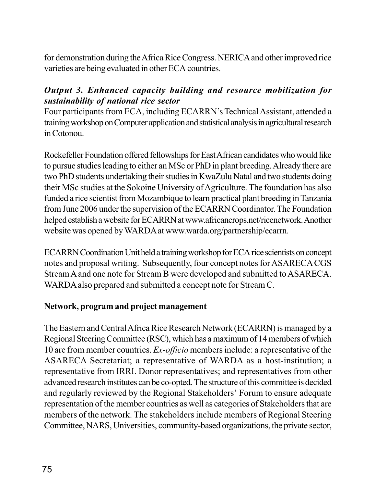for demonstration during the Africa Rice Congress. NERICA and other improved rice varieties are being evaluated in other ECA countries.

## *Output 3. Enhanced capacity building and resource mobilization for sustainability of national rice sector*

Four participants from ECA, including ECARRN's Technical Assistant, attended a training workshop on Computer application and statistical analysis in agricultural research in Cotonou.

Rockefeller Foundation offered fellowships for East African candidates who would like to pursue studies leading to either an MSc or PhD in plant breeding. Already there are two PhD students undertaking their studies in KwaZulu Natal and two students doing their MSc studies at the Sokoine University of Agriculture. The foundation has also funded a rice scientist from Mozambique to learn practical plant breeding in Tanzania from June 2006 under the supervision of the ECARRN Coordinator. The Foundation helped establish a website for ECARRN at www.africancrops.net/ricenetwork. Another website was opened by WARDA at www.warda.org/partnership/ecarrn.

ECARRN Coordination Unit held a training workshop for ECA rice scientists on concept notes and proposal writing. Subsequently, four concept notes for ASARECA CGS Stream A and one note for Stream B were developed and submitted to ASARECA. WARDA also prepared and submitted a concept note for Stream C*.*

## **Network, program and project management**

The Eastern and Central Africa Rice Research Network (ECARRN) is managed by a Regional Steering Committee (RSC), which has a maximum of 14 members of which 10 are from member countries. *Ex-officio* members include: a representative of the ASARECA Secretariat; a representative of WARDA as a host-institution; a representative from IRRI. Donor representatives; and representatives from other advanced research institutes can be co-opted. The structure of this committee is decided and regularly reviewed by the Regional Stakeholders' Forum to ensure adequate representation of the member countries as well as categories of Stakeholders that are members of the network. The stakeholders include members of Regional Steering Committee, NARS, Universities, community-based organizations, the private sector,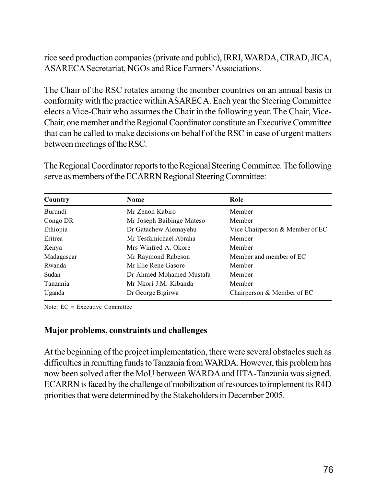rice seed production companies (private and public), IRRI, WARDA, CIRAD, JICA, ASARECA Secretariat, NGOs and Rice Farmers' Associations.

The Chair of the RSC rotates among the member countries on an annual basis in conformity with the practice within ASARECA. Each year the Steering Committee elects a Vice-Chair who assumes the Chair in the following year. The Chair, Vice-Chair, one member and the Regional Coordinator constitute an Executive Committee that can be called to make decisions on behalf of the RSC in case of urgent matters between meetings of the RSC.

The Regional Coordinator reports to the Regional Steering Committee. The following serve as members of the ECARRN Regional Steering Committee:

| Country    | Name                      | Role                            |  |
|------------|---------------------------|---------------------------------|--|
| Burundi    | Mr Zenon Kabiro           | Member                          |  |
| Congo DR   | Mr Joseph Baibinge Mateso | Member                          |  |
| Ethiopia   | Dr Gatachew Alemayehu     | Vice Chairperson & Member of EC |  |
| Eritrea    | Mr Tesfamichael Abraha    | Member                          |  |
| Kenya      | Mrs Winfred A. Okore      | Member                          |  |
| Madagascar | Mr Raymond Rabeson        | Member and member of EC         |  |
| Rwanda     | Mr Elie Rene Gasore       | Member                          |  |
| Sudan      | Dr Ahmed Mohamed Mustafa  | Member                          |  |
| Tanzania   | Mr Nkori J.M. Kibanda     | Member                          |  |
| Uganda     | Dr George Bigirwa         | Chairperson & Member of EC      |  |

Note: EC = Executive Committee

#### **Major problems, constraints and challenges**

At the beginning of the project implementation, there were several obstacles such as difficulties in remitting funds to Tanzania from WARDA. However, this problem has now been solved after the MoU between WARDA and IITA-Tanzania was signed. ECARRN is faced by the challenge of mobilization of resources to implement its R4D priorities that were determined by the Stakeholders in December 2005.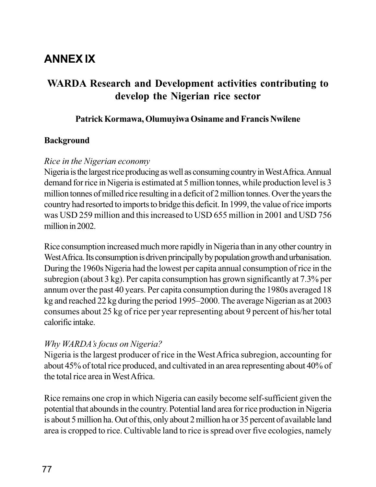# **ANNEX IX**

## **WARDA Research and Development activities contributing to develop the Nigerian rice sector**

#### **Patrick Kormawa, Olumuyiwa Osiname and Francis Nwilene**

#### **Background**

#### *Rice in the Nigerian economy*

Nigeria is the largest rice producing as well as consuming country in West Africa. Annual demand for rice in Nigeria is estimated at 5 million tonnes, while production level is 3 million tonnes of milled rice resulting in a deficit of 2 million tonnes. Over the years the country had resorted to imports to bridge this deficit. In 1999, the value of rice imports was USD 259 million and this increased to USD 655 million in 2001 and USD 756 million in 2002.

Rice consumption increased much more rapidly in Nigeria than in any other country in West Africa. Its consumption is driven principally by population growth and urbanisation. During the 1960s Nigeria had the lowest per capita annual consumption of rice in the subregion (about 3 kg). Per capita consumption has grown significantly at 7.3% per annum over the past 40 years. Per capita consumption during the 1980s averaged 18 kg and reached 22 kg during the period 1995–2000. The average Nigerian as at 2003 consumes about 25 kg of rice per year representing about 9 percent of his/her total calorific intake.

#### *Why WARDA's focus on Nigeria?*

Nigeria is the largest producer of rice in the West Africa subregion, accounting for about 45% of total rice produced, and cultivated in an area representing about 40% of the total rice area in West Africa.

Rice remains one crop in which Nigeria can easily become self-sufficient given the potential that abounds in the country. Potential land area for rice production in Nigeria is about 5 million ha. Out of this, only about 2 million ha or 35 percent of available land area is cropped to rice. Cultivable land to rice is spread over five ecologies, namely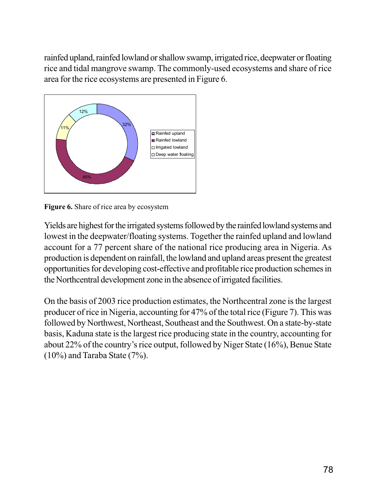rainfed upland, rainfed lowland or shallow swamp, irrigated rice, deepwater or floating rice and tidal mangrove swamp. The commonly-used ecosystems and share of rice area for the rice ecosystems are presented in Figure 6.



**Figure 6.** Share of rice area by ecosystem

Yields are highest for the irrigated systems followed by the rainfed lowland systems and lowest in the deepwater/floating systems. Together the rainfed upland and lowland account for a 77 percent share of the national rice producing area in Nigeria. As production is dependent on rainfall, the lowland and upland areas present the greatest opportunities for developing cost-effective and profitable rice production schemes in the Northcentral development zone in the absence of irrigated facilities.

On the basis of 2003 rice production estimates, the Northcentral zone is the largest producer of rice in Nigeria, accounting for 47% of the total rice (Figure 7). This was followed by Northwest, Northeast, Southeast and the Southwest. On a state-by-state basis, Kaduna state is the largest rice producing state in the country, accounting for about 22% of the country's rice output, followed by Niger State (16%), Benue State (10%) and Taraba State (7%).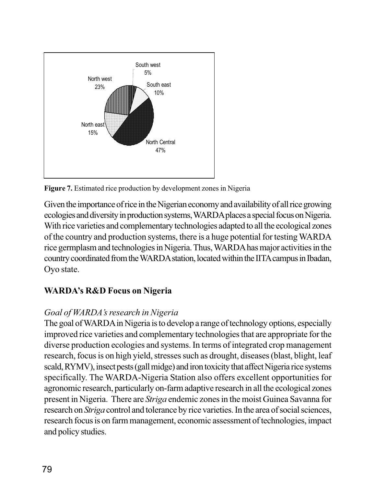

**Figure 7.** Estimated rice production by development zones in Nigeria

Given the importance of rice in the Nigerian economy and availability of all rice growing ecologies and diversity in production systems, WARDA places a special focus on Nigeria. With rice varieties and complementary technologies adapted to all the ecological zones of the country and production systems, there is a huge potential for testing WARDA rice germplasm and technologies in Nigeria. Thus, WARDA has major activities in the country coordinated from the WARDA station, located within the IITA campus in Ibadan, Oyo state.

## **WARDA's R&D Focus on Nigeria**

## *Goal of WARDA's research in Nigeria*

The goal of WARDA in Nigeria is to develop a range of technology options, especially improved rice varieties and complementary technologies that are appropriate for the diverse production ecologies and systems. In terms of integrated crop management research, focus is on high yield, stresses such as drought, diseases (blast, blight, leaf scald, RYMV), insect pests (gall midge) and iron toxicity that affect Nigeria rice systems specifically. The WARDA-Nigeria Station also offers excellent opportunities for agronomic research, particularly on-farm adaptive research in all the ecological zones present in Nigeria. There are *Striga* endemic zones in the moist Guinea Savanna for research on *Striga* control and tolerance by rice varieties. In the area of social sciences, research focus is on farm management, economic assessment of technologies, impact and policy studies.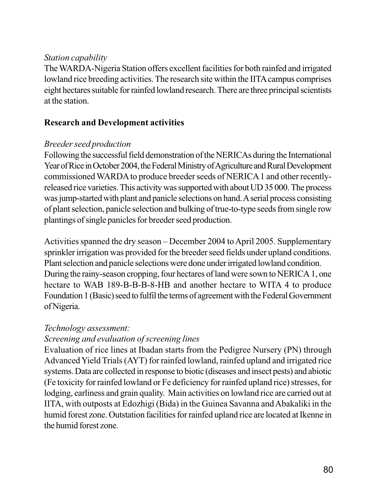#### *Station capability*

The WARDA-Nigeria Station offers excellent facilities for both rainfed and irrigated lowland rice breeding activities. The research site within the IITA campus comprises eight hectares suitable for rainfed lowland research. There are three principal scientists at the station.

#### **Research and Development activities**

#### *Breeder seed production*

Following the successful field demonstration of the NERICAs during the International Year of Rice in October 2004, the Federal Ministry of Agriculture and Rural Development commissioned WARDA to produce breeder seeds of NERICA 1 and other recentlyreleased rice varieties. This activity was supported with about UD 35 000. The process was jump-started with plant and panicle selections on hand. A serial process consisting of plant selection, panicle selection and bulking of true-to-type seeds from single row plantings of single panicles for breeder seed production.

Activities spanned the dry season – December 2004 to April 2005. Supplementary sprinkler irrigation was provided for the breeder seed fields under upland conditions. Plant selection and panicle selections were done under irrigated lowland condition. During the rainy-season cropping, four hectares of land were sown to NERICA 1, one hectare to WAB 189-B-B-B-8-HB and another hectare to WITA 4 to produce Foundation 1 (Basic) seed to fulfil the terms of agreement with the Federal Government of Nigeria.

#### *Technology assessment:*

## *Screening and evaluation of screening lines*

Evaluation of rice lines at Ibadan starts from the Pedigree Nursery (PN) through Advanced Yield Trials (AYT) for rainfed lowland, rainfed upland and irrigated rice systems. Data are collected in response to biotic (diseases and insect pests) and abiotic (Fe toxicity for rainfed lowland or Fe deficiency for rainfed upland rice) stresses, for lodging, earliness and grain quality. Main activities on lowland rice are carried out at IITA, with outposts at Edozhigi (Bida) in the Guinea Savanna and Abakaliki in the humid forest zone. Outstation facilities for rainfed upland rice are located at Ikenne in the humid forest zone.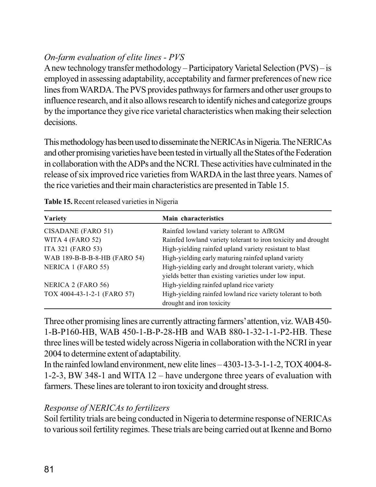## *On-farm evaluation of elite lines - PVS*

A new technology transfer methodology – Participatory Varietal Selection (PVS) – is employed in assessing adaptability, acceptability and farmer preferences of new rice lines from WARDA. The PVS provides pathways for farmers and other user groups to influence research, and it also allows research to identify niches and categorize groups by the importance they give rice varietal characteristics when making their selection decisions.

This methodology has been used to disseminate the NERICAs in Nigeria. The NERICAs and other promising varieties have been tested in virtually all the States of the Federation in collaboration with the ADPs and the NCRI. These activities have culminated in the release of six improved rice varieties from WARDA in the last three years. Names of the rice varieties and their main characteristics are presented in Table 15.

| Variety                      | Main characteristics                                          |
|------------------------------|---------------------------------------------------------------|
| CISADANE (FARO 51)           | Rainfed lowland variety tolerant to AfRGM                     |
| WITA 4 (FARO 52)             | Rainfed lowland variety tolerant to iron toxicity and drought |
| ITA 321 (FARO 53)            | High-yielding rainfed upland variety resistant to blast       |
| WAB 189-B-B-B-8-HB (FARO 54) | High-yielding early maturing rainfed upland variety           |
| NERICA 1 (FARO 55)           | High-yielding early and drought tolerant variety, which       |
|                              | yields better than existing varieties under low input.        |
| NERICA 2 (FARO 56)           | High-yielding rainfed upland rice variety                     |
| TOX 4004-43-1-2-1 (FARO 57)  | High-yielding rainfed lowland rice variety tolerant to both   |
|                              | drought and iron toxicity                                     |

| Table 15. Recent released varieties in Nigeria |  |  |  |  |  |
|------------------------------------------------|--|--|--|--|--|
|------------------------------------------------|--|--|--|--|--|

Three other promising lines are currently attracting farmers' attention, viz. WAB 450- 1-B-P160-HB, WAB 450-1-B-P-28-HB and WAB 880-1-32-1-1-P2-HB. These three lines will be tested widely across Nigeria in collaboration with the NCRI in year 2004 to determine extent of adaptability.

In the rainfed lowland environment, new elite lines – 4303-13-3-1-1-2, TOX 4004-8- 1-2-3, BW 348-1 and WITA 12 – have undergone three years of evaluation with farmers. These lines are tolerant to iron toxicity and drought stress.

#### *Response of NERICAs to fertilizers*

Soil fertility trials are being conducted in Nigeria to determine response of NERICAs to various soil fertility regimes. These trials are being carried out at Ikenne and Borno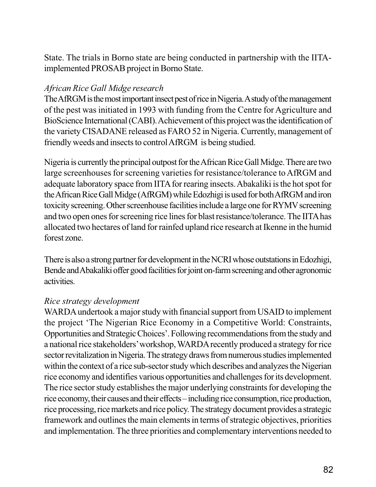State. The trials in Borno state are being conducted in partnership with the IITAimplemented PROSAB project in Borno State.

#### *African Rice Gall Midge research*

The AfRGM is the most important insect pest of rice in Nigeria. A study of the management of the pest was initiated in 1993 with funding from the Centre for Agriculture and BioScience International (CABI). Achievement of this project was the identification of the variety CISADANE released as FARO 52 in Nigeria. Currently, management of friendly weeds and insects to control AfRGM is being studied.

Nigeria is currently the principal outpost for the African Rice Gall Midge. There are two large screenhouses for screening varieties for resistance/tolerance to AfRGM and adequate laboratory space from IITA for rearing insects. Abakaliki is the hot spot for the African Rice Gall Midge (AfRGM) while Edozhigi is used for both AfRGM and iron toxicity screening. Other screenhouse facilities include a large one for RYMV screening and two open ones for screening rice lines for blast resistance/tolerance. The IITA has allocated two hectares of land for rainfed upland rice research at Ikenne in the humid forest zone.

There is also a strong partner for development in the NCRI whose outstations in Edozhigi, Bende and Abakaliki offer good facilities for joint on-farm screening and other agronomic activities.

#### *Rice strategy development*

WARDA undertook a major study with financial support from USAID to implement the project 'The Nigerian Rice Economy in a Competitive World: Constraints, Opportunities and Strategic Choices'. Following recommendations from the study and a national rice stakeholders' workshop, WARDA recently produced a strategy for rice sector revitalization in Nigeria. The strategy draws from numerous studies implemented within the context of a rice sub-sector study which describes and analyzes the Nigerian rice economy and identifies various opportunities and challenges for its development. The rice sector study establishes the major underlying constraints for developing the rice economy, their causes and their effects – including rice consumption, rice production, rice processing, rice markets and rice policy. The strategy document provides a strategic framework and outlines the main elements in terms of strategic objectives, priorities and implementation. The three priorities and complementary interventions needed to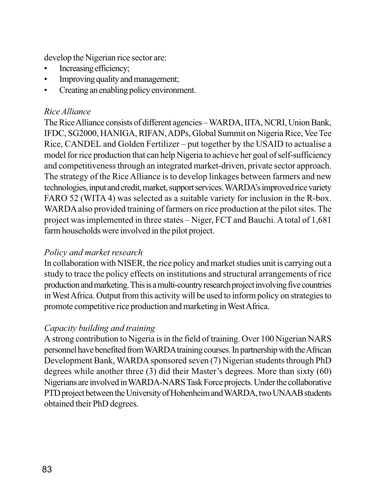develop the Nigerian rice sector are:

- Increasing efficiency;
- Improving quality and management;
- Creating an enabling policy environment.

#### *Rice Alliance*

The Rice Alliance consists of different agencies – WARDA, IITA, NCRI, Union Bank, IFDC, SG2000, HANIGA, RIFAN, ADPs, Global Summit on Nigeria Rice, Vee Tee Rice, CANDEL and Golden Fertilizer – put together by the USAID to actualise a model for rice production that can help Nigeria to achieve her goal of self-sufficiency and competitiveness through an integrated market-driven, private sector approach. The strategy of the Rice Alliance is to develop linkages between farmers and new technologies, input and credit, market, support services. WARDA's improved rice variety FARO 52 (WITA 4) was selected as a suitable variety for inclusion in the R-box. WARDA also provided training of farmers on rice production at the pilot sites. The project was implemented in three states – Niger, FCT and Bauchi. A total of 1,681 farm households were involved in the pilot project.

## *Policy and market research*

In collaboration with NISER, the rice policy and market studies unit is carrying out a study to trace the policy effects on institutions and structural arrangements of rice production and marketing. This is a multi-country research project involving five countries in West Africa. Output from this activity will be used to inform policy on strategies to promote competitive rice production and marketing in West Africa.

#### *Capacity building and training*

A strong contribution to Nigeria is in the field of training. Over 100 Nigerian NARS personnel have benefited from WARDA training courses. In partnership with the African Development Bank, WARDA sponsored seven (7) Nigerian students through PhD degrees while another three (3) did their Master's degrees. More than sixty (60) Nigerians are involved in WARDA-NARS Task Force projects. Under the collaborative PTD project between the University of Hohenheim and WARDA, two UNAAB students obtained their PhD degrees.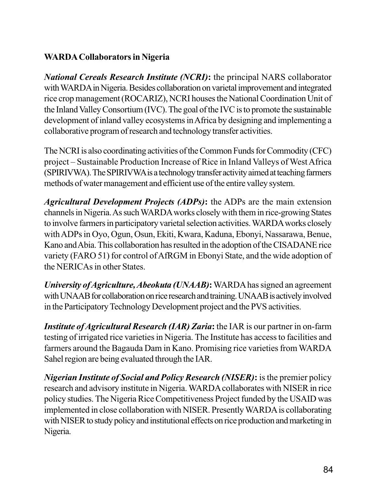## **WARDA Collaborators in Nigeria**

*National Cereals Research Institute (NCRI)***:** the principal NARS collaborator with WARDA in Nigeria. Besides collaboration on varietal improvement and integrated rice crop management (ROCARIZ), NCRI houses the National Coordination Unit of the Inland Valley Consortium (IVC). The goal of the IVC is to promote the sustainable development of inland valley ecosystems in Africa by designing and implementing a collaborative program of research and technology transfer activities.

The NCRI is also coordinating activities of the Common Funds for Commodity (CFC) project – Sustainable Production Increase of Rice in Inland Valleys of West Africa (SPIRIVWA). The SPIRIVWA is a technology transfer activity aimed at teaching farmers methods of water management and efficient use of the entire valley system.

*Agricultural Development Projects (ADPs)***:** the ADPs are the main extension channels in Nigeria. As such WARDA works closely with them in rice-growing States to involve farmers in participatory varietal selection activities. WARDA works closely with ADPs in Oyo, Ogun, Osun, Ekiti, Kwara, Kaduna, Ebonyi, Nassarawa, Benue, Kano and Abia. This collaboration has resulted in the adoption of the CISADANE rice variety (FARO 51) for control of AfRGM in Ebonyi State, and the wide adoption of the NERICAs in other States.

*University of Agriculture, Abeokuta (UNAAB)***:** WARDA has signed an agreement with UNAAB for collaboration on rice research and training. UNAAB is actively involved in the Participatory Technology Development project and the PVS activities.

*Institute of Agricultural Research (IAR) Zaria***:** the IAR is our partner in on-farm testing of irrigated rice varieties in Nigeria. The Institute has access to facilities and farmers around the Bagauda Dam in Kano. Promising rice varieties from WARDA Sahel region are being evaluated through the IAR.

*Nigerian Institute of Social and Policy Research (NISER)***:** is the premier policy research and advisory institute in Nigeria. WARDA collaborates with NISER in rice policy studies. The Nigeria Rice Competitiveness Project funded by the USAID was implemented in close collaboration with NISER. Presently WARDA is collaborating with NISER to study policy and institutional effects on rice production and marketing in Nigeria.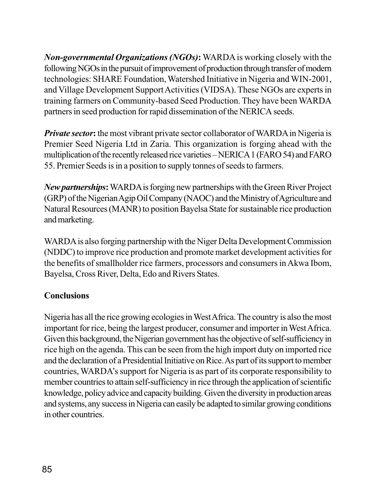*Non-governmental Organizations (NGOs)***:** WARDA is working closely with the following NGOs in the pursuit of improvement of production through transfer of modern technologies: SHARE Foundation, Watershed Initiative in Nigeria and WIN-2001, and Village Development Support Activities (VIDSA). These NGOs are experts in training farmers on Community-based Seed Production. They have been WARDA partners in seed production for rapid dissemination of the NERICA seeds.

*Private sector*: the most vibrant private sector collaborator of WARDA in Nigeria is Premier Seed Nigeria Ltd in Zaria. This organization is forging ahead with the multiplication of the recently released rice varieties – NERICA 1 (FARO 54) and FARO 55. Premier Seeds is in a position to supply tonnes of seeds to farmers.

*New partnerships***:** WARDA is forging new partnerships with the Green River Project (GRP) of the Nigerian Agip Oil Company (NAOC) and the Ministry of Agriculture and Natural Resources (MANR) to position Bayelsa State for sustainable rice production and marketing.

WARDA is also forging partnership with the Niger Delta Development Commission (NDDC) to improve rice production and promote market development activities for the benefits of smallholder rice farmers, processors and consumers in Akwa Ibom, Bayelsa, Cross River, Delta, Edo and Rivers States.

## **Conclusions**

Nigeria has all the rice growing ecologies in West Africa. The country is also the most important for rice, being the largest producer, consumer and importer in West Africa. Given this background, the Nigerian government has the objective of self-sufficiency in rice high on the agenda. This can be seen from the high import duty on imported rice and the declaration of a Presidential Initiative on Rice. As part of its support to member countries, WARDA's support for Nigeria is as part of its corporate responsibility to member countries to attain self-sufficiency in rice through the application of scientific knowledge, policy advice and capacity building. Given the diversity in production areas and systems, any success in Nigeria can easily be adapted to similar growing conditions in other countries.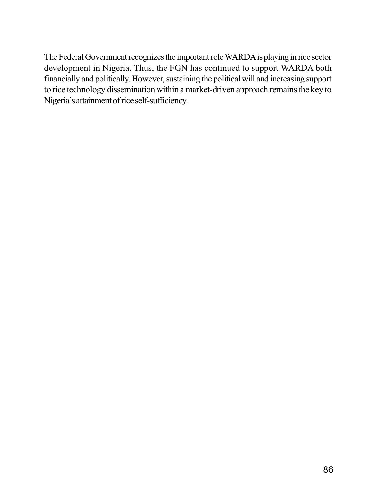The Federal Government recognizes the important role WARDA is playing in rice sector development in Nigeria. Thus, the FGN has continued to support WARDA both financially and politically. However, sustaining the political will and increasing support to rice technology dissemination within a market-driven approach remains the key to Nigeria's attainment of rice self-sufficiency.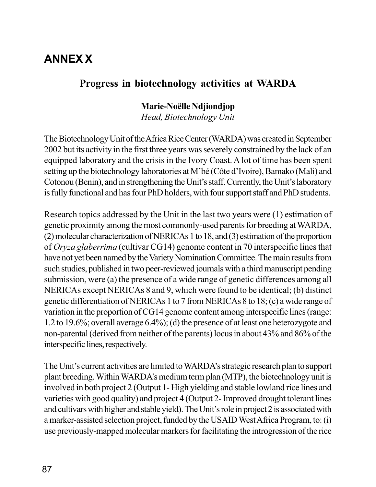# **ANNEX X**

## **Progress in biotechnology activities at WARDA**

## **Marie-Noëlle Ndjiondjop**

*Head, Biotechnology Unit*

The Biotechnology Unit of the Africa Rice Center (WARDA) was created in September 2002 but its activity in the first three years was severely constrained by the lack of an equipped laboratory and the crisis in the Ivory Coast. A lot of time has been spent setting up the biotechnology laboratories at M'bé (Côte d'Ivoire), Bamako (Mali) and Cotonou (Benin), and in strengthening the Unit's staff. Currently, the Unit's laboratory is fully functional and has four PhD holders, with four support staff and PhD students.

Research topics addressed by the Unit in the last two years were (1) estimation of genetic proximity among the most commonly-used parents for breeding at WARDA, (2) molecular characterization of NERICAs 1 to 18, and (3) estimation of the proportion of *Oryza glaberrima* (cultivar CG14) genome content in 70 interspecific lines that have not yet been named by the Variety Nomination Committee. The main results from such studies, published in two peer-reviewed journals with a third manuscript pending submission, were (a) the presence of a wide range of genetic differences among all NERICAs except NERICAs 8 and 9, which were found to be identical; (b) distinct genetic differentiation of NERICAs 1 to 7 from NERICAs 8 to 18; (c) a wide range of variation in the proportion of CG14 genome content among interspecific lines (range: 1.2 to 19.6%; overall average 6.4%); (d) the presence of at least one heterozygote and non-parental (derived from neither of the parents) locus in about 43% and 86% of the interspecific lines, respectively.

The Unit's current activities are limited to WARDA's strategic research plan to support plant breeding. Within WARDA's medium term plan (MTP), the biotechnology unit is involved in both project 2 (Output 1- High yielding and stable lowland rice lines and varieties with good quality) and project 4 (Output 2- Improved drought tolerant lines and cultivars with higher and stable yield). The Unit's role in project 2 is associated with a marker-assisted selection project, funded by the USAID West Africa Program, to: (i) use previously-mapped molecular markers for facilitating the introgression of the rice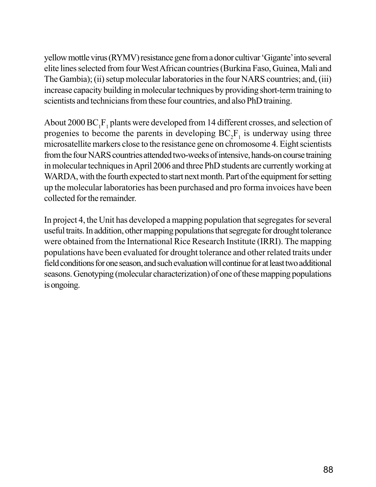yellow mottle virus (RYMV) resistance gene from a donor cultivar 'Gigante' into several elite lines selected from four West African countries (Burkina Faso, Guinea, Mali and The Gambia); (ii) setup molecular laboratories in the four NARS countries; and, (iii) increase capacity building in molecular techniques by providing short-term training to scientists and technicians from these four countries, and also PhD training.

About 2000  $BC_1F_1$  plants were developed from 14 different crosses, and selection of progenies to become the parents in developing  $BC_2F_1$  is underway using three microsatellite markers close to the resistance gene on chromosome 4. Eight scientists from the four NARS countries attended two-weeks of intensive, hands-on course training in molecular techniques in April 2006 and three PhD students are currently working at WARDA, with the fourth expected to start next month. Part of the equipment for setting up the molecular laboratories has been purchased and pro forma invoices have been collected for the remainder.

In project 4, the Unit has developed a mapping population that segregates for several useful traits. In addition, other mapping populations that segregate for drought tolerance were obtained from the International Rice Research Institute (IRRI). The mapping populations have been evaluated for drought tolerance and other related traits under field conditions for one season, and such evaluation will continue for at least two additional seasons. Genotyping (molecular characterization) of one of these mapping populations is ongoing.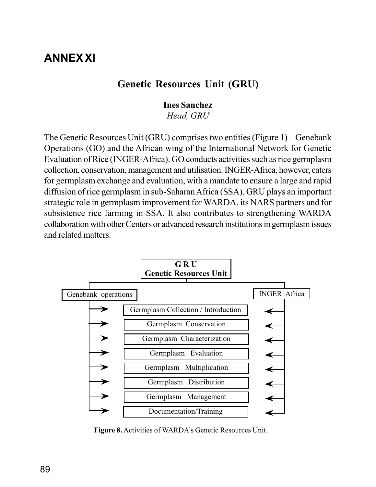# **ANNEX XI**

## **Genetic Resources Unit (GRU)**

#### **Ines Sanchez**

*Head, GRU*

The Genetic Resources Unit (GRU) comprises two entities (Figure 1) – Genebank Operations (GO) and the African wing of the International Network for Genetic Evaluation of Rice (INGER-Africa). GO conducts activities such as rice germplasm collection, conservation, management and utilisation. INGER-Africa, however, caters for germplasm exchange and evaluation, with a mandate to ensure a large and rapid diffusion of rice germplasm in sub-Saharan Africa (SSA). GRU plays an important strategic role in germplasm improvement for WARDA, its NARS partners and for subsistence rice farming in SSA. It also contributes to strengthening WARDA collaboration with other Centers or advanced research institutions in germplasm issues and related matters.



**Figure 8.** Activities of WARDA's Genetic Resources Unit.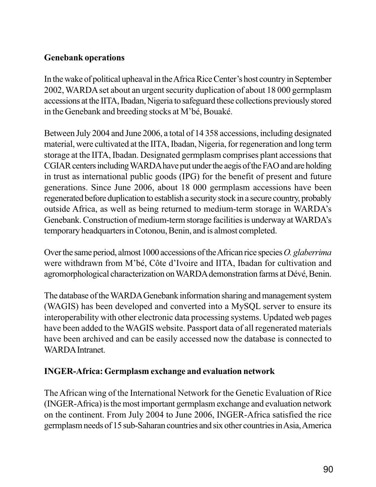### **Genebank operations**

In the wake of political upheaval in the Africa Rice Center's host country in September 2002, WARDA set about an urgent security duplication of about 18 000 germplasm accessions at the IITA, Ibadan, Nigeria to safeguard these collections previously stored in the Genebank and breeding stocks at M'bé, Bouaké.

Between July 2004 and June 2006, a total of 14 358 accessions, including designated material, were cultivated at the IITA, Ibadan, Nigeria, for regeneration and long term storage at the IITA, Ibadan. Designated germplasm comprises plant accessions that CGIAR centers including WARDA have put under the aegis of the FAO and are holding in trust as international public goods (IPG) for the benefit of present and future generations. Since June 2006, about 18 000 germplasm accessions have been regenerated before duplication to establish a security stock in a secure country, probably outside Africa, as well as being returned to medium-term storage in WARDA's Genebank. Construction of medium-term storage facilities is underway at WARDA's temporary headquarters in Cotonou, Benin, and is almost completed.

Over the same period, almost 1000 accessions of the African rice species *O. glaberrima* were withdrawn from M'bé, Côte d'Ivoire and IITA, Ibadan for cultivation and agromorphological characterization on WARDA demonstration farms at Dévé, Benin.

The database of the WARDA Genebank information sharing and management system (WAGIS) has been developed and converted into a MySQL server to ensure its interoperability with other electronic data processing systems. Updated web pages have been added to the WAGIS website. Passport data of all regenerated materials have been archived and can be easily accessed now the database is connected to WARDA Intranet.

## **INGER-Africa: Germplasm exchange and evaluation network**

The African wing of the International Network for the Genetic Evaluation of Rice (INGER-Africa) is the most important germplasm exchange and evaluation network on the continent. From July 2004 to June 2006, INGER-Africa satisfied the rice germplasm needs of 15 sub-Saharan countries and six other countries in Asia, America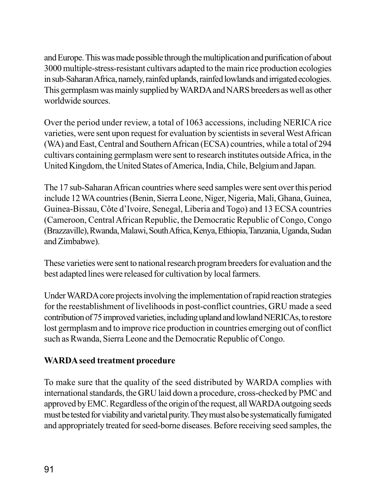and Europe. This was made possible through the multiplication and purification of about 3000 multiple-stress-resistant cultivars adapted to the main rice production ecologies in sub-Saharan Africa, namely, rainfed uplands, rainfed lowlands and irrigated ecologies. This germplasm was mainly supplied by WARDA and NARS breeders as well as other worldwide sources.

Over the period under review, a total of 1063 accessions, including NERICA rice varieties, were sent upon request for evaluation by scientists in several West African (WA) and East, Central and Southern African (ECSA) countries, while a total of 294 cultivars containing germplasm were sent to research institutes outside Africa, in the United Kingdom, the United States of America, India, Chile, Belgium and Japan.

The 17 sub-Saharan African countries where seed samples were sent over this period include 12 WA countries (Benin, Sierra Leone, Niger, Nigeria, Mali, Ghana, Guinea, Guinea-Bissau, Côte d'Ivoire, Senegal, Liberia and Togo) and 13 ECSA countries (Cameroon, Central African Republic, the Democratic Republic of Congo, Congo (Brazzaville), Rwanda, Malawi, South Africa, Kenya, Ethiopia, Tanzania, Uganda, Sudan and Zimbabwe).

These varieties were sent to national research program breeders for evaluation and the best adapted lines were released for cultivation by local farmers.

Under WARDA core projects involving the implementation of rapid reaction strategies for the reestablishment of livelihoods in post-conflict countries, GRU made a seed contribution of 75 improved varieties, including upland and lowland NERICAs, to restore lost germplasm and to improve rice production in countries emerging out of conflict such as Rwanda, Sierra Leone and the Democratic Republic of Congo.

## **WARDA seed treatment procedure**

To make sure that the quality of the seed distributed by WARDA complies with international standards, the GRU laid down a procedure, cross-checked by PMC and approved by EMC. Regardless of the origin of the request, all WARDA outgoing seeds must be tested for viability and varietal purity. They must also be systematically fumigated and appropriately treated for seed-borne diseases. Before receiving seed samples, the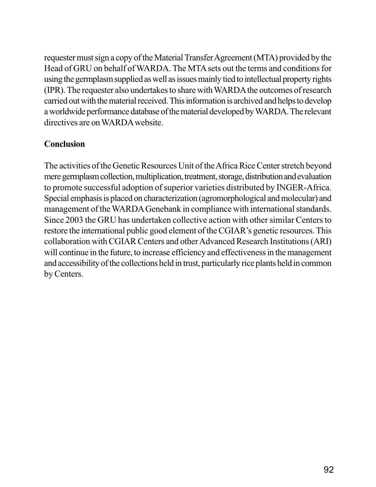requester must sign a copy of the Material Transfer Agreement (MTA) provided by the Head of GRU on behalf of WARDA. The MTA sets out the terms and conditions for using the germplasm supplied as well as issues mainly tied to intellectual property rights (IPR). The requester also undertakes to share with WARDA the outcomes of research carried out with the material received. This information is archived and helps to develop a worldwide performance database of the material developed by WARDA. The relevant directives are on WARDA website.

## **Conclusion**

The activities of the Genetic Resources Unit of the Africa Rice Center stretch beyond mere germplasm collection, multiplication, treatment, storage, distribution and evaluation to promote successful adoption of superior varieties distributed by INGER-Africa. Special emphasis is placed on characterization (agromorphological and molecular) and management of the WARDA Genebank in compliance with international standards. Since 2003 the GRU has undertaken collective action with other similar Centers to restore the international public good element of the CGIAR's genetic resources. This collaboration with CGIAR Centers and other Advanced Research Institutions (ARI) will continue in the future, to increase efficiency and effectiveness in the management and accessibility of the collections held in trust, particularly rice plants held in common by Centers.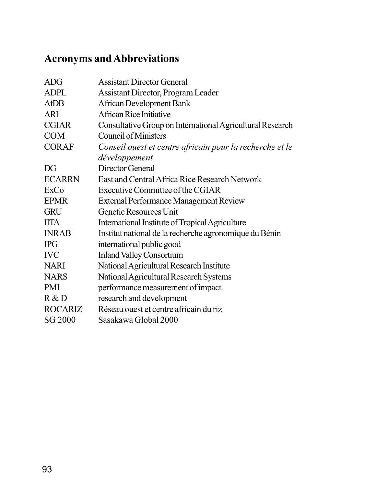# **Acronyms and Abbreviations**

| <b>ADG</b>     | <b>Assistant Director General</b>                         |
|----------------|-----------------------------------------------------------|
| <b>ADPL</b>    | <b>Assistant Director, Program Leader</b>                 |
| <b>AfDB</b>    | <b>African Development Bank</b>                           |
| <b>ARI</b>     | African Rice Initiative                                   |
| <b>CGIAR</b>   | Consultative Group on International Agricultural Research |
| <b>COM</b>     | <b>Council of Ministers</b>                               |
| <b>CORAF</b>   | Conseil ouest et centre africain pour la recherche et le  |
|                | développement                                             |
| DG             | Director General                                          |
| <b>ECARRN</b>  | East and Central Africa Rice Research Network             |
| ExCo           | Executive Committee of the CGIAR                          |
| <b>EPMR</b>    | <b>External Performance Management Review</b>             |
| <b>GRU</b>     | Genetic Resources Unit                                    |
| <b>IITA</b>    | International Institute of Tropical Agriculture           |
| <b>INRAB</b>   | Institut national de la recherche agronomique du Bénin    |
| <b>IPG</b>     | international public good                                 |
| <b>IVC</b>     | <b>Inland Valley Consortium</b>                           |
| <b>NARI</b>    | National Agricultural Research Institute                  |
| <b>NARS</b>    | National Agricultural Research Systems                    |
| <b>PMI</b>     | performance measurement of impact                         |
| R & D          | research and development                                  |
| <b>ROCARIZ</b> | Réseau ouest et centre africain du riz                    |
| <b>SG 2000</b> | Sasakawa Global 2000                                      |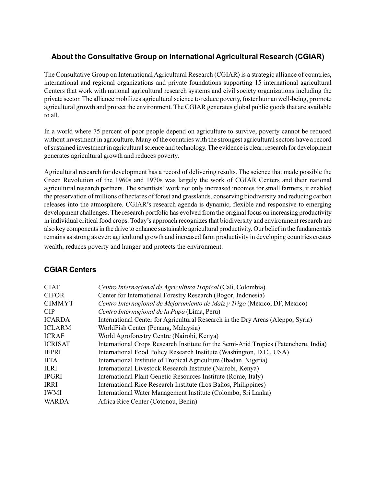#### **About the Consultative Group on International Agricultural Research (CGIAR)**

The Consultative Group on International Agricultural Research (CGIAR) is a strategic alliance of countries, international and regional organizations and private foundations supporting 15 international agricultural Centers that work with national agricultural research systems and civil society organizations including the private sector. The alliance mobilizes agricultural science to reduce poverty, foster human well-being, promote agricultural growth and protect the environment. The CGIAR generates global public goods that are available to all.

In a world where 75 percent of poor people depend on agriculture to survive, poverty cannot be reduced without investment in agriculture. Many of the countries with the strongest agricultural sectors have a record of sustained investment in agricultural science and technology. The evidence is clear; research for development generates agricultural growth and reduces poverty.

Agricultural research for development has a record of delivering results. The science that made possible the Green Revolution of the 1960s and 1970s was largely the work of CGIAR Centers and their national agricultural research partners. The scientists' work not only increased incomes for small farmers, it enabled the preservation of millions of hectares of forest and grasslands, conserving biodiversity and reducing carbon releases into the atmosphere. CGIAR's research agenda is dynamic, flexible and responsive to emerging development challenges. The research portfolio has evolved from the original focus on increasing productivity in individual critical food crops. Today's approach recognizes that biodiversity and environment research are also key components in the drive to enhance sustainable agricultural productivity. Our belief in the fundamentals remains as strong as ever: agricultural growth and increased farm productivity in developing countries creates wealth, reduces poverty and hunger and protects the environment.

#### **CGIAR Centers**

| <b>CIAT</b>    | Centro Internacional de Agricultura Tropical (Cali, Colombia)                        |
|----------------|--------------------------------------------------------------------------------------|
| <b>CIFOR</b>   | Center for International Forestry Research (Bogor, Indonesia)                        |
| <b>CIMMYT</b>  | Centro Internacional de Mejoramiento de Maiz y Trigo (Mexico, DF, Mexico)            |
| <b>CIP</b>     | Centro Internaçional de la Papa (Lima, Peru)                                         |
| <b>ICARDA</b>  | International Center for Agricultural Research in the Dry Areas (Aleppo, Syria)      |
| <b>ICLARM</b>  | WorldFish Center (Penang, Malaysia)                                                  |
| <b>ICRAF</b>   | World Agroforestry Centre (Nairobi, Kenya)                                           |
| <b>ICRISAT</b> | International Crops Research Institute for the Semi-Arid Tropics (Patencheru, India) |
| <b>IFPRI</b>   | International Food Policy Research Institute (Washington, D.C., USA)                 |
| <b>IITA</b>    | International Institute of Tropical Agriculture (Ibadan, Nigeria)                    |
| <b>ILRI</b>    | International Livestock Research Institute (Nairobi, Kenya)                          |
| <b>IPGRI</b>   | International Plant Genetic Resources Institute (Rome, Italy)                        |
| <b>IRRI</b>    | International Rice Research Institute (Los Baños, Philippines)                       |
| <b>IWMI</b>    | International Water Management Institute (Colombo, Sri Lanka)                        |
| <b>WARDA</b>   | Africa Rice Center (Cotonou, Benin)                                                  |